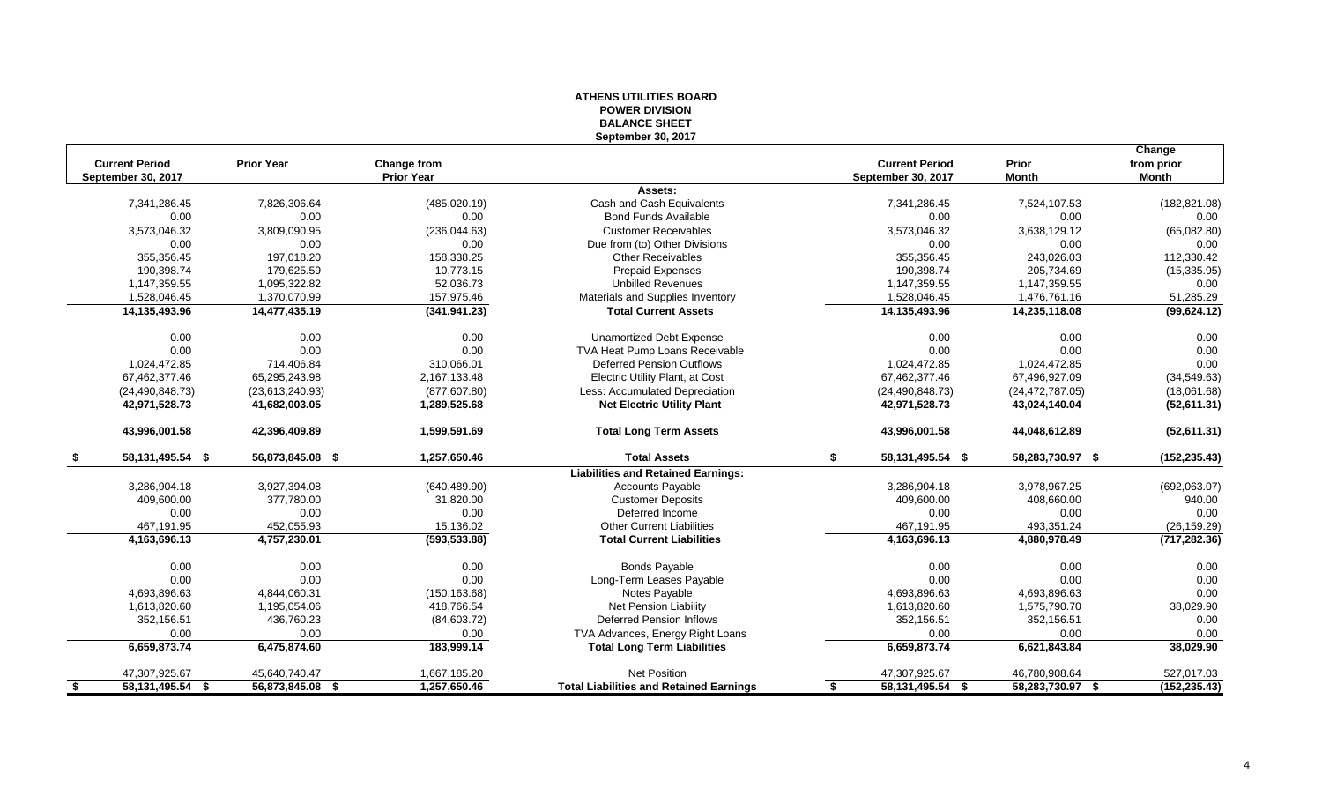#### **ATHENS UTILITIES BOARD POWER DIVISION BALANCE SHEET September 30, 2017**

|      |                       |                   |                   |                                                |                           |                   | Change        |
|------|-----------------------|-------------------|-------------------|------------------------------------------------|---------------------------|-------------------|---------------|
|      | <b>Current Period</b> | <b>Prior Year</b> | Change from       |                                                | <b>Current Period</b>     | Prior             | from prior    |
|      | September 30, 2017    |                   | <b>Prior Year</b> |                                                | September 30, 2017        | <b>Month</b>      | Month         |
|      |                       |                   |                   | Assets:                                        |                           |                   |               |
|      | 7,341,286.45          | 7,826,306.64      | (485, 020.19)     | Cash and Cash Equivalents                      | 7,341,286.45              | 7,524,107.53      | (182, 821.08) |
|      | 0.00                  | 0.00              | 0.00              | <b>Bond Funds Available</b>                    | 0.00                      | 0.00              | 0.00          |
|      | 3,573,046.32          | 3,809,090.95      | (236, 044.63)     | <b>Customer Receivables</b>                    | 3,573,046.32              | 3,638,129.12      | (65,082.80)   |
|      | 0.00                  | 0.00              | 0.00              | Due from (to) Other Divisions                  | 0.00                      | 0.00              | 0.00          |
|      | 355,356.45            | 197.018.20        | 158,338.25        | <b>Other Receivables</b>                       | 355,356.45                | 243,026.03        | 112,330.42    |
|      | 190,398.74            | 179,625.59        | 10,773.15         | <b>Prepaid Expenses</b>                        | 190,398.74                | 205,734.69        | (15, 335.95)  |
|      | 1,147,359.55          | 1,095,322.82      | 52,036.73         | <b>Unbilled Revenues</b>                       | 1,147,359.55              | 1,147,359.55      | 0.00          |
|      | 1,528,046.45          | 1,370,070.99      | 157,975.46        | Materials and Supplies Inventory               | 1,528,046.45              | 1,476,761.16      | 51,285.29     |
|      | 14,135,493.96         | 14,477,435.19     | (341, 941.23)     | <b>Total Current Assets</b>                    | 14,135,493.96             | 14,235,118.08     | (99, 624.12)  |
|      | 0.00                  | 0.00              | 0.00              | <b>Unamortized Debt Expense</b>                | 0.00                      | 0.00              | 0.00          |
|      | 0.00                  | 0.00              | 0.00              | TVA Heat Pump Loans Receivable                 | 0.00                      | 0.00              | 0.00          |
|      | 1,024,472.85          | 714,406.84        | 310,066.01        | <b>Deferred Pension Outflows</b>               | 1,024,472.85              | 1,024,472.85      | 0.00          |
|      | 67,462,377.46         | 65,295,243.98     | 2,167,133.48      | Electric Utility Plant, at Cost                | 67,462,377.46             | 67,496,927.09     | (34, 549.63)  |
|      | (24, 490, 848.73)     | (23,613,240.93)   | (877, 607.80)     | Less: Accumulated Depreciation                 | (24, 490, 848.73)         | (24, 472, 787.05) | (18,061.68)   |
|      | 42,971,528.73         | 41,682,003.05     | 1,289,525.68      | <b>Net Electric Utility Plant</b>              | 42,971,528.73             | 43,024,140.04     | (52,611.31)   |
|      | 43,996,001.58         | 42,396,409.89     | 1,599,591.69      | <b>Total Long Term Assets</b>                  | 43,996,001.58             | 44,048,612.89     | (52,611.31)   |
| - 56 | 58, 131, 495. 54 \$   | 56,873,845.08 \$  | 1,257,650.46      | <b>Total Assets</b>                            | 58, 131, 495. 54 \$<br>\$ | 58,283,730.97 \$  | (152, 235.43) |
|      |                       |                   |                   | <b>Liabilities and Retained Earnings:</b>      |                           |                   |               |
|      | 3,286,904.18          | 3,927,394.08      | (640, 489.90)     | <b>Accounts Payable</b>                        | 3,286,904.18              | 3,978,967.25      | (692,063.07)  |
|      | 409,600.00            | 377,780.00        | 31,820.00         | <b>Customer Deposits</b>                       | 409,600.00                | 408,660.00        | 940.00        |
|      | 0.00                  | 0.00              | 0.00              | Deferred Income                                | 0.00                      | 0.00              | 0.00          |
|      | 467,191.95            | 452,055.93        | 15,136.02         | <b>Other Current Liabilities</b>               | 467,191.95                | 493,351.24        | (26, 159.29)  |
|      | 4,163,696.13          | 4,757,230.01      | (593, 533.88)     | <b>Total Current Liabilities</b>               | 4,163,696.13              | 4,880,978.49      | (717, 282.36) |
|      | 0.00                  | 0.00              | 0.00              | <b>Bonds Payable</b>                           | 0.00                      | 0.00              | 0.00          |
|      | 0.00                  | 0.00              | 0.00              | Long-Term Leases Payable                       | 0.00                      | 0.00              | 0.00          |
|      | 4,693,896.63          | 4,844,060.31      | (150, 163.68)     | Notes Payable                                  | 4,693,896.63              | 4,693,896.63      | 0.00          |
|      | 1,613,820.60          | 1,195,054.06      | 418,766.54        | Net Pension Liability                          | 1,613,820.60              | 1,575,790.70      | 38,029.90     |
|      | 352,156.51            | 436,760.23        | (84,603.72)       | Deferred Pension Inflows                       | 352,156.51                | 352,156.51        | 0.00          |
|      | 0.00                  | 0.00              | 0.00              | TVA Advances, Energy Right Loans               | 0.00                      | 0.00              | 0.00          |
|      | 6,659,873.74          | 6,475,874.60      | 183,999.14        | <b>Total Long Term Liabilities</b>             | 6,659,873.74              | 6,621,843.84      | 38,029.90     |
|      | 47,307,925.67         | 45,640,740.47     | 1,667,185.20      | <b>Net Position</b>                            | 47,307,925.67             | 46,780,908.64     | 527,017.03    |
| - \$ | 58, 131, 495. 54 \$   | 56,873,845.08 \$  | 1,257,650.46      | <b>Total Liabilities and Retained Earnings</b> | 58, 131, 495. 54 \$<br>\$ | 58,283,730.97 \$  | (152, 235.43) |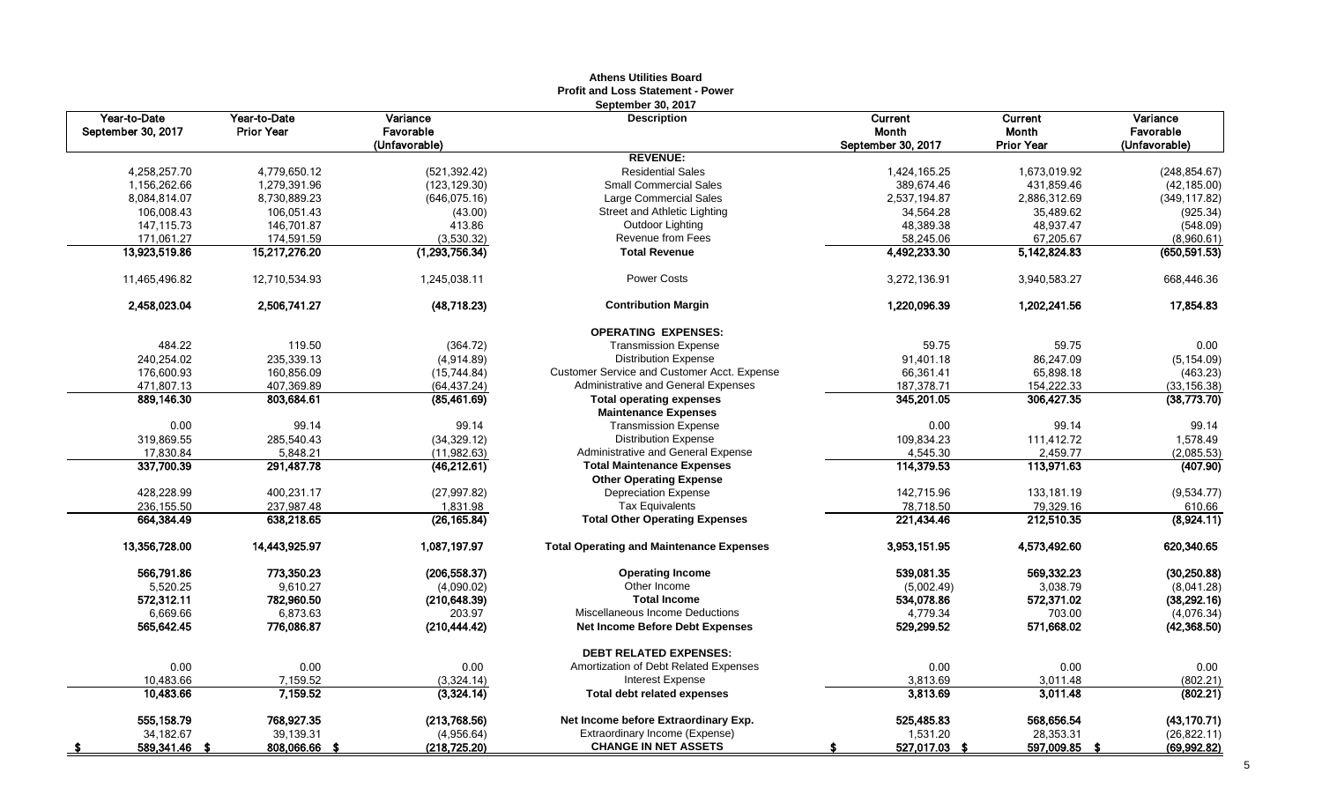|                                    |                                   |                                        | AUJENS UTIILIES DUAIU<br><b>Profit and Loss Statement - Power</b> |                                        |                                       |                                        |
|------------------------------------|-----------------------------------|----------------------------------------|-------------------------------------------------------------------|----------------------------------------|---------------------------------------|----------------------------------------|
| Year-to-Date<br>September 30, 2017 | Year-to-Date<br><b>Prior Year</b> | Variance<br>Favorable<br>(Unfavorable) | September 30, 2017<br><b>Description</b>                          | Current<br>Month<br>September 30, 2017 | Current<br>Month<br><b>Prior Year</b> | Variance<br>Favorable<br>(Unfavorable) |
|                                    |                                   |                                        | <b>REVENUE:</b>                                                   |                                        |                                       |                                        |
| 4,258,257.70                       | 4,779,650.12                      | (521, 392.42)                          | <b>Residential Sales</b>                                          | 1,424,165.25                           | 1,673,019.92                          | (248, 854.67)                          |
| 1,156,262.66                       | 1,279,391.96                      | (123, 129.30)                          | <b>Small Commercial Sales</b>                                     | 389,674.46                             | 431,859.46                            | (42, 185.00)                           |
| 8,084,814.07                       | 8,730,889.23                      | (646, 075.16)                          | Large Commercial Sales                                            | 2,537,194.87                           | 2,886,312.69                          | (349, 117.82)                          |
| 106,008.43                         | 106,051.43                        | (43.00)                                | Street and Athletic Lighting                                      | 34,564.28                              | 35,489.62                             | (925.34)                               |
| 147, 115.73                        | 146,701.87                        | 413.86                                 | Outdoor Lighting                                                  | 48,389.38                              | 48,937.47                             | (548.09)                               |
| 171,061.27                         | 174,591.59                        | (3,530.32)                             | Revenue from Fees                                                 | 58,245.06                              | 67,205.67                             | (8,960.61)                             |
| 13,923,519.86                      | 15,217,276.20                     | (1,293,756.34)                         | <b>Total Revenue</b>                                              | 4,492,233.30                           | 5,142,824.83                          | (650, 591.53)                          |
| 11,465,496.82                      | 12,710,534.93                     | 1,245,038.11                           | <b>Power Costs</b>                                                | 3,272,136.91                           | 3,940,583.27                          | 668,446.36                             |
| 2,458,023.04                       | 2,506,741.27                      | (48, 718.23)                           | <b>Contribution Margin</b>                                        | 1,220,096.39                           | 1,202,241.56                          | 17,854.83                              |
|                                    |                                   |                                        | <b>OPERATING EXPENSES:</b>                                        |                                        |                                       |                                        |
| 484.22                             | 119.50                            | (364.72)                               | <b>Transmission Expense</b>                                       | 59.75                                  | 59.75                                 | 0.00                                   |
| 240,254.02                         | 235,339.13                        | (4,914.89)                             | <b>Distribution Expense</b>                                       | 91,401.18                              | 86,247.09                             | (5, 154.09)                            |
| 176,600.93                         | 160.856.09                        | (15, 744.84)                           | Customer Service and Customer Acct. Expense                       | 66,361.41                              | 65,898.18                             | (463.23)                               |
| 471,807.13                         | 407,369.89                        | (64, 437.24)                           | Administrative and General Expenses                               | 187,378.71                             | 154,222.33                            | (33, 156.38)                           |
| 889,146.30                         | 803,684.61                        | (85,461.69)                            | <b>Total operating expenses</b>                                   | 345,201.05                             | 306,427.35                            | (38, 773.70)                           |
|                                    |                                   |                                        | <b>Maintenance Expenses</b>                                       |                                        |                                       |                                        |
| 0.00                               | 99.14                             | 99.14                                  | <b>Transmission Expense</b>                                       | 0.00                                   | 99.14                                 | 99.14                                  |
| 319,869.55                         | 285,540.43                        | (34, 329.12)                           | <b>Distribution Expense</b>                                       | 109,834.23                             | 111,412.72                            | 1,578.49                               |
| 17,830.84                          | 5,848.21                          | (11,982.63)                            | Administrative and General Expense                                | 4,545.30                               | 2,459.77                              | (2,085.53)                             |
| 337,700.39                         | 291,487.78                        | (46, 212.61)                           | <b>Total Maintenance Expenses</b>                                 | 114,379.53                             | 113,971.63                            | (407.90)                               |
|                                    |                                   |                                        | <b>Other Operating Expense</b>                                    |                                        |                                       |                                        |
| 428,228.99                         | 400,231.17                        | (27, 997.82)                           | <b>Depreciation Expense</b>                                       | 142,715.96                             | 133,181.19                            | (9,534.77)                             |
| 236,155.50                         | 237,987.48                        | 1,831.98                               | <b>Tax Equivalents</b>                                            | 78,718.50                              | 79,329.16                             | 610.66                                 |
| 664,384.49                         | 638,218.65                        | (26, 165.84)                           | <b>Total Other Operating Expenses</b>                             | 221,434.46                             | 212,510.35                            | (8,924.11)                             |
| 13,356,728.00                      | 14,443,925.97                     | 1,087,197.97                           | <b>Total Operating and Maintenance Expenses</b>                   | 3,953,151.95                           | 4,573,492.60                          | 620,340.65                             |
| 566,791.86                         | 773,350.23                        | (206, 558.37)                          | <b>Operating Income</b>                                           | 539,081.35                             | 569,332.23                            | (30, 250.88)                           |
| 5,520.25                           | 9,610.27                          | (4,090.02)                             | Other Income                                                      | (5,002.49)                             | 3,038.79                              | (8,041.28)                             |
| 572,312.11                         | 782,960.50                        | (210, 648.39)                          | <b>Total Income</b>                                               | 534,078.86                             | 572,371.02                            | (38, 292.16)                           |
| 6,669.66                           | 6,873.63                          | 203.97                                 | Miscellaneous Income Deductions                                   | 4,779.34                               | 703.00                                | (4,076.34)                             |
| 565,642.45                         | 776,086.87                        | (210, 444.42)                          | Net Income Before Debt Expenses                                   | 529,299.52                             | 571,668.02                            | (42, 368.50)                           |
|                                    |                                   |                                        | <b>DEBT RELATED EXPENSES:</b>                                     |                                        |                                       |                                        |
| 0.00                               | 0.00                              | 0.00                                   | Amortization of Debt Related Expenses                             | 0.00                                   | 0.00                                  | 0.00                                   |
| 10,483.66                          | 7,159.52                          | (3,324.14)                             | <b>Interest Expense</b>                                           | 3,813.69                               | 3,011.48                              | (802.21)                               |
| 10,483.66                          | 7,159.52                          | (3,324.14)                             | Total debt related expenses                                       | 3,813.69                               | 3,011.48                              | (802.21)                               |
| 555.158.79                         | 768,927.35                        | (213,768.56)                           | Net Income before Extraordinary Exp.                              | 525,485.83                             | 568.656.54                            | (43, 170.71)                           |
| 34,182.67                          | 39,139.31                         | (4,956.64)                             | Extraordinary Income (Expense)                                    | 1,531.20                               | 28,353.31                             | (26, 822.11)                           |
| 589,341.46<br>- 5                  | 808,066.66 \$                     | (218, 725.20)                          | <b>CHANGE IN NET ASSETS</b>                                       | 527,017.03 \$                          | 597,009.85                            | (69,992.82)                            |

# **Athens Utilities Board**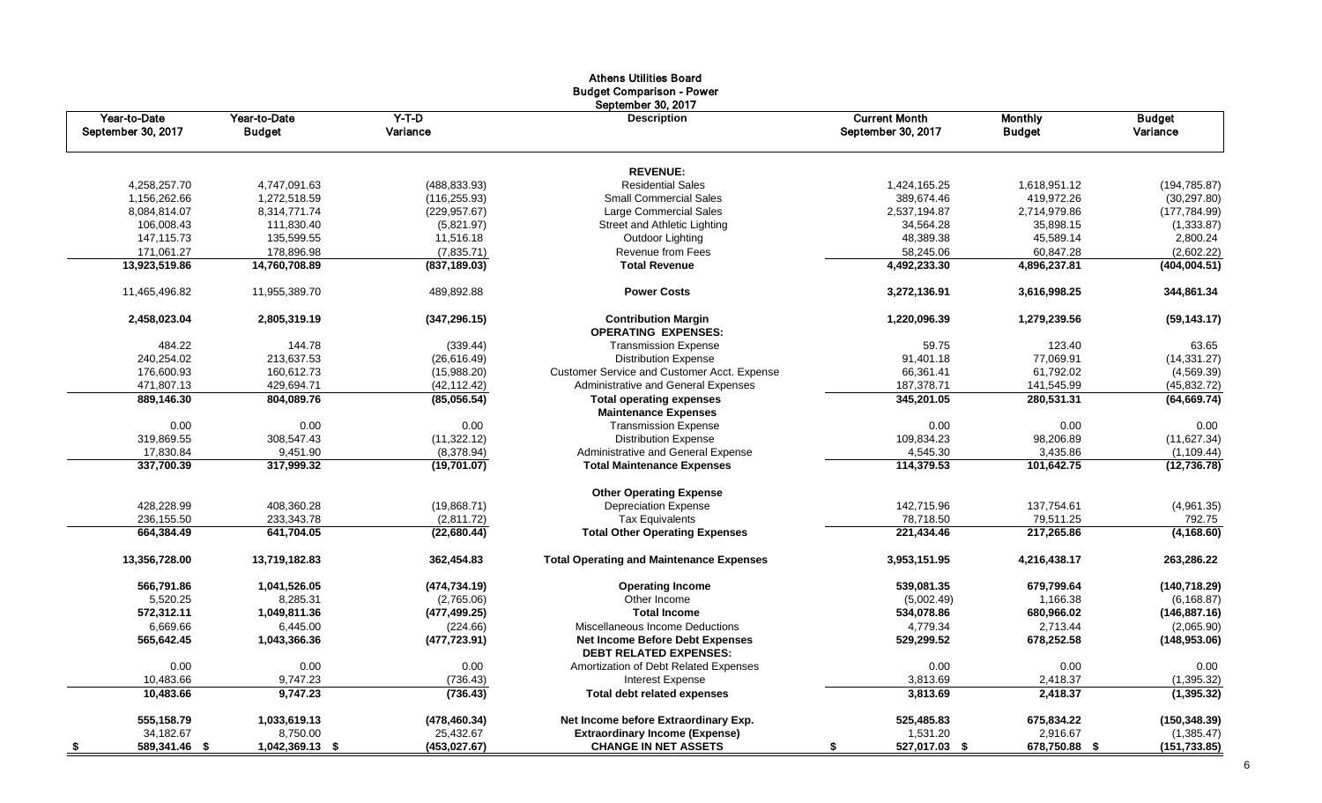|                                    |                               |                     | <b>Budget Comparison - Power</b><br>September 30, 2017   |                                            |                                 |                           |
|------------------------------------|-------------------------------|---------------------|----------------------------------------------------------|--------------------------------------------|---------------------------------|---------------------------|
| Year-to-Date<br>September 30, 2017 | Year-to-Date<br><b>Budget</b> | $Y-T-D$<br>Variance | <b>Description</b>                                       | <b>Current Month</b><br>September 30, 2017 | <b>Monthly</b><br><b>Budget</b> | <b>Budget</b><br>Variance |
|                                    |                               |                     | <b>REVENUE:</b>                                          |                                            |                                 |                           |
| 4,258,257.70                       | 4,747,091.63                  | (488, 833.93)       | <b>Residential Sales</b>                                 | 1,424,165.25                               | 1,618,951.12                    | (194, 785.87)             |
| 1,156,262.66                       | 1,272,518.59                  | (116, 255.93)       | <b>Small Commercial Sales</b>                            | 389,674.46                                 | 419,972.26                      | (30, 297.80)              |
| 8,084,814.07                       | 8,314,771.74                  | (229, 957.67)       | Large Commercial Sales                                   | 2,537,194.87                               | 2,714,979.86                    | (177, 784.99)             |
| 106,008.43                         | 111,830.40                    | (5,821.97)          | Street and Athletic Lighting                             | 34,564.28                                  | 35,898.15                       | (1,333.87)                |
| 147,115.73                         | 135,599.55                    | 11,516.18           | Outdoor Lighting                                         | 48,389.38                                  | 45,589.14                       | 2,800.24                  |
| 171,061.27                         | 178,896.98                    | (7,835.71)          | Revenue from Fees                                        | 58,245.06                                  | 60,847.28                       | (2,602.22)                |
| 13,923,519.86                      | 14,760,708.89                 | (837, 189.03)       | <b>Total Revenue</b>                                     | 4,492,233.30                               | 4,896,237.81                    | (404, 004.51)             |
| 11,465,496.82                      | 11,955,389.70                 | 489,892.88          | <b>Power Costs</b>                                       | 3,272,136.91                               | 3,616,998.25                    | 344,861.34                |
| 2,458,023.04                       | 2,805,319.19                  | (347, 296.15)       | <b>Contribution Margin</b><br><b>OPERATING EXPENSES:</b> | 1,220,096.39                               | 1,279,239.56                    | (59, 143.17)              |
| 484.22                             | 144.78                        | (339.44)            | <b>Transmission Expense</b>                              | 59.75                                      | 123.40                          | 63.65                     |
| 240,254.02                         | 213,637.53                    | (26, 616.49)        | <b>Distribution Expense</b>                              | 91,401.18                                  | 77,069.91                       | (14, 331.27)              |
| 176,600.93                         | 160,612.73                    | (15,988.20)         | Customer Service and Customer Acct. Expense              | 66,361.41                                  | 61,792.02                       | (4,569.39)                |
| 471,807.13                         | 429,694.71                    | (42,112.42)         | Administrative and General Expenses                      | 187,378.71                                 | 141,545.99                      | (45, 832.72)              |
| 889,146.30                         | 804,089.76                    | (85,056.54)         | <b>Total operating expenses</b>                          | 345,201.05                                 | 280,531.31                      | (64, 669.74)              |
|                                    |                               |                     | <b>Maintenance Expenses</b>                              |                                            |                                 |                           |
| 0.00                               | 0.00                          | 0.00                | <b>Transmission Expense</b>                              | 0.00                                       | 0.00                            | 0.00                      |
| 319,869.55                         | 308,547.43                    | (11,322.12)         | <b>Distribution Expense</b>                              | 109,834.23                                 | 98,206.89                       | (11, 627.34)              |
| 17,830.84                          | 9,451.90                      | (8,378.94)          | Administrative and General Expense                       | 4,545.30                                   | 3,435.86                        | (1, 109.44)               |
| 337,700.39                         | 317,999.32                    | (19,701.07)         | <b>Total Maintenance Expenses</b>                        | 114,379.53                                 | 101,642.75                      | (12, 736.78)              |
|                                    |                               |                     | <b>Other Operating Expense</b>                           |                                            |                                 |                           |
| 428.228.99                         | 408,360.28                    | (19,868.71)         | <b>Depreciation Expense</b>                              | 142,715.96                                 | 137,754.61                      | (4,961.35)                |
| 236,155.50                         | 233,343.78                    | (2,811.72)          | <b>Tax Equivalents</b>                                   | 78,718.50                                  | 79,511.25                       | 792.75                    |
| 664,384.49                         | 641,704.05                    | (22,680.44)         | <b>Total Other Operating Expenses</b>                    | 221,434.46                                 | 217,265.86                      | (4, 168.60)               |
| 13,356,728.00                      | 13,719,182.83                 | 362,454.83          | <b>Total Operating and Maintenance Expenses</b>          | 3,953,151.95                               | 4,216,438.17                    | 263,286.22                |
| 566,791.86                         | 1,041,526.05                  | (474, 734.19)       | <b>Operating Income</b>                                  | 539,081.35                                 | 679,799.64                      | (140, 718.29)             |
| 5,520.25                           | 8,285.31                      | (2,765.06)          | Other Income                                             | (5,002.49)                                 | 1,166.38                        | (6, 168.87)               |
| 572,312.11                         | 1,049,811.36                  | (477, 499.25)       | <b>Total Income</b>                                      | 534,078.86                                 | 680,966.02                      | (146, 887.16)             |
| 6,669.66                           | 6,445.00                      | (224.66)            | Miscellaneous Income Deductions                          | 4,779.34                                   | 2,713.44                        | (2,065.90)                |
| 565,642.45                         | 1,043,366.36                  | (477, 723.91)       | <b>Net Income Before Debt Expenses</b>                   | 529,299.52                                 | 678,252.58                      | (148, 953.06)             |
|                                    |                               |                     | <b>DEBT RELATED EXPENSES:</b>                            |                                            |                                 |                           |
| 0.00                               | 0.00                          | 0.00                | Amortization of Debt Related Expenses                    | 0.00                                       | 0.00                            | 0.00                      |
| 10,483.66                          | 9,747.23                      | (736.43)            | Interest Expense                                         | 3,813.69                                   | 2,418.37                        | (1, 395.32)               |
| 10,483.66                          | 9,747.23                      | (736.43)            | <b>Total debt related expenses</b>                       | 3,813.69                                   | 2,418.37                        | (1, 395.32)               |
| 555,158.79                         | 1,033,619.13                  | (478, 460.34)       | Net Income before Extraordinary Exp.                     | 525,485.83                                 | 675,834.22                      | (150, 348.39)             |
| 34,182.67                          | 8,750.00                      | 25,432.67           | <b>Extraordinary Income (Expense)</b>                    | 1,531.20                                   | 2,916.67                        | (1,385.47)                |
| 589,341.46 \$                      | 1,042,369.13 \$               | (453, 027.67)       | <b>CHANGE IN NET ASSETS</b>                              | 527,017.03 \$                              | 678,750.88 \$                   | (151, 733.85)             |

# Athens Utilities Board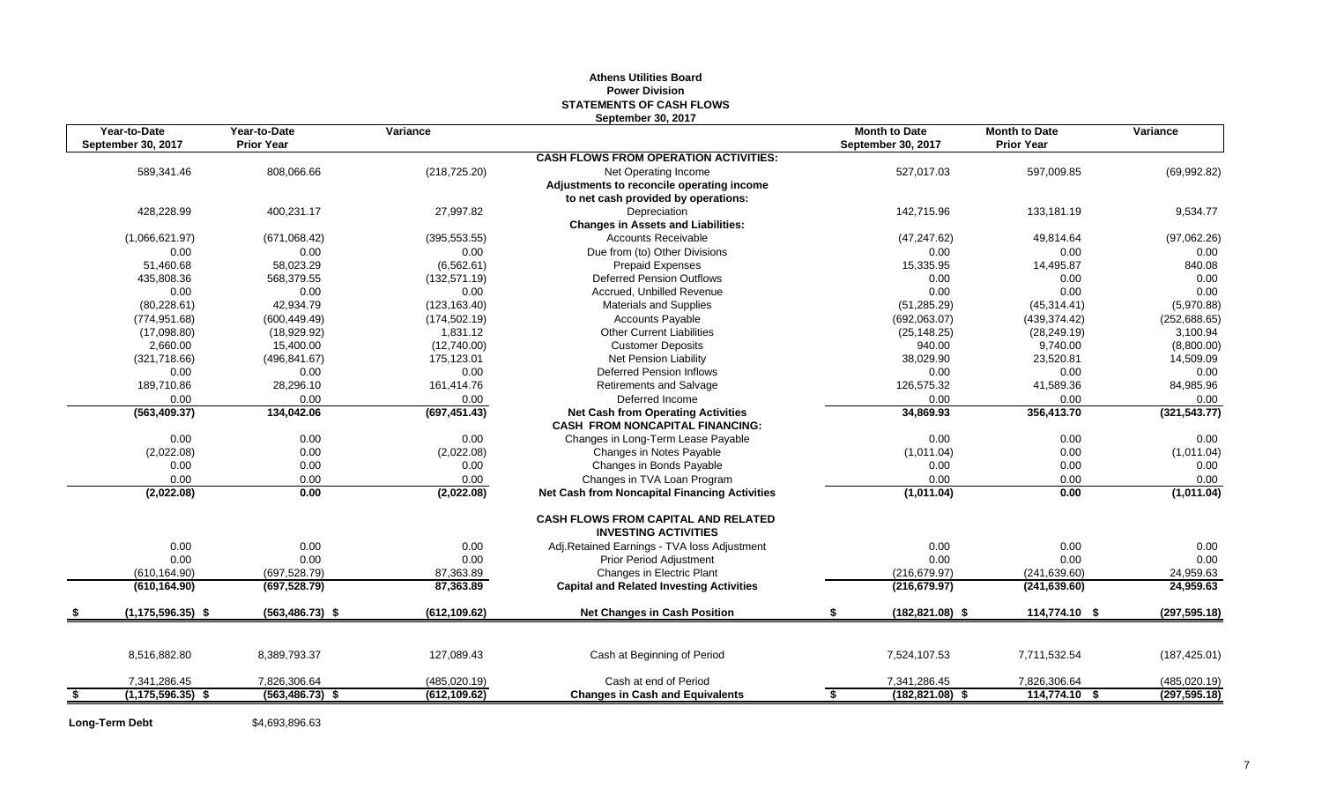#### **Athens Utilities Board Power Division STATEMENTS OF CASH FLOWS September 30, 2017**

| Year-to-Date                | Year-to-Date       | Variance      |                                                                                     | <b>Month to Date</b>     | <b>Month to Date</b> | Variance      |
|-----------------------------|--------------------|---------------|-------------------------------------------------------------------------------------|--------------------------|----------------------|---------------|
| September 30, 2017          | <b>Prior Year</b>  |               |                                                                                     | September 30, 2017       | <b>Prior Year</b>    |               |
|                             |                    |               | <b>CASH FLOWS FROM OPERATION ACTIVITIES:</b>                                        |                          |                      |               |
| 589,341.46                  | 808,066.66         | (218, 725.20) | Net Operating Income                                                                | 527,017.03               | 597,009.85           | (69, 992.82)  |
|                             |                    |               | Adjustments to reconcile operating income                                           |                          |                      |               |
|                             |                    |               | to net cash provided by operations:                                                 |                          |                      |               |
| 428,228.99                  | 400,231.17         | 27,997.82     | Depreciation                                                                        | 142.715.96               | 133,181.19           | 9,534.77      |
|                             |                    |               | <b>Changes in Assets and Liabilities:</b>                                           |                          |                      |               |
| (1,066,621.97)              | (671,068.42)       | (395, 553.55) | Accounts Receivable                                                                 | (47, 247.62)             | 49,814.64            | (97,062.26)   |
| 0.00                        | 0.00               | 0.00          | Due from (to) Other Divisions                                                       | 0.00                     | 0.00                 | 0.00          |
| 51,460.68                   | 58,023.29          | (6, 562.61)   | <b>Prepaid Expenses</b>                                                             | 15,335.95                | 14,495.87            | 840.08        |
| 435,808.36                  | 568,379.55         | (132, 571.19) | <b>Deferred Pension Outflows</b>                                                    | 0.00                     | 0.00                 | 0.00          |
| 0.00                        | 0.00               | 0.00          | Accrued, Unbilled Revenue                                                           | 0.00                     | 0.00                 | 0.00          |
| (80, 228.61)                | 42,934.79          | (123, 163.40) | <b>Materials and Supplies</b>                                                       | (51, 285.29)             | (45, 314.41)         | (5,970.88)    |
| (774, 951.68)               | (600, 449.49)      | (174, 502.19) | Accounts Payable                                                                    | (692,063.07)             | (439, 374.42)        | (252, 688.65) |
| (17,098.80)                 | (18,929.92)        | 1,831.12      | <b>Other Current Liabilities</b>                                                    | (25, 148.25)             | (28, 249.19)         | 3,100.94      |
| 2,660.00                    | 15,400.00          | (12,740.00)   | <b>Customer Deposits</b>                                                            | 940.00                   | 9,740.00             | (8,800.00)    |
| (321,718.66)                | (496, 841.67)      | 175,123.01    | Net Pension Liability                                                               | 38,029.90                | 23,520.81            | 14,509.09     |
| 0.00                        | 0.00               | 0.00          | Deferred Pension Inflows                                                            | 0.00                     | 0.00                 | 0.00          |
| 189,710.86                  | 28,296.10          | 161,414.76    | Retirements and Salvage                                                             | 126,575.32               | 41,589.36            | 84,985.96     |
| 0.00                        | 0.00               | 0.00          | Deferred Income                                                                     | 0.00                     | 0.00                 | 0.00          |
| (563, 409.37)               | 134,042.06         | (697, 451.43) | <b>Net Cash from Operating Activities</b><br><b>CASH FROM NONCAPITAL FINANCING:</b> | 34,869.93                | 356,413.70           | (321, 543.77) |
| 0.00                        | 0.00               | 0.00          | Changes in Long-Term Lease Payable                                                  | 0.00                     | 0.00                 | 0.00          |
| (2,022.08)                  | 0.00               | (2,022.08)    | Changes in Notes Payable                                                            | (1,011.04)               | 0.00                 | (1,011.04)    |
| 0.00                        | 0.00               | 0.00          | Changes in Bonds Payable                                                            | 0.00                     | 0.00                 | 0.00          |
| 0.00                        | 0.00               | 0.00          | Changes in TVA Loan Program                                                         | 0.00                     | 0.00                 | 0.00          |
| (2,022.08)                  | 0.00               | (2,022.08)    | <b>Net Cash from Noncapital Financing Activities</b>                                | (1,011.04)               | 0.00                 | (1,011.04)    |
|                             |                    |               | <b>CASH FLOWS FROM CAPITAL AND RELATED</b><br><b>INVESTING ACTIVITIES</b>           |                          |                      |               |
| 0.00                        | 0.00               | 0.00          | Adj.Retained Earnings - TVA loss Adjustment                                         | 0.00                     | 0.00                 | 0.00          |
| 0.00                        | 0.00               | 0.00          | Prior Period Adjustment                                                             | 0.00                     | 0.00                 | 0.00          |
| (610, 164.90)               | (697, 528.79)      | 87,363.89     | Changes in Electric Plant                                                           | (216, 679.97)            | (241, 639.60)        | 24,959.63     |
| (610, 164.90)               | (697, 528.79)      | 87,363.89     | <b>Capital and Related Investing Activities</b>                                     | (216, 679.97)            | (241, 639.60)        | 24,959.63     |
| $(1, 175, 596.35)$ \$       | $(563, 486.73)$ \$ | (612, 109.62) | <b>Net Changes in Cash Position</b>                                                 | $(182, 821.08)$ \$       | 114,774.10 \$        | (297, 595.18) |
|                             |                    |               |                                                                                     |                          |                      |               |
| 8,516,882.80                | 8,389,793.37       | 127,089.43    | Cash at Beginning of Period                                                         | 7,524,107.53             | 7,711,532.54         | (187, 425.01) |
| 7,341,286.45                | 7,826,306.64       | (485, 020.19) | Cash at end of Period                                                               | 7,341,286.45             | 7,826,306.64         | (485, 020.19) |
| \$<br>$(1, 175, 596.35)$ \$ | $(563, 486.73)$ \$ | (612, 109.62) | <b>Changes in Cash and Equivalents</b>                                              | $(182, 821.08)$ \$<br>S. | 114,774.10 \$        | (297, 595.18) |

Long-Term Debt \$4,693,896.63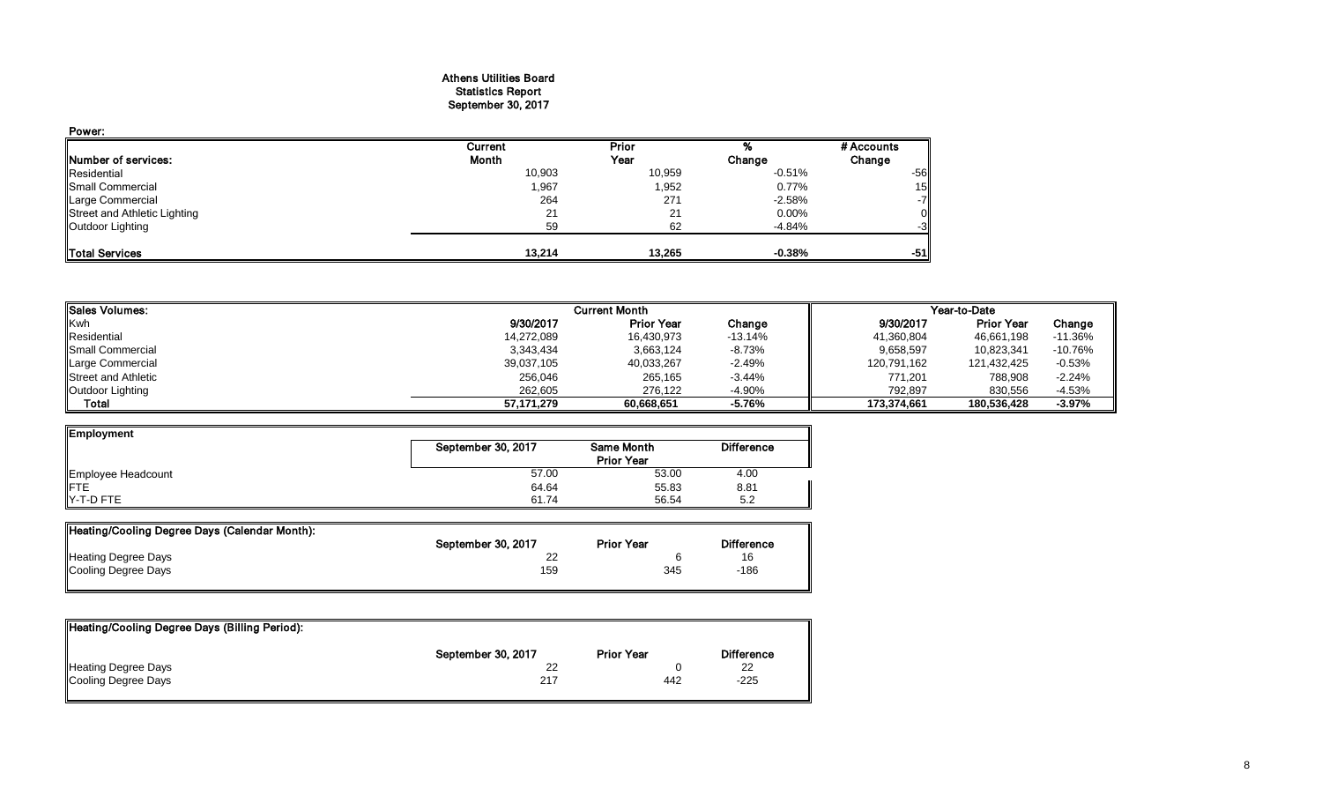#### Athens Utilities Board Statistics Report September 30, 2017

| Power:                       |         |        |          |            |
|------------------------------|---------|--------|----------|------------|
|                              | Current | Prior  |          | # Accounts |
| Number of services:          | Month   | Year   | Change   | Change     |
| Residential                  | 10,903  | 10,959 | $-0.51%$ | $-56$      |
| <b>Small Commercial</b>      | 1,967   | 1,952  | 0.77%    | 15         |
| <b>Large Commercial</b>      | 264     | 271    | $-2.58%$ | $-7$       |
| Street and Athletic Lighting | 21      | 21     | $0.00\%$ |            |
| Outdoor Lighting             | 59      | 62     | $-4.84%$ | -3         |
| <b>Total Services</b>        | 13.214  | 13,265 | $-0.38%$ | -51        |

| <b>Sales Volumes:</b>      | <b>Current Month</b> |                   |           | Year-to-Date |                   |           |
|----------------------------|----------------------|-------------------|-----------|--------------|-------------------|-----------|
| <b>Kwh</b>                 | 9/30/2017            | <b>Prior Year</b> | Change    | 9/30/2017    | <b>Prior Year</b> | Change    |
| Residential                | 14,272,089           | 16,430,973        | $-13.14%$ | 41,360,804   | 46,661,198        | $-11.36%$ |
| Small Commercial           | 3,343,434            | 3,663,124         | $-8.73%$  | 9,658,597    | 10,823,341        | $-10.76%$ |
| Large Commercial           | 39,037,105           | 40,033,267        | $-2.49%$  | 120,791,162  | 121,432,425       | $-0.53%$  |
| <b>Street and Athletic</b> | 256,046              | 265,165           | $-3.44%$  | 771,201      | 788,908           | $-2.24%$  |
| Outdoor Lighting           | 262.605              | 276.122           | $-4.90%$  | 792.897      | 830.556           | $-4.53%$  |
| Total                      | 57.171.279           | 60,668,651        | $-5.76%$  | 173.374.661  | 180.536.428       | $-3.97%$  |

| Employment         |                    |                   |                   |
|--------------------|--------------------|-------------------|-------------------|
|                    | September 30, 2017 | Same Month        | <b>Difference</b> |
|                    |                    | <b>Prior Year</b> |                   |
| Employee Headcount | 57.00              | 53.00             | 4.00              |
| <b>IFTE</b>        | 64.64              | 55.83             | 8.81              |
| $Y-T-D$ FTE        | 61.74              | 56.54             | 5.2               |

| Heating/Cooling Degree Days (Calendar Month): |                    |                   |                   |
|-----------------------------------------------|--------------------|-------------------|-------------------|
|                                               | September 30, 2017 | <b>Prior Year</b> | <b>Difference</b> |
| <b>Heating Degree Days</b>                    |                    |                   | 16                |
| Cooling Degree Days                           | 159                | 345               | $-186$            |

| September 30, 2017 | <b>Prior Year</b> | <b>Difference</b> |
|--------------------|-------------------|-------------------|
| 22                 |                   | 22                |
| 217                | 442               | $-225$            |
|                    |                   |                   |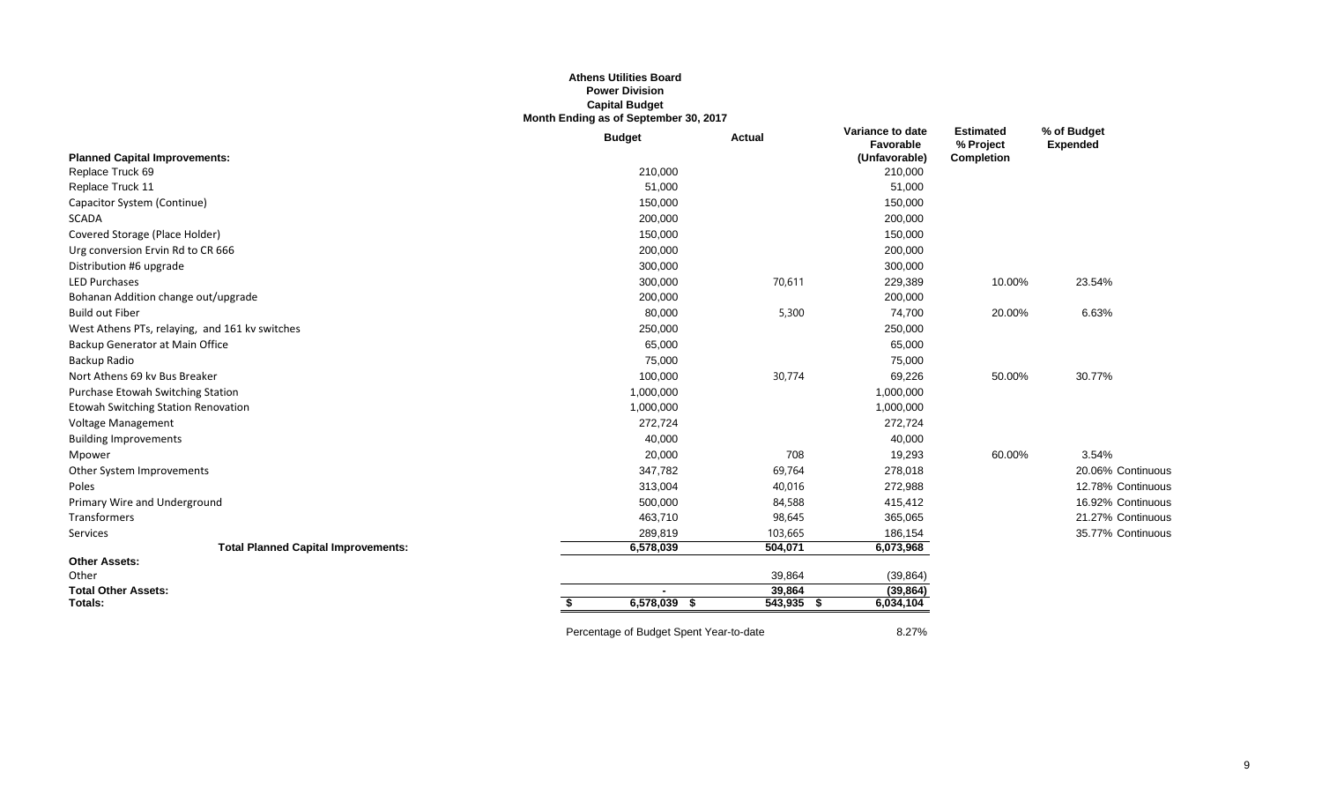#### **Athens Utilities Board Power Division Capital Budget Month Ending as of September 30, 2017**

|                                                | <b>Budget</b>                           | <b>Actual</b> | Variance to date<br>Favorable | <b>Estimated</b><br>% Project | % of Budget<br><b>Expended</b> |
|------------------------------------------------|-----------------------------------------|---------------|-------------------------------|-------------------------------|--------------------------------|
| <b>Planned Capital Improvements:</b>           |                                         |               | (Unfavorable)                 | <b>Completion</b>             |                                |
| Replace Truck 69                               | 210,000                                 |               | 210,000                       |                               |                                |
| Replace Truck 11                               | 51,000                                  |               | 51,000                        |                               |                                |
| Capacitor System (Continue)                    | 150,000                                 |               | 150,000                       |                               |                                |
| <b>SCADA</b>                                   | 200,000                                 |               | 200,000                       |                               |                                |
| Covered Storage (Place Holder)                 | 150,000                                 |               | 150,000                       |                               |                                |
| Urg conversion Ervin Rd to CR 666              | 200,000                                 |               | 200,000                       |                               |                                |
| Distribution #6 upgrade                        | 300,000                                 |               | 300,000                       |                               |                                |
| <b>LED Purchases</b>                           | 300,000                                 | 70,611        | 229,389                       | 10.00%                        | 23.54%                         |
| Bohanan Addition change out/upgrade            | 200,000                                 |               | 200,000                       |                               |                                |
| <b>Build out Fiber</b>                         | 80,000                                  | 5,300         | 74,700                        | 20.00%                        | 6.63%                          |
| West Athens PTs, relaying, and 161 kv switches | 250,000                                 |               | 250,000                       |                               |                                |
| Backup Generator at Main Office                | 65,000                                  |               | 65,000                        |                               |                                |
| Backup Radio                                   | 75,000                                  |               | 75,000                        |                               |                                |
| Nort Athens 69 kv Bus Breaker                  | 100,000                                 | 30,774        | 69,226                        | 50.00%                        | 30.77%                         |
| Purchase Etowah Switching Station              | 1,000,000                               |               | 1,000,000                     |                               |                                |
| Etowah Switching Station Renovation            | 1,000,000                               |               | 1,000,000                     |                               |                                |
| Voltage Management                             | 272,724                                 |               | 272,724                       |                               |                                |
| <b>Building Improvements</b>                   | 40,000                                  |               | 40,000                        |                               |                                |
| Mpower                                         | 20,000                                  | 708           | 19,293                        | 60.00%                        | 3.54%                          |
| Other System Improvements                      | 347,782                                 | 69,764        | 278,018                       |                               | 20.06% Continuous              |
| Poles                                          | 313,004                                 | 40,016        | 272,988                       |                               | 12.78% Continuous              |
| Primary Wire and Underground                   | 500,000                                 | 84,588        | 415,412                       |                               | 16.92% Continuous              |
| Transformers                                   | 463,710                                 | 98,645        | 365,065                       |                               | 21.27% Continuous              |
| Services                                       | 289,819                                 | 103,665       | 186,154                       |                               | 35.77% Continuous              |
| <b>Total Planned Capital Improvements:</b>     | 6,578,039                               | 504,071       | 6,073,968                     |                               |                                |
| <b>Other Assets:</b>                           |                                         |               |                               |                               |                                |
| Other                                          |                                         | 39,864        | (39, 864)                     |                               |                                |
| <b>Total Other Assets:</b>                     |                                         | 39,864        | (39, 864)                     |                               |                                |
| Totals:                                        | 6,578,039<br>- S<br>S.                  | $543,935$ \$  | 6,034,104                     |                               |                                |
|                                                | Percentage of Budget Spent Year-to-date |               | 8.27%                         |                               |                                |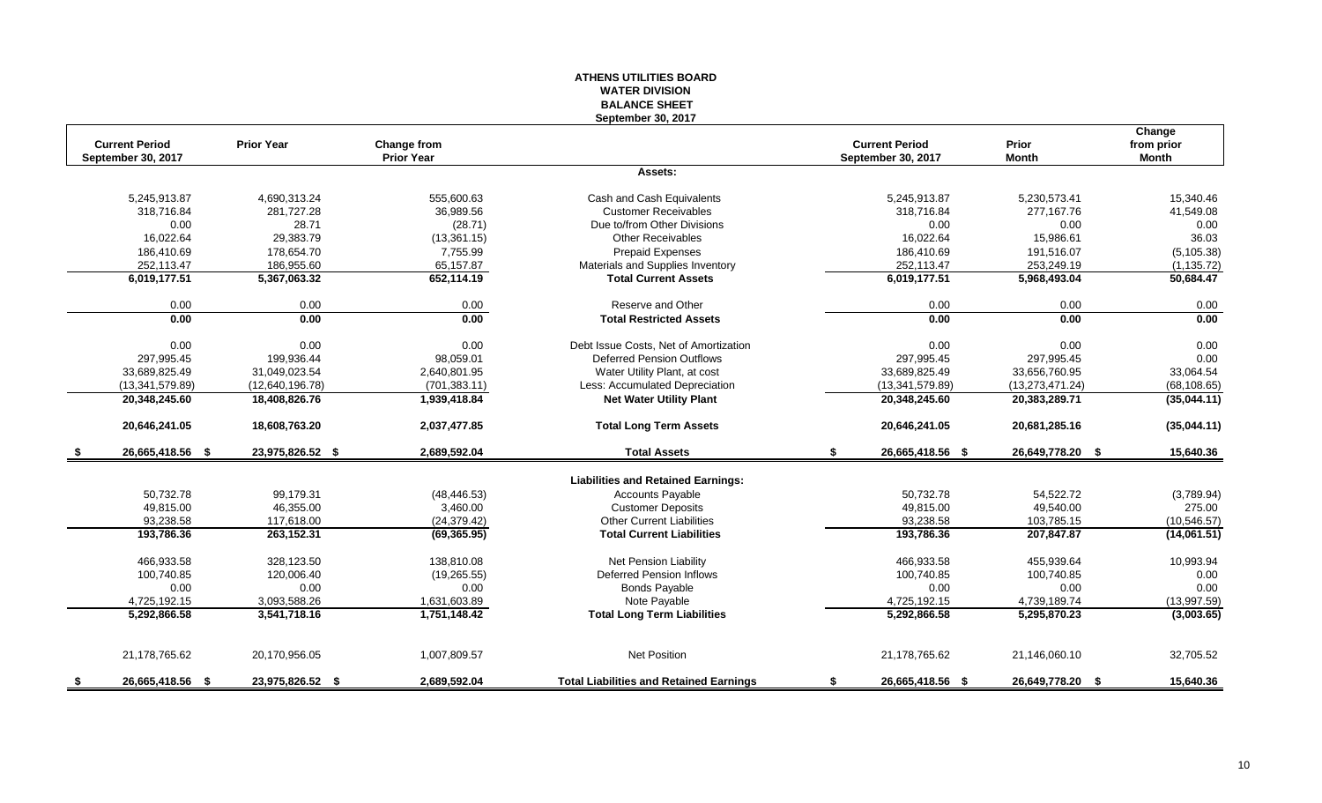#### **ATHENS UTILITIES BOARD WATER DIVISION BALANCE SHEET September 30, 2017**

|      | <b>Current Period</b> | <b>Prior Year</b> | Change from       |                                                | <b>Current Period</b>  | Prior             | Change<br>from prior |
|------|-----------------------|-------------------|-------------------|------------------------------------------------|------------------------|-------------------|----------------------|
|      | September 30, 2017    |                   | <b>Prior Year</b> |                                                | September 30, 2017     | <b>Month</b>      | <b>Month</b>         |
|      |                       |                   |                   | Assets:                                        |                        |                   |                      |
|      | 5,245,913.87          | 4,690,313.24      | 555,600.63        | Cash and Cash Equivalents                      | 5,245,913.87           | 5,230,573.41      | 15,340.46            |
|      | 318,716.84            | 281,727.28        | 36,989.56         | <b>Customer Receivables</b>                    | 318,716.84             | 277,167.76        | 41,549.08            |
|      | 0.00                  | 28.71             | (28.71)           | Due to/from Other Divisions                    | 0.00                   | 0.00              | 0.00                 |
|      | 16,022.64             | 29,383.79         | (13, 361.15)      | <b>Other Receivables</b>                       | 16,022.64              | 15.986.61         | 36.03                |
|      | 186,410.69            | 178,654.70        | 7,755.99          | <b>Prepaid Expenses</b>                        | 186,410.69             | 191,516.07        | (5, 105.38)          |
|      | 252,113.47            | 186,955.60        | 65,157.87         | Materials and Supplies Inventory               | 252,113.47             | 253,249.19        | (1, 135.72)          |
|      | 6,019,177.51          | 5,367,063.32      | 652,114.19        | <b>Total Current Assets</b>                    | 6,019,177.51           | 5,968,493.04      | 50,684.47            |
|      | 0.00                  | 0.00              | 0.00              | Reserve and Other                              | 0.00                   | 0.00              | 0.00                 |
|      | 0.00                  | 0.00              | 0.00              | <b>Total Restricted Assets</b>                 | 0.00                   | 0.00              | 0.00                 |
|      | 0.00                  | 0.00              | 0.00              | Debt Issue Costs, Net of Amortization          | 0.00                   | 0.00              | 0.00                 |
|      | 297,995.45            | 199,936.44        | 98,059.01         | <b>Deferred Pension Outflows</b>               | 297,995.45             | 297,995.45        | 0.00                 |
|      | 33,689,825.49         | 31,049,023.54     | 2,640,801.95      | Water Utility Plant, at cost                   | 33,689,825.49          | 33,656,760.95     | 33,064.54            |
|      | (13,341,579.89)       | (12,640,196.78)   | (701, 383.11)     | Less: Accumulated Depreciation                 | (13,341,579.89)        | (13, 273, 471.24) | (68, 108.65)         |
|      | 20,348,245.60         | 18,408,826.76     | 1,939,418.84      | <b>Net Water Utility Plant</b>                 | 20,348,245.60          | 20,383,289.71     | (35,044.11)          |
|      | 20,646,241.05         | 18,608,763.20     | 2,037,477.85      | <b>Total Long Term Assets</b>                  | 20,646,241.05          | 20,681,285.16     | (35,044.11)          |
| - \$ | 26,665,418.56 \$      | 23,975,826.52 \$  | 2,689,592.04      | <b>Total Assets</b>                            | \$<br>26,665,418.56 \$ | 26,649,778.20 \$  | 15,640.36            |
|      |                       |                   |                   | <b>Liabilities and Retained Earnings:</b>      |                        |                   |                      |
|      | 50,732.78             | 99,179.31         | (48, 446.53)      | <b>Accounts Payable</b>                        | 50,732.78              | 54,522.72         | (3,789.94)           |
|      | 49,815.00             | 46,355.00         | 3,460.00          | <b>Customer Deposits</b>                       | 49,815.00              | 49,540.00         | 275.00               |
|      | 93,238.58             | 117,618.00        | (24, 379.42)      | <b>Other Current Liabilities</b>               | 93,238.58              | 103,785.15        | (10, 546.57)         |
|      | 193,786.36            | 263,152.31        | (69, 365.95)      | <b>Total Current Liabilities</b>               | 193,786.36             | 207,847.87        | (14,061.51)          |
|      |                       |                   |                   |                                                |                        |                   |                      |
|      | 466,933.58            | 328,123.50        | 138,810.08        | <b>Net Pension Liability</b>                   | 466,933.58             | 455,939.64        | 10,993.94            |
|      | 100,740.85            | 120,006.40        | (19, 265.55)      | Deferred Pension Inflows                       | 100,740.85             | 100,740.85        | 0.00                 |
|      | 0.00                  | 0.00              | 0.00              | <b>Bonds Payable</b>                           | 0.00                   | 0.00              | 0.00                 |
|      | 4,725,192.15          | 3,093,588.26      | 1,631,603.89      | Note Payable                                   | 4,725,192.15           | 4,739,189.74      | (13,997.59)          |
|      | 5,292,866.58          | 3,541,718.16      | 1,751,148.42      | <b>Total Long Term Liabilities</b>             | 5,292,866.58           | 5,295,870.23      | (3,003.65)           |
|      | 21,178,765.62         | 20,170,956.05     | 1,007,809.57      | <b>Net Position</b>                            | 21,178,765.62          | 21,146,060.10     | 32,705.52            |
| - 5  | 26,665,418.56 \$      | 23,975,826.52 \$  | 2,689,592.04      | <b>Total Liabilities and Retained Earnings</b> | \$<br>26,665,418.56 \$ | 26,649,778.20 \$  | 15,640.36            |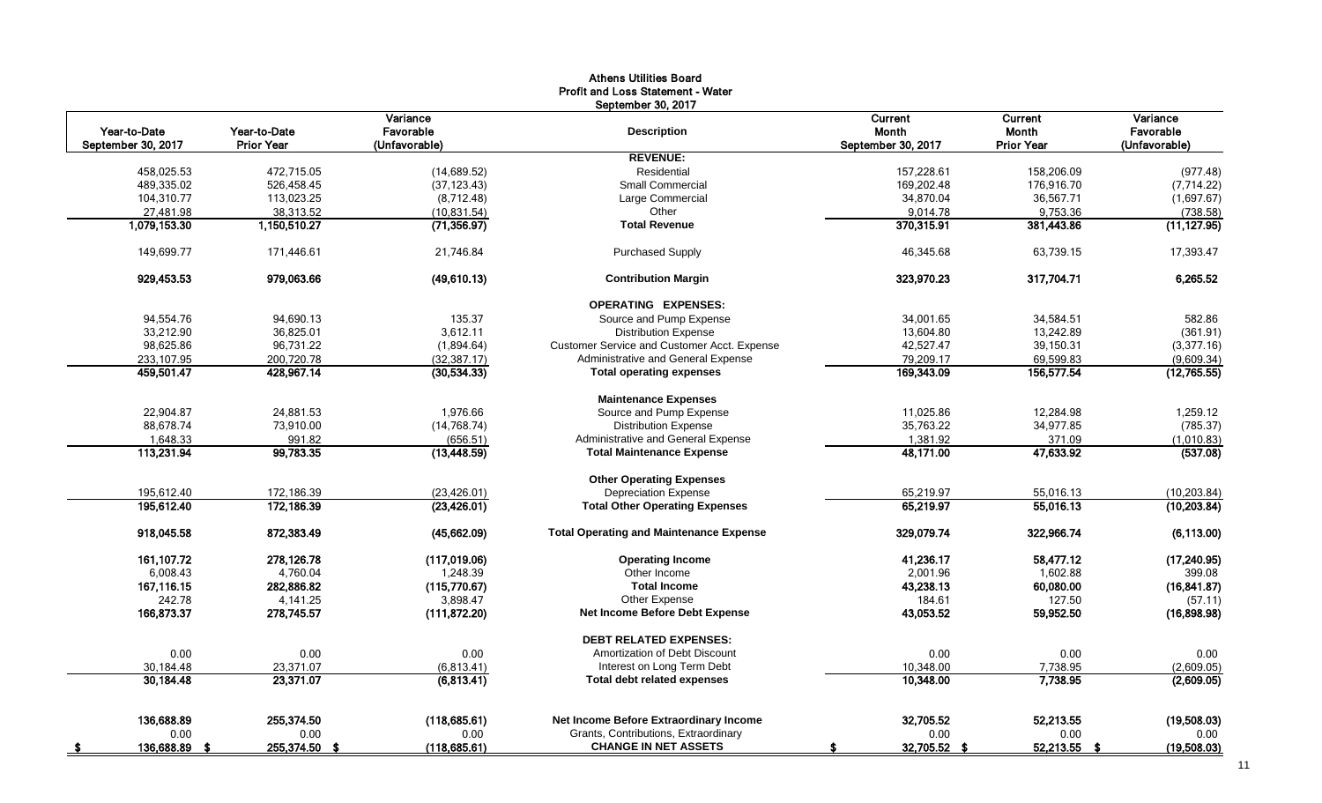|                                    |                            |                                        | Athens Utilities Board<br><b>Profit and Loss Statement - Water</b> |                                        |                                              |                                        |
|------------------------------------|----------------------------|----------------------------------------|--------------------------------------------------------------------|----------------------------------------|----------------------------------------------|----------------------------------------|
| Year-to-Date<br>September 30, 2017 | Year-to-Date<br>Prior Year | Variance<br>Favorable<br>(Unfavorable) | September 30, 2017<br><b>Description</b>                           | Current<br>Month<br>September 30, 2017 | <b>Current</b><br>Month<br><b>Prior Year</b> | Variance<br>Favorable<br>(Unfavorable) |
|                                    |                            |                                        | <b>REVENUE:</b>                                                    |                                        |                                              |                                        |
| 458,025.53                         | 472,715.05                 | (14, 689.52)                           | Residential                                                        | 157,228.61                             | 158,206.09                                   | (977.48)                               |
| 489,335.02                         | 526,458.45                 | (37, 123.43)                           | <b>Small Commercial</b>                                            | 169,202.48                             | 176,916.70                                   | (7, 714.22)                            |
| 104,310.77                         | 113,023.25                 | (8,712.48)                             | Large Commercial                                                   | 34,870.04                              | 36,567.71                                    | (1,697.67)                             |
| 27,481.98                          | 38,313.52                  | (10, 831.54)                           | Other                                                              | 9,014.78                               | 9,753.36                                     | (738.58)                               |
| 1,079,153.30                       | 1,150,510.27               | (71, 356.97)                           | <b>Total Revenue</b>                                               | 370,315.91                             | 381,443.86                                   | (11, 127.95)                           |
| 149,699.77                         | 171,446.61                 | 21,746.84                              | <b>Purchased Supply</b>                                            | 46,345.68                              | 63,739.15                                    | 17,393.47                              |
| 929,453.53                         | 979,063.66                 | (49,610.13)                            | <b>Contribution Margin</b>                                         | 323,970.23                             | 317,704.71                                   | 6,265.52                               |
|                                    |                            |                                        | <b>OPERATING EXPENSES:</b>                                         |                                        |                                              |                                        |
| 94,554.76                          | 94,690.13                  | 135.37                                 | Source and Pump Expense                                            | 34,001.65                              | 34,584.51                                    | 582.86                                 |
| 33,212.90                          | 36,825.01                  | 3,612.11                               | <b>Distribution Expense</b>                                        | 13,604.80                              | 13,242.89                                    | (361.91)                               |
| 98,625.86                          | 96,731.22                  | (1,894.64)                             | Customer Service and Customer Acct. Expense                        | 42,527.47                              | 39,150.31                                    | (3,377.16)                             |
| 233,107.95                         | 200,720.78                 | (32, 387.17)                           | Administrative and General Expense                                 | 79,209.17                              | 69,599.83                                    | (9,609.34)                             |
| 459,501.47                         | 428,967.14                 | (30,534,33)                            | <b>Total operating expenses</b>                                    | 169,343.09                             | 156,577.54                                   | (12, 765.55)                           |
|                                    |                            |                                        | <b>Maintenance Expenses</b>                                        |                                        |                                              |                                        |
| 22,904.87                          | 24,881.53                  | 1,976.66                               | Source and Pump Expense                                            | 11,025.86                              | 12,284.98                                    | 1,259.12                               |
| 88,678.74                          | 73,910.00                  | (14, 768.74)                           | <b>Distribution Expense</b>                                        | 35,763.22                              | 34,977.85                                    | (785.37)                               |
| 1,648.33                           | 991.82                     | (656.51)                               | Administrative and General Expense                                 | 1,381.92                               | 371.09                                       | (1,010.83)                             |
| 113,231.94                         | 99,783.35                  | (13, 448.59)                           | <b>Total Maintenance Expense</b>                                   | 48,171.00                              | 47,633.92                                    | (537.08)                               |
|                                    |                            |                                        | <b>Other Operating Expenses</b>                                    |                                        |                                              |                                        |
| 195,612.40                         | 172,186.39                 | (23, 426.01)                           | Depreciation Expense                                               | 65,219.97                              | 55,016.13                                    | (10, 203.84)                           |
| 195,612.40                         | 172,186.39                 | (23, 426.01)                           | <b>Total Other Operating Expenses</b>                              | 65,219.97                              | 55,016.13                                    | (10, 203.84)                           |
| 918,045.58                         | 872,383.49                 | (45,662.09)                            | <b>Total Operating and Maintenance Expense</b>                     | 329,079.74                             | 322,966.74                                   | (6, 113.00)                            |
| 161,107.72                         | 278,126.78                 | (117, 019.06)                          | <b>Operating Income</b>                                            | 41,236.17                              | 58,477.12                                    | (17, 240.95)                           |
| 6,008.43                           | 4,760.04                   | 1,248.39                               | Other Income                                                       | 2,001.96                               | 1,602.88                                     | 399.08                                 |
| 167,116.15                         | 282,886.82                 | (115,770.67)                           | <b>Total Income</b>                                                | 43,238.13                              | 60,080.00                                    | (16, 841.87)                           |
| 242.78                             | 4,141.25                   | 3,898.47                               | Other Expense                                                      | 184.61                                 | 127.50                                       | (57.11)                                |
| 166,873.37                         | 278,745.57                 | (111, 872.20)                          | Net Income Before Debt Expense                                     | 43,053.52                              | 59,952.50                                    | (16,898.98)                            |
|                                    |                            |                                        | <b>DEBT RELATED EXPENSES:</b>                                      |                                        |                                              |                                        |
| 0.00                               | 0.00                       | 0.00                                   | Amortization of Debt Discount                                      | 0.00                                   | 0.00                                         | 0.00                                   |
| 30,184.48                          | 23,371.07                  | (6,813.41)                             | Interest on Long Term Debt                                         | 10,348.00                              | 7,738.95                                     | (2,609.05)                             |
| 30,184.48                          | 23,371.07                  | (6,813.41)                             | <b>Total debt related expenses</b>                                 | 10,348.00                              | 7,738.95                                     | (2,609.05)                             |
|                                    |                            |                                        |                                                                    |                                        |                                              |                                        |
| 136,688.89                         | 255,374.50                 | (118, 685.61)                          | Net Income Before Extraordinary Income                             | 32,705.52                              | 52,213.55                                    | (19,508.03)                            |
| 0.00                               | 0.00                       | 0.00                                   | Grants, Contributions, Extraordinary                               | 0.00                                   | 0.00                                         | 0.00                                   |
| 136,688.89 \$                      | 255,374.50 \$              | (118, 685.61)                          | <b>CHANGE IN NET ASSETS</b>                                        | 32,705.52 \$                           | 52,213.55 \$                                 | (19,508.03)                            |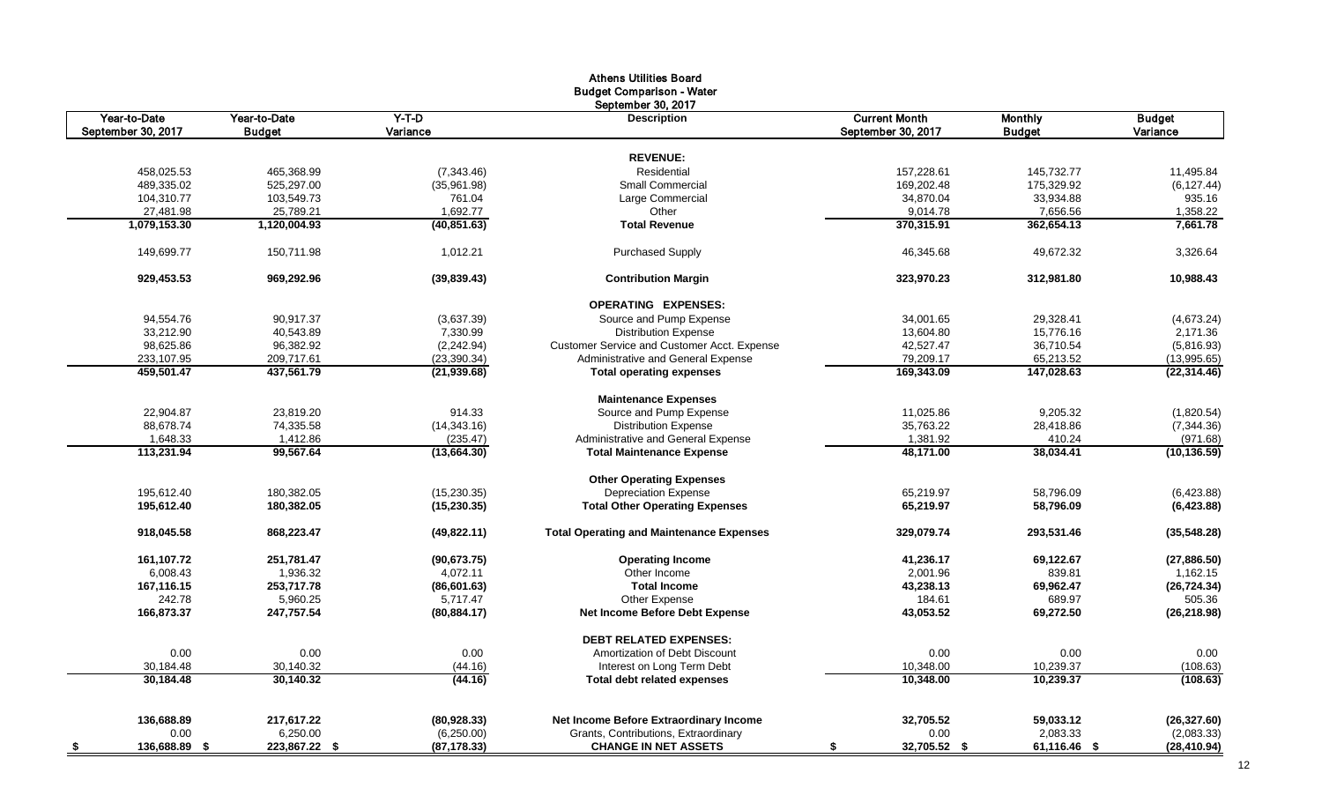| September 30, 2017<br>$Y-T-D$<br><b>Current Month</b><br>Year-to-Date<br>Year-to-Date<br><b>Monthly</b><br><b>Budget</b><br>Description<br>September 30, 2017<br>Variance<br>September 30, 2017<br><b>Budget</b><br>Variance<br><b>Budget</b><br><b>REVENUE:</b><br>Residential<br>145,732.77<br>458,025.53<br>465,368.99<br>(7, 343.46)<br>157,228.61<br>11,495.84<br>489,335.02<br>525,297.00<br>(35,961.98)<br><b>Small Commercial</b><br>169,202.48<br>175,329.92<br>(6, 127.44)<br>104,310.77<br>103,549.73<br>761.04<br>Large Commercial<br>34,870.04<br>33,934.88<br>935.16<br>27,481.98<br>25,789.21<br>1,692.77<br>9,014.78<br>7,656.56<br>Other<br>1,358.22<br>1,079,153.30<br>370,315.91<br>362,654.13<br>7,661.78<br>1,120,004.93<br>(40, 851.63)<br><b>Total Revenue</b><br>150,711.98<br>49,672.32<br>149,699.77<br>1,012.21<br><b>Purchased Supply</b><br>46,345.68<br>(39, 839.43)<br>323,970.23<br>929,453.53<br>969,292.96<br><b>Contribution Margin</b><br>312,981.80<br><b>OPERATING EXPENSES:</b><br>90,917.37<br>94,554.76<br>(3,637.39)<br>Source and Pump Expense<br>34,001.65<br>29,328.41<br>33,212.90<br>40,543.89<br>7,330.99<br><b>Distribution Expense</b><br>13,604.80<br>15.776.16<br>98,625.86<br>96,382.92<br>(2, 242.94)<br>42,527.47<br>Customer Service and Customer Acct. Expense<br>36,710.54<br>Administrative and General Expense<br>79,209.17<br>233,107.95<br>209,717.61<br>(23, 390.34)<br>65,213.52<br>459.501.47<br>437,561.79<br>169.343.09<br>147.028.63<br>(21, 939.68)<br><b>Total operating expenses</b><br><b>Maintenance Expenses</b><br>22,904.87<br>23,819.20<br>914.33<br>Source and Pump Expense<br>11,025.86<br>9,205.32<br>74,335.58<br>88,678.74<br>(14, 343.16)<br><b>Distribution Expense</b><br>35,763.22<br>28,418.86<br>1,648.33<br>1,412.86<br>(235.47)<br>Administrative and General Expense<br>1,381.92<br>410.24<br>113,231.94<br>99,567.64<br>48,171.00<br>38,034.41<br>(13,664.30)<br><b>Total Maintenance Expense</b><br><b>Other Operating Expenses</b><br>195,612.40<br>180,382.05<br>(15, 230.35)<br><b>Depreciation Expense</b><br>65,219.97<br>58,796.09<br>(6,423.88)<br>195,612.40<br>180,382.05<br><b>Total Other Operating Expenses</b><br>65,219.97<br>58,796.09<br>(6,423.88)<br>(15, 230.35)<br>918,045.58<br>868,223.47<br>(49,822.11)<br><b>Total Operating and Maintenance Expenses</b><br>329,079.74<br>293,531.46<br>161,107.72<br>251,781.47<br>(90,673.75)<br><b>Operating Income</b><br>41,236.17<br>69,122.67<br>1,936.32<br>Other Income<br>839.81<br>6,008.43<br>4,072.11<br>2,001.96<br>167,116.15<br>253,717.78<br><b>Total Income</b><br>43,238.13<br>(86,601.63)<br>69,962.47<br>242.78<br>5,960.25<br>Other Expense<br>689.97<br>5,717.47<br>184.61<br>166,873.37<br>247,757.54<br>(80, 884.17)<br><b>Net Income Before Debt Expense</b><br>43,053.52<br>69,272.50<br><b>DEBT RELATED EXPENSES:</b><br>0.00<br>0.00<br>0.00<br>0.00<br>0.00<br>Amortization of Debt Discount<br>30,140.32<br>10,239.37<br>30,184.48<br>(44.16)<br>Interest on Long Term Debt<br>10,348.00<br>30.184.48<br>30.140.32<br>(44.16)<br><b>Total debt related expenses</b><br>10.348.00<br>10,239.37<br>Net Income Before Extraordinary Income<br>136,688.89<br>217,617.22<br>(80,928.33)<br>32,705.52<br>59,033.12<br>(26, 327.60)<br>0.00<br>6,250.00<br>(6,250.00)<br>Grants, Contributions, Extraordinary<br>0.00<br>2,083.33<br>(2,083.33)<br>136,688.89 \$ |      |               |              | <b>Athens Utilities Board</b><br><b>Budget Comparison - Water</b> |                    |              |              |
|------------------------------------------------------------------------------------------------------------------------------------------------------------------------------------------------------------------------------------------------------------------------------------------------------------------------------------------------------------------------------------------------------------------------------------------------------------------------------------------------------------------------------------------------------------------------------------------------------------------------------------------------------------------------------------------------------------------------------------------------------------------------------------------------------------------------------------------------------------------------------------------------------------------------------------------------------------------------------------------------------------------------------------------------------------------------------------------------------------------------------------------------------------------------------------------------------------------------------------------------------------------------------------------------------------------------------------------------------------------------------------------------------------------------------------------------------------------------------------------------------------------------------------------------------------------------------------------------------------------------------------------------------------------------------------------------------------------------------------------------------------------------------------------------------------------------------------------------------------------------------------------------------------------------------------------------------------------------------------------------------------------------------------------------------------------------------------------------------------------------------------------------------------------------------------------------------------------------------------------------------------------------------------------------------------------------------------------------------------------------------------------------------------------------------------------------------------------------------------------------------------------------------------------------------------------------------------------------------------------------------------------------------------------------------------------------------------------------------------------------------------------------------------------------------------------------------------------------------------------------------------------------------------------------------------------------------------------------------------------------------------------------------------------------------------------------------------------------------------------------------------------------------------------------------------------------------------------------------------------------------------------------------------------------------------------------------------------------------------------------------------------------------------------------------------------------|------|---------------|--------------|-------------------------------------------------------------------|--------------------|--------------|--------------|
|                                                                                                                                                                                                                                                                                                                                                                                                                                                                                                                                                                                                                                                                                                                                                                                                                                                                                                                                                                                                                                                                                                                                                                                                                                                                                                                                                                                                                                                                                                                                                                                                                                                                                                                                                                                                                                                                                                                                                                                                                                                                                                                                                                                                                                                                                                                                                                                                                                                                                                                                                                                                                                                                                                                                                                                                                                                                                                                                                                                                                                                                                                                                                                                                                                                                                                                                                                                                                                                |      |               |              |                                                                   |                    |              |              |
|                                                                                                                                                                                                                                                                                                                                                                                                                                                                                                                                                                                                                                                                                                                                                                                                                                                                                                                                                                                                                                                                                                                                                                                                                                                                                                                                                                                                                                                                                                                                                                                                                                                                                                                                                                                                                                                                                                                                                                                                                                                                                                                                                                                                                                                                                                                                                                                                                                                                                                                                                                                                                                                                                                                                                                                                                                                                                                                                                                                                                                                                                                                                                                                                                                                                                                                                                                                                                                                |      |               |              |                                                                   |                    |              |              |
|                                                                                                                                                                                                                                                                                                                                                                                                                                                                                                                                                                                                                                                                                                                                                                                                                                                                                                                                                                                                                                                                                                                                                                                                                                                                                                                                                                                                                                                                                                                                                                                                                                                                                                                                                                                                                                                                                                                                                                                                                                                                                                                                                                                                                                                                                                                                                                                                                                                                                                                                                                                                                                                                                                                                                                                                                                                                                                                                                                                                                                                                                                                                                                                                                                                                                                                                                                                                                                                |      |               |              |                                                                   |                    |              |              |
|                                                                                                                                                                                                                                                                                                                                                                                                                                                                                                                                                                                                                                                                                                                                                                                                                                                                                                                                                                                                                                                                                                                                                                                                                                                                                                                                                                                                                                                                                                                                                                                                                                                                                                                                                                                                                                                                                                                                                                                                                                                                                                                                                                                                                                                                                                                                                                                                                                                                                                                                                                                                                                                                                                                                                                                                                                                                                                                                                                                                                                                                                                                                                                                                                                                                                                                                                                                                                                                |      |               |              |                                                                   |                    |              |              |
|                                                                                                                                                                                                                                                                                                                                                                                                                                                                                                                                                                                                                                                                                                                                                                                                                                                                                                                                                                                                                                                                                                                                                                                                                                                                                                                                                                                                                                                                                                                                                                                                                                                                                                                                                                                                                                                                                                                                                                                                                                                                                                                                                                                                                                                                                                                                                                                                                                                                                                                                                                                                                                                                                                                                                                                                                                                                                                                                                                                                                                                                                                                                                                                                                                                                                                                                                                                                                                                |      |               |              |                                                                   |                    |              |              |
|                                                                                                                                                                                                                                                                                                                                                                                                                                                                                                                                                                                                                                                                                                                                                                                                                                                                                                                                                                                                                                                                                                                                                                                                                                                                                                                                                                                                                                                                                                                                                                                                                                                                                                                                                                                                                                                                                                                                                                                                                                                                                                                                                                                                                                                                                                                                                                                                                                                                                                                                                                                                                                                                                                                                                                                                                                                                                                                                                                                                                                                                                                                                                                                                                                                                                                                                                                                                                                                |      |               |              |                                                                   |                    |              |              |
|                                                                                                                                                                                                                                                                                                                                                                                                                                                                                                                                                                                                                                                                                                                                                                                                                                                                                                                                                                                                                                                                                                                                                                                                                                                                                                                                                                                                                                                                                                                                                                                                                                                                                                                                                                                                                                                                                                                                                                                                                                                                                                                                                                                                                                                                                                                                                                                                                                                                                                                                                                                                                                                                                                                                                                                                                                                                                                                                                                                                                                                                                                                                                                                                                                                                                                                                                                                                                                                |      |               |              |                                                                   |                    |              |              |
|                                                                                                                                                                                                                                                                                                                                                                                                                                                                                                                                                                                                                                                                                                                                                                                                                                                                                                                                                                                                                                                                                                                                                                                                                                                                                                                                                                                                                                                                                                                                                                                                                                                                                                                                                                                                                                                                                                                                                                                                                                                                                                                                                                                                                                                                                                                                                                                                                                                                                                                                                                                                                                                                                                                                                                                                                                                                                                                                                                                                                                                                                                                                                                                                                                                                                                                                                                                                                                                |      |               |              |                                                                   |                    |              |              |
|                                                                                                                                                                                                                                                                                                                                                                                                                                                                                                                                                                                                                                                                                                                                                                                                                                                                                                                                                                                                                                                                                                                                                                                                                                                                                                                                                                                                                                                                                                                                                                                                                                                                                                                                                                                                                                                                                                                                                                                                                                                                                                                                                                                                                                                                                                                                                                                                                                                                                                                                                                                                                                                                                                                                                                                                                                                                                                                                                                                                                                                                                                                                                                                                                                                                                                                                                                                                                                                |      |               |              |                                                                   |                    |              |              |
|                                                                                                                                                                                                                                                                                                                                                                                                                                                                                                                                                                                                                                                                                                                                                                                                                                                                                                                                                                                                                                                                                                                                                                                                                                                                                                                                                                                                                                                                                                                                                                                                                                                                                                                                                                                                                                                                                                                                                                                                                                                                                                                                                                                                                                                                                                                                                                                                                                                                                                                                                                                                                                                                                                                                                                                                                                                                                                                                                                                                                                                                                                                                                                                                                                                                                                                                                                                                                                                |      |               |              |                                                                   |                    |              | 3,326.64     |
|                                                                                                                                                                                                                                                                                                                                                                                                                                                                                                                                                                                                                                                                                                                                                                                                                                                                                                                                                                                                                                                                                                                                                                                                                                                                                                                                                                                                                                                                                                                                                                                                                                                                                                                                                                                                                                                                                                                                                                                                                                                                                                                                                                                                                                                                                                                                                                                                                                                                                                                                                                                                                                                                                                                                                                                                                                                                                                                                                                                                                                                                                                                                                                                                                                                                                                                                                                                                                                                |      |               |              |                                                                   |                    |              | 10,988.43    |
|                                                                                                                                                                                                                                                                                                                                                                                                                                                                                                                                                                                                                                                                                                                                                                                                                                                                                                                                                                                                                                                                                                                                                                                                                                                                                                                                                                                                                                                                                                                                                                                                                                                                                                                                                                                                                                                                                                                                                                                                                                                                                                                                                                                                                                                                                                                                                                                                                                                                                                                                                                                                                                                                                                                                                                                                                                                                                                                                                                                                                                                                                                                                                                                                                                                                                                                                                                                                                                                |      |               |              |                                                                   |                    |              |              |
|                                                                                                                                                                                                                                                                                                                                                                                                                                                                                                                                                                                                                                                                                                                                                                                                                                                                                                                                                                                                                                                                                                                                                                                                                                                                                                                                                                                                                                                                                                                                                                                                                                                                                                                                                                                                                                                                                                                                                                                                                                                                                                                                                                                                                                                                                                                                                                                                                                                                                                                                                                                                                                                                                                                                                                                                                                                                                                                                                                                                                                                                                                                                                                                                                                                                                                                                                                                                                                                |      |               |              |                                                                   |                    |              | (4,673.24)   |
|                                                                                                                                                                                                                                                                                                                                                                                                                                                                                                                                                                                                                                                                                                                                                                                                                                                                                                                                                                                                                                                                                                                                                                                                                                                                                                                                                                                                                                                                                                                                                                                                                                                                                                                                                                                                                                                                                                                                                                                                                                                                                                                                                                                                                                                                                                                                                                                                                                                                                                                                                                                                                                                                                                                                                                                                                                                                                                                                                                                                                                                                                                                                                                                                                                                                                                                                                                                                                                                |      |               |              |                                                                   |                    |              | 2,171.36     |
|                                                                                                                                                                                                                                                                                                                                                                                                                                                                                                                                                                                                                                                                                                                                                                                                                                                                                                                                                                                                                                                                                                                                                                                                                                                                                                                                                                                                                                                                                                                                                                                                                                                                                                                                                                                                                                                                                                                                                                                                                                                                                                                                                                                                                                                                                                                                                                                                                                                                                                                                                                                                                                                                                                                                                                                                                                                                                                                                                                                                                                                                                                                                                                                                                                                                                                                                                                                                                                                |      |               |              |                                                                   |                    |              | (5,816.93)   |
|                                                                                                                                                                                                                                                                                                                                                                                                                                                                                                                                                                                                                                                                                                                                                                                                                                                                                                                                                                                                                                                                                                                                                                                                                                                                                                                                                                                                                                                                                                                                                                                                                                                                                                                                                                                                                                                                                                                                                                                                                                                                                                                                                                                                                                                                                                                                                                                                                                                                                                                                                                                                                                                                                                                                                                                                                                                                                                                                                                                                                                                                                                                                                                                                                                                                                                                                                                                                                                                |      |               |              |                                                                   |                    |              | (13,995.65)  |
|                                                                                                                                                                                                                                                                                                                                                                                                                                                                                                                                                                                                                                                                                                                                                                                                                                                                                                                                                                                                                                                                                                                                                                                                                                                                                                                                                                                                                                                                                                                                                                                                                                                                                                                                                                                                                                                                                                                                                                                                                                                                                                                                                                                                                                                                                                                                                                                                                                                                                                                                                                                                                                                                                                                                                                                                                                                                                                                                                                                                                                                                                                                                                                                                                                                                                                                                                                                                                                                |      |               |              |                                                                   |                    |              | (22, 314.46) |
|                                                                                                                                                                                                                                                                                                                                                                                                                                                                                                                                                                                                                                                                                                                                                                                                                                                                                                                                                                                                                                                                                                                                                                                                                                                                                                                                                                                                                                                                                                                                                                                                                                                                                                                                                                                                                                                                                                                                                                                                                                                                                                                                                                                                                                                                                                                                                                                                                                                                                                                                                                                                                                                                                                                                                                                                                                                                                                                                                                                                                                                                                                                                                                                                                                                                                                                                                                                                                                                |      |               |              |                                                                   |                    |              |              |
|                                                                                                                                                                                                                                                                                                                                                                                                                                                                                                                                                                                                                                                                                                                                                                                                                                                                                                                                                                                                                                                                                                                                                                                                                                                                                                                                                                                                                                                                                                                                                                                                                                                                                                                                                                                                                                                                                                                                                                                                                                                                                                                                                                                                                                                                                                                                                                                                                                                                                                                                                                                                                                                                                                                                                                                                                                                                                                                                                                                                                                                                                                                                                                                                                                                                                                                                                                                                                                                |      |               |              |                                                                   |                    |              | (1,820.54)   |
|                                                                                                                                                                                                                                                                                                                                                                                                                                                                                                                                                                                                                                                                                                                                                                                                                                                                                                                                                                                                                                                                                                                                                                                                                                                                                                                                                                                                                                                                                                                                                                                                                                                                                                                                                                                                                                                                                                                                                                                                                                                                                                                                                                                                                                                                                                                                                                                                                                                                                                                                                                                                                                                                                                                                                                                                                                                                                                                                                                                                                                                                                                                                                                                                                                                                                                                                                                                                                                                |      |               |              |                                                                   |                    |              | (7, 344.36)  |
|                                                                                                                                                                                                                                                                                                                                                                                                                                                                                                                                                                                                                                                                                                                                                                                                                                                                                                                                                                                                                                                                                                                                                                                                                                                                                                                                                                                                                                                                                                                                                                                                                                                                                                                                                                                                                                                                                                                                                                                                                                                                                                                                                                                                                                                                                                                                                                                                                                                                                                                                                                                                                                                                                                                                                                                                                                                                                                                                                                                                                                                                                                                                                                                                                                                                                                                                                                                                                                                |      |               |              |                                                                   |                    |              | (971.68)     |
|                                                                                                                                                                                                                                                                                                                                                                                                                                                                                                                                                                                                                                                                                                                                                                                                                                                                                                                                                                                                                                                                                                                                                                                                                                                                                                                                                                                                                                                                                                                                                                                                                                                                                                                                                                                                                                                                                                                                                                                                                                                                                                                                                                                                                                                                                                                                                                                                                                                                                                                                                                                                                                                                                                                                                                                                                                                                                                                                                                                                                                                                                                                                                                                                                                                                                                                                                                                                                                                |      |               |              |                                                                   |                    |              | (10, 136.59) |
|                                                                                                                                                                                                                                                                                                                                                                                                                                                                                                                                                                                                                                                                                                                                                                                                                                                                                                                                                                                                                                                                                                                                                                                                                                                                                                                                                                                                                                                                                                                                                                                                                                                                                                                                                                                                                                                                                                                                                                                                                                                                                                                                                                                                                                                                                                                                                                                                                                                                                                                                                                                                                                                                                                                                                                                                                                                                                                                                                                                                                                                                                                                                                                                                                                                                                                                                                                                                                                                |      |               |              |                                                                   |                    |              |              |
|                                                                                                                                                                                                                                                                                                                                                                                                                                                                                                                                                                                                                                                                                                                                                                                                                                                                                                                                                                                                                                                                                                                                                                                                                                                                                                                                                                                                                                                                                                                                                                                                                                                                                                                                                                                                                                                                                                                                                                                                                                                                                                                                                                                                                                                                                                                                                                                                                                                                                                                                                                                                                                                                                                                                                                                                                                                                                                                                                                                                                                                                                                                                                                                                                                                                                                                                                                                                                                                |      |               |              |                                                                   |                    |              |              |
|                                                                                                                                                                                                                                                                                                                                                                                                                                                                                                                                                                                                                                                                                                                                                                                                                                                                                                                                                                                                                                                                                                                                                                                                                                                                                                                                                                                                                                                                                                                                                                                                                                                                                                                                                                                                                                                                                                                                                                                                                                                                                                                                                                                                                                                                                                                                                                                                                                                                                                                                                                                                                                                                                                                                                                                                                                                                                                                                                                                                                                                                                                                                                                                                                                                                                                                                                                                                                                                |      |               |              |                                                                   |                    |              |              |
|                                                                                                                                                                                                                                                                                                                                                                                                                                                                                                                                                                                                                                                                                                                                                                                                                                                                                                                                                                                                                                                                                                                                                                                                                                                                                                                                                                                                                                                                                                                                                                                                                                                                                                                                                                                                                                                                                                                                                                                                                                                                                                                                                                                                                                                                                                                                                                                                                                                                                                                                                                                                                                                                                                                                                                                                                                                                                                                                                                                                                                                                                                                                                                                                                                                                                                                                                                                                                                                |      |               |              |                                                                   |                    |              | (35,548.28)  |
|                                                                                                                                                                                                                                                                                                                                                                                                                                                                                                                                                                                                                                                                                                                                                                                                                                                                                                                                                                                                                                                                                                                                                                                                                                                                                                                                                                                                                                                                                                                                                                                                                                                                                                                                                                                                                                                                                                                                                                                                                                                                                                                                                                                                                                                                                                                                                                                                                                                                                                                                                                                                                                                                                                                                                                                                                                                                                                                                                                                                                                                                                                                                                                                                                                                                                                                                                                                                                                                |      |               |              |                                                                   |                    |              | (27, 886.50) |
|                                                                                                                                                                                                                                                                                                                                                                                                                                                                                                                                                                                                                                                                                                                                                                                                                                                                                                                                                                                                                                                                                                                                                                                                                                                                                                                                                                                                                                                                                                                                                                                                                                                                                                                                                                                                                                                                                                                                                                                                                                                                                                                                                                                                                                                                                                                                                                                                                                                                                                                                                                                                                                                                                                                                                                                                                                                                                                                                                                                                                                                                                                                                                                                                                                                                                                                                                                                                                                                |      |               |              |                                                                   |                    |              | 1,162.15     |
|                                                                                                                                                                                                                                                                                                                                                                                                                                                                                                                                                                                                                                                                                                                                                                                                                                                                                                                                                                                                                                                                                                                                                                                                                                                                                                                                                                                                                                                                                                                                                                                                                                                                                                                                                                                                                                                                                                                                                                                                                                                                                                                                                                                                                                                                                                                                                                                                                                                                                                                                                                                                                                                                                                                                                                                                                                                                                                                                                                                                                                                                                                                                                                                                                                                                                                                                                                                                                                                |      |               |              |                                                                   |                    |              | (26, 724.34) |
|                                                                                                                                                                                                                                                                                                                                                                                                                                                                                                                                                                                                                                                                                                                                                                                                                                                                                                                                                                                                                                                                                                                                                                                                                                                                                                                                                                                                                                                                                                                                                                                                                                                                                                                                                                                                                                                                                                                                                                                                                                                                                                                                                                                                                                                                                                                                                                                                                                                                                                                                                                                                                                                                                                                                                                                                                                                                                                                                                                                                                                                                                                                                                                                                                                                                                                                                                                                                                                                |      |               |              |                                                                   |                    |              | 505.36       |
|                                                                                                                                                                                                                                                                                                                                                                                                                                                                                                                                                                                                                                                                                                                                                                                                                                                                                                                                                                                                                                                                                                                                                                                                                                                                                                                                                                                                                                                                                                                                                                                                                                                                                                                                                                                                                                                                                                                                                                                                                                                                                                                                                                                                                                                                                                                                                                                                                                                                                                                                                                                                                                                                                                                                                                                                                                                                                                                                                                                                                                                                                                                                                                                                                                                                                                                                                                                                                                                |      |               |              |                                                                   |                    |              | (26, 218.98) |
|                                                                                                                                                                                                                                                                                                                                                                                                                                                                                                                                                                                                                                                                                                                                                                                                                                                                                                                                                                                                                                                                                                                                                                                                                                                                                                                                                                                                                                                                                                                                                                                                                                                                                                                                                                                                                                                                                                                                                                                                                                                                                                                                                                                                                                                                                                                                                                                                                                                                                                                                                                                                                                                                                                                                                                                                                                                                                                                                                                                                                                                                                                                                                                                                                                                                                                                                                                                                                                                |      |               |              |                                                                   |                    |              |              |
|                                                                                                                                                                                                                                                                                                                                                                                                                                                                                                                                                                                                                                                                                                                                                                                                                                                                                                                                                                                                                                                                                                                                                                                                                                                                                                                                                                                                                                                                                                                                                                                                                                                                                                                                                                                                                                                                                                                                                                                                                                                                                                                                                                                                                                                                                                                                                                                                                                                                                                                                                                                                                                                                                                                                                                                                                                                                                                                                                                                                                                                                                                                                                                                                                                                                                                                                                                                                                                                |      |               |              |                                                                   |                    |              | 0.00         |
|                                                                                                                                                                                                                                                                                                                                                                                                                                                                                                                                                                                                                                                                                                                                                                                                                                                                                                                                                                                                                                                                                                                                                                                                                                                                                                                                                                                                                                                                                                                                                                                                                                                                                                                                                                                                                                                                                                                                                                                                                                                                                                                                                                                                                                                                                                                                                                                                                                                                                                                                                                                                                                                                                                                                                                                                                                                                                                                                                                                                                                                                                                                                                                                                                                                                                                                                                                                                                                                |      |               |              |                                                                   |                    |              | (108.63)     |
|                                                                                                                                                                                                                                                                                                                                                                                                                                                                                                                                                                                                                                                                                                                                                                                                                                                                                                                                                                                                                                                                                                                                                                                                                                                                                                                                                                                                                                                                                                                                                                                                                                                                                                                                                                                                                                                                                                                                                                                                                                                                                                                                                                                                                                                                                                                                                                                                                                                                                                                                                                                                                                                                                                                                                                                                                                                                                                                                                                                                                                                                                                                                                                                                                                                                                                                                                                                                                                                |      |               |              |                                                                   |                    |              | (108.63)     |
|                                                                                                                                                                                                                                                                                                                                                                                                                                                                                                                                                                                                                                                                                                                                                                                                                                                                                                                                                                                                                                                                                                                                                                                                                                                                                                                                                                                                                                                                                                                                                                                                                                                                                                                                                                                                                                                                                                                                                                                                                                                                                                                                                                                                                                                                                                                                                                                                                                                                                                                                                                                                                                                                                                                                                                                                                                                                                                                                                                                                                                                                                                                                                                                                                                                                                                                                                                                                                                                |      |               |              |                                                                   |                    |              |              |
|                                                                                                                                                                                                                                                                                                                                                                                                                                                                                                                                                                                                                                                                                                                                                                                                                                                                                                                                                                                                                                                                                                                                                                                                                                                                                                                                                                                                                                                                                                                                                                                                                                                                                                                                                                                                                                                                                                                                                                                                                                                                                                                                                                                                                                                                                                                                                                                                                                                                                                                                                                                                                                                                                                                                                                                                                                                                                                                                                                                                                                                                                                                                                                                                                                                                                                                                                                                                                                                |      |               |              |                                                                   |                    |              |              |
|                                                                                                                                                                                                                                                                                                                                                                                                                                                                                                                                                                                                                                                                                                                                                                                                                                                                                                                                                                                                                                                                                                                                                                                                                                                                                                                                                                                                                                                                                                                                                                                                                                                                                                                                                                                                                                                                                                                                                                                                                                                                                                                                                                                                                                                                                                                                                                                                                                                                                                                                                                                                                                                                                                                                                                                                                                                                                                                                                                                                                                                                                                                                                                                                                                                                                                                                                                                                                                                | - \$ | 223,867.22 \$ | (87, 178.33) | <b>CHANGE IN NET ASSETS</b>                                       | 32,705.52 \$<br>\$ | 61,116.46 \$ | (28, 410.94) |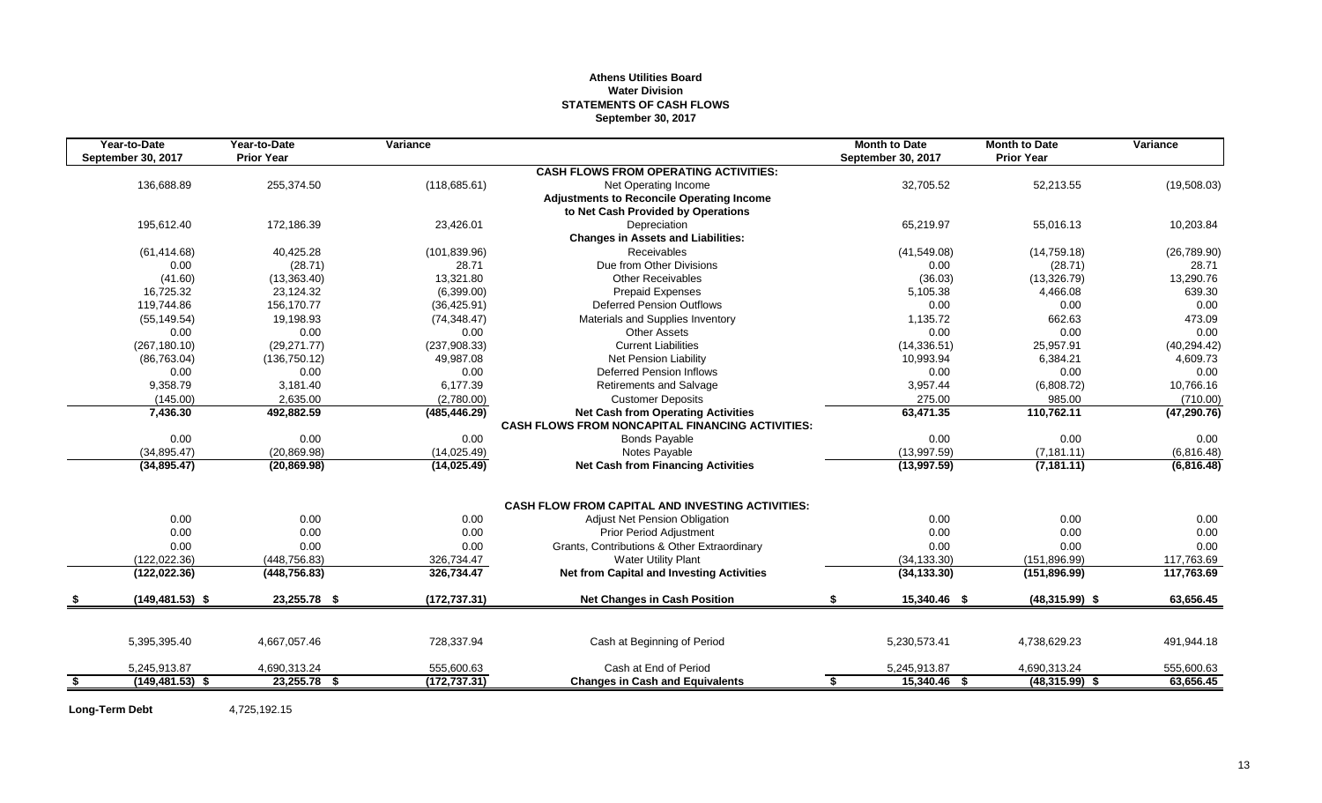#### **Athens Utilities Board Water Division STATEMENTS OF CASH FLOWS September 30, 2017**

|      | Year-to-Date       | Year-to-Date      | Variance      |                                                         | <b>Month to Date</b> | <b>Month to Date</b> | Variance     |
|------|--------------------|-------------------|---------------|---------------------------------------------------------|----------------------|----------------------|--------------|
|      | September 30, 2017 | <b>Prior Year</b> |               |                                                         | September 30, 2017   | <b>Prior Year</b>    |              |
|      |                    |                   |               | <b>CASH FLOWS FROM OPERATING ACTIVITIES:</b>            |                      |                      |              |
|      | 136,688.89         | 255,374.50        | (118, 685.61) | Net Operating Income                                    | 32,705.52            | 52,213.55            | (19,508.03)  |
|      |                    |                   |               | <b>Adjustments to Reconcile Operating Income</b>        |                      |                      |              |
|      |                    |                   |               | to Net Cash Provided by Operations                      |                      |                      |              |
|      | 195,612.40         | 172,186.39        | 23,426.01     | Depreciation                                            | 65,219.97            | 55,016.13            | 10,203.84    |
|      |                    |                   |               | <b>Changes in Assets and Liabilities:</b>               |                      |                      |              |
|      | (61, 414.68)       | 40.425.28         | (101, 839.96) | Receivables                                             | (41,549.08)          | (14, 759.18)         | (26,789.90)  |
|      | 0.00               | (28.71)           | 28.71         | Due from Other Divisions                                | 0.00                 | (28.71)              | 28.71        |
|      | (41.60)            | (13, 363.40)      | 13,321.80     | <b>Other Receivables</b>                                | (36.03)              | (13,326.79)          | 13,290.76    |
|      | 16,725.32          | 23,124.32         | (6,399.00)    | <b>Prepaid Expenses</b>                                 | 5,105.38             | 4,466.08             | 639.30       |
|      | 119,744.86         | 156,170.77        | (36, 425.91)  | <b>Deferred Pension Outflows</b>                        | 0.00                 | 0.00                 | 0.00         |
|      | (55, 149.54)       | 19,198.93         | (74, 348.47)  | Materials and Supplies Inventory                        | 1,135.72             | 662.63               | 473.09       |
|      | 0.00               | 0.00              | 0.00          | <b>Other Assets</b>                                     | 0.00                 | 0.00                 | 0.00         |
|      | (267, 180.10)      | (29, 271.77)      | (237,908.33)  | <b>Current Liabilities</b>                              | (14, 336.51)         | 25,957.91            | (40, 294.42) |
|      | (86, 763.04)       | (136, 750.12)     | 49,987.08     | Net Pension Liability                                   | 10,993.94            | 6,384.21             | 4,609.73     |
|      | 0.00               | 0.00              | 0.00          | Deferred Pension Inflows                                | 0.00                 | 0.00                 | 0.00         |
|      | 9,358.79           | 3,181.40          | 6,177.39      | Retirements and Salvage                                 | 3,957.44             | (6,808.72)           | 10,766.16    |
|      | (145.00)           | 2,635.00          | (2,780.00)    | <b>Customer Deposits</b>                                | 275.00               | 985.00               | (710.00)     |
|      | 7,436.30           | 492,882.59        | (485, 446.29) | <b>Net Cash from Operating Activities</b>               | 63,471.35            | 110,762.11           | (47, 290.76) |
|      |                    |                   |               | <b>CASH FLOWS FROM NONCAPITAL FINANCING ACTIVITIES:</b> |                      |                      |              |
|      | 0.00               | 0.00              | 0.00          | <b>Bonds Payable</b>                                    | 0.00                 | 0.00                 | 0.00         |
|      | (34, 895.47)       | (20, 869.98)      | (14, 025.49)  | Notes Payable                                           | (13,997.59)          | (7, 181.11)          | (6,816.48)   |
|      | (34,895.47)        | (20, 869.98)      | (14, 025.49)  | <b>Net Cash from Financing Activities</b>               | (13,997.59)          | (7, 181.11)          | (6, 816.48)  |
|      |                    |                   |               |                                                         |                      |                      |              |
|      |                    |                   |               | <b>CASH FLOW FROM CAPITAL AND INVESTING ACTIVITIES:</b> |                      |                      |              |
|      | 0.00               | 0.00              | 0.00          | <b>Adjust Net Pension Obligation</b>                    | 0.00                 | 0.00                 | 0.00         |
|      | 0.00               | 0.00              | 0.00          | Prior Period Adjustment                                 | 0.00                 | 0.00                 | 0.00         |
|      | 0.00               | 0.00              | 0.00          | Grants, Contributions & Other Extraordinary             | 0.00                 | 0.00                 | 0.00         |
|      | (122, 022, 36)     | (448, 756.83)     | 326,734.47    | <b>Water Utility Plant</b>                              | (34, 133.30)         | (151, 896.99)        | 117,763.69   |
|      | (122, 022.36)      | (448, 756.83)     | 326,734.47    | <b>Net from Capital and Investing Activities</b>        | (34, 133.30)         | (151, 896.99)        | 117,763.69   |
|      | $(149, 481.53)$ \$ | 23,255.78 \$      | (172, 737.31) | <b>Net Changes in Cash Position</b>                     | 15,340.46 \$<br>S.   | $(48,315.99)$ \$     | 63,656.45    |
|      |                    |                   |               |                                                         |                      |                      |              |
|      | 5,395,395.40       | 4,667,057.46      | 728,337.94    | Cash at Beginning of Period                             | 5,230,573.41         | 4,738,629.23         | 491,944.18   |
|      | 5,245,913.87       | 4,690,313.24      | 555,600.63    | Cash at End of Period                                   | 5,245,913.87         | 4,690,313.24         | 555,600.63   |
| - \$ | $(149, 481.53)$ \$ | 23,255.78 \$      | (172, 737.31) | <b>Changes in Cash and Equivalents</b>                  | 15,340.46 \$<br>\$   | $(48,315.99)$ \$     | 63,656.45    |

**Long-Term Debt** 4,725,192.15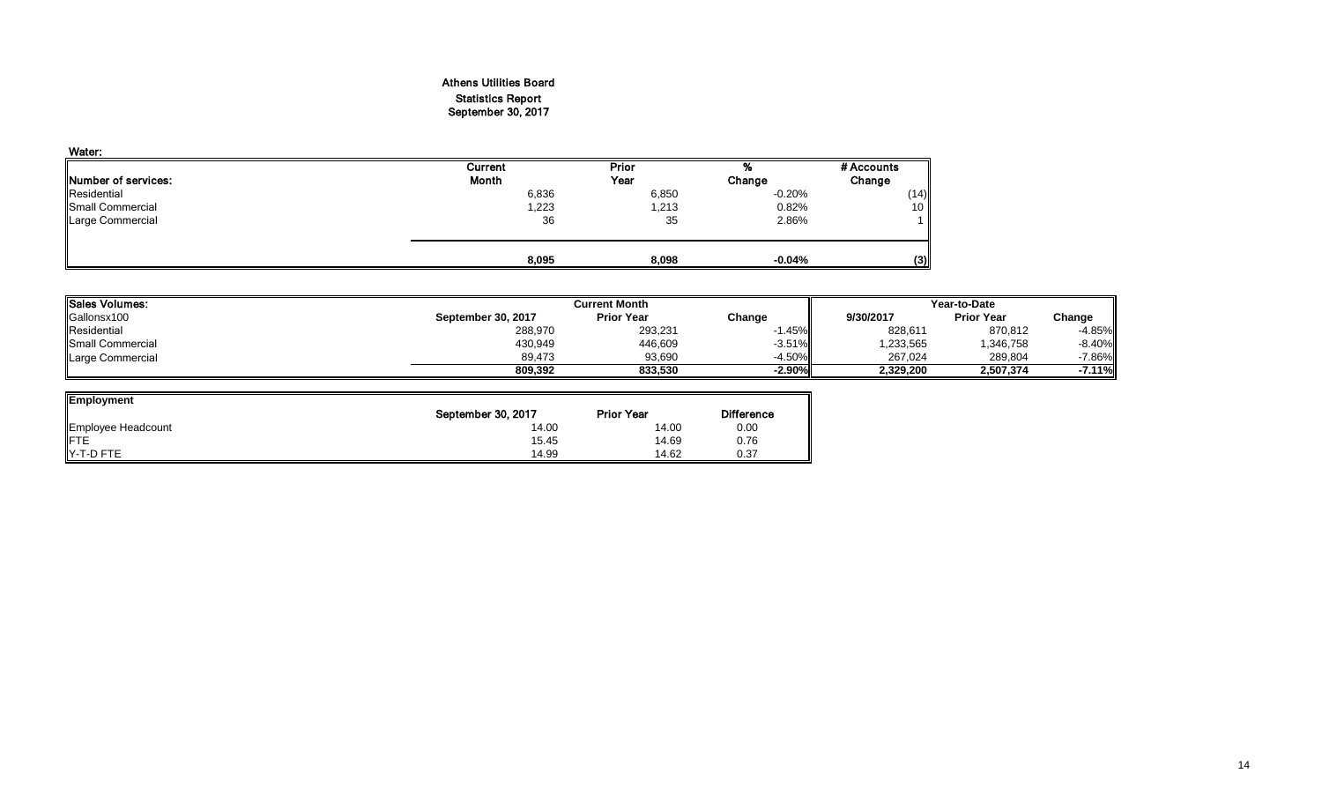#### Athens Utilities Board Statistics Report September 30, 2017

| Water:                      |              |       |          |            |
|-----------------------------|--------------|-------|----------|------------|
|                             | Current      | Prior | %        | # Accounts |
| <b>INumber of services:</b> | <b>Month</b> | Year  | Change   | Change     |
| Residential                 | 6,836        | 6,850 | $-0.20%$ | (14)       |
| Small Commercial            | 1,223        | 1,213 | 0.82%    | 10         |
| Large Commercial            | 36           | 35    | 2.86%    |            |
|                             | 8,095        | 8,098 | $-0.04%$ | (3)        |

| <b>lSales Volumes:</b> |                    | <b>Current Month</b> |          |           | Year-to-Date      |           |  |  |
|------------------------|--------------------|----------------------|----------|-----------|-------------------|-----------|--|--|
| Gallonsx100            | September 30, 2017 | <b>Prior Year</b>    | Change   | 9/30/2017 | <b>Prior Year</b> | Change    |  |  |
| Residential            | 288,970            | 293,231              | .45%     | 828,611   | 870,812           | $-4.85%$  |  |  |
| Small Commercial       | 430,949            | 446,609              | $-3.51%$ | .233,565  | 1,346,758         | $-8.40%$  |  |  |
| Large Commercial       | 89.473             | 93.690               | $-4.50%$ | 267.024   | 289,804           | $-7.86\%$ |  |  |
|                        | 809.392            | 833.530              | $-2.90%$ | 2,329,200 | 2,507,374         | $-7.11\%$ |  |  |

| <b>Employment</b>  |                    |                   |                   |
|--------------------|--------------------|-------------------|-------------------|
|                    | September 30, 2017 | <b>Prior Year</b> | <b>Difference</b> |
| Employee Headcount | 14.00              | 14.00             | 0.00              |
| <b>FTE</b>         | 15.45              | 14.69             | 0.76              |
| Y-T-D FTE          | 14.99              | 14.62             | 0.37              |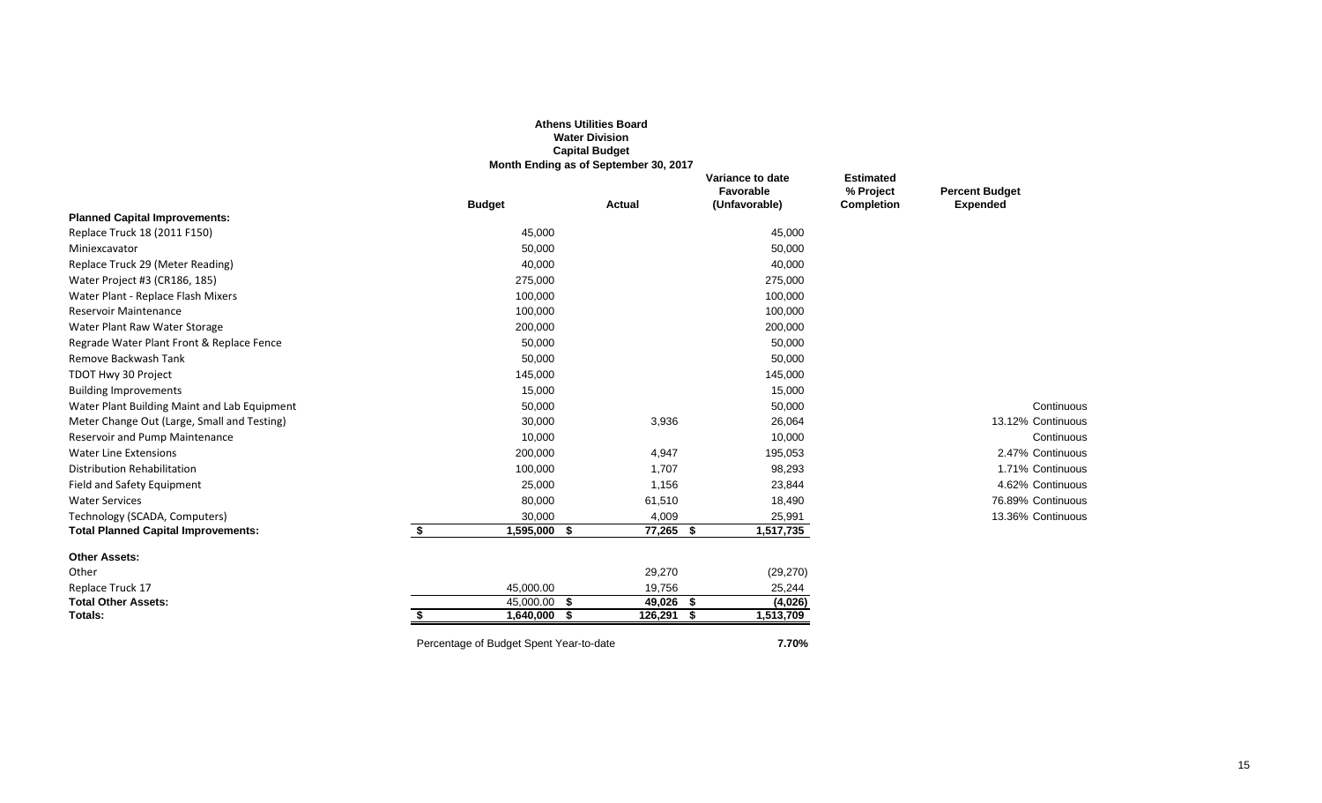|                                              |    |                                         | <b>Athens Utilities Board</b><br><b>Water Division</b><br><b>Capital Budget</b><br>Month Ending as of September 30, 2017 |              |                                                |                                                    |                                          |
|----------------------------------------------|----|-----------------------------------------|--------------------------------------------------------------------------------------------------------------------------|--------------|------------------------------------------------|----------------------------------------------------|------------------------------------------|
|                                              |    | <b>Budget</b>                           | <b>Actual</b>                                                                                                            |              | Variance to date<br>Favorable<br>(Unfavorable) | <b>Estimated</b><br>% Project<br><b>Completion</b> | <b>Percent Budget</b><br><b>Expended</b> |
| <b>Planned Capital Improvements:</b>         |    |                                         |                                                                                                                          |              |                                                |                                                    |                                          |
| Replace Truck 18 (2011 F150)                 |    | 45,000                                  |                                                                                                                          |              | 45,000                                         |                                                    |                                          |
| Miniexcavator                                |    | 50,000                                  |                                                                                                                          |              | 50,000                                         |                                                    |                                          |
| Replace Truck 29 (Meter Reading)             |    | 40,000                                  |                                                                                                                          |              | 40,000                                         |                                                    |                                          |
| Water Project #3 (CR186, 185)                |    | 275,000                                 |                                                                                                                          |              | 275,000                                        |                                                    |                                          |
| Water Plant - Replace Flash Mixers           |    | 100,000                                 |                                                                                                                          |              | 100,000                                        |                                                    |                                          |
| <b>Reservoir Maintenance</b>                 |    | 100,000                                 |                                                                                                                          |              | 100,000                                        |                                                    |                                          |
| Water Plant Raw Water Storage                |    | 200,000                                 |                                                                                                                          |              | 200,000                                        |                                                    |                                          |
| Regrade Water Plant Front & Replace Fence    |    | 50,000                                  |                                                                                                                          |              | 50,000                                         |                                                    |                                          |
| Remove Backwash Tank                         |    | 50,000                                  |                                                                                                                          |              | 50,000                                         |                                                    |                                          |
| TDOT Hwy 30 Project                          |    | 145,000                                 |                                                                                                                          |              | 145,000                                        |                                                    |                                          |
| <b>Building Improvements</b>                 |    | 15,000                                  |                                                                                                                          |              | 15,000                                         |                                                    |                                          |
| Water Plant Building Maint and Lab Equipment |    | 50,000                                  |                                                                                                                          |              | 50,000                                         |                                                    | Continuous                               |
| Meter Change Out (Large, Small and Testing)  |    | 30,000                                  |                                                                                                                          | 3,936        | 26,064                                         |                                                    | 13.12% Continuous                        |
| Reservoir and Pump Maintenance               |    | 10,000                                  |                                                                                                                          |              | 10,000                                         |                                                    | Continuous                               |
| <b>Water Line Extensions</b>                 |    | 200,000                                 |                                                                                                                          | 4,947        | 195,053                                        |                                                    | 2.47% Continuous                         |
| <b>Distribution Rehabilitation</b>           |    | 100,000                                 |                                                                                                                          | 1,707        | 98,293                                         |                                                    | 1.71% Continuous                         |
| Field and Safety Equipment                   |    | 25,000                                  |                                                                                                                          | 1,156        | 23,844                                         |                                                    | 4.62% Continuous                         |
| <b>Water Services</b>                        |    | 80,000                                  |                                                                                                                          | 61,510       | 18,490                                         |                                                    | 76.89% Continuous                        |
| Technology (SCADA, Computers)                |    | 30,000                                  |                                                                                                                          | 4,009        | 25,991                                         |                                                    | 13.36% Continuous                        |
| <b>Total Planned Capital Improvements:</b>   | \$ | 1,595,000                               | -\$                                                                                                                      | $77,265$ \$  | 1,517,735                                      |                                                    |                                          |
| <b>Other Assets:</b>                         |    |                                         |                                                                                                                          |              |                                                |                                                    |                                          |
| Other                                        |    |                                         |                                                                                                                          | 29,270       | (29, 270)                                      |                                                    |                                          |
| Replace Truck 17                             |    | 45,000.00                               |                                                                                                                          | 19,756       | 25,244                                         |                                                    |                                          |
| <b>Total Other Assets:</b>                   |    | 45,000.00                               | -\$                                                                                                                      | 49,026 \$    | (4,026)                                        |                                                    |                                          |
| Totals:                                      | S. | 1,640,000                               | - \$                                                                                                                     | $126,291$ \$ | 1,513,709                                      |                                                    |                                          |
|                                              |    | Percentage of Budget Spent Year-to-date |                                                                                                                          |              | 7.70%                                          |                                                    |                                          |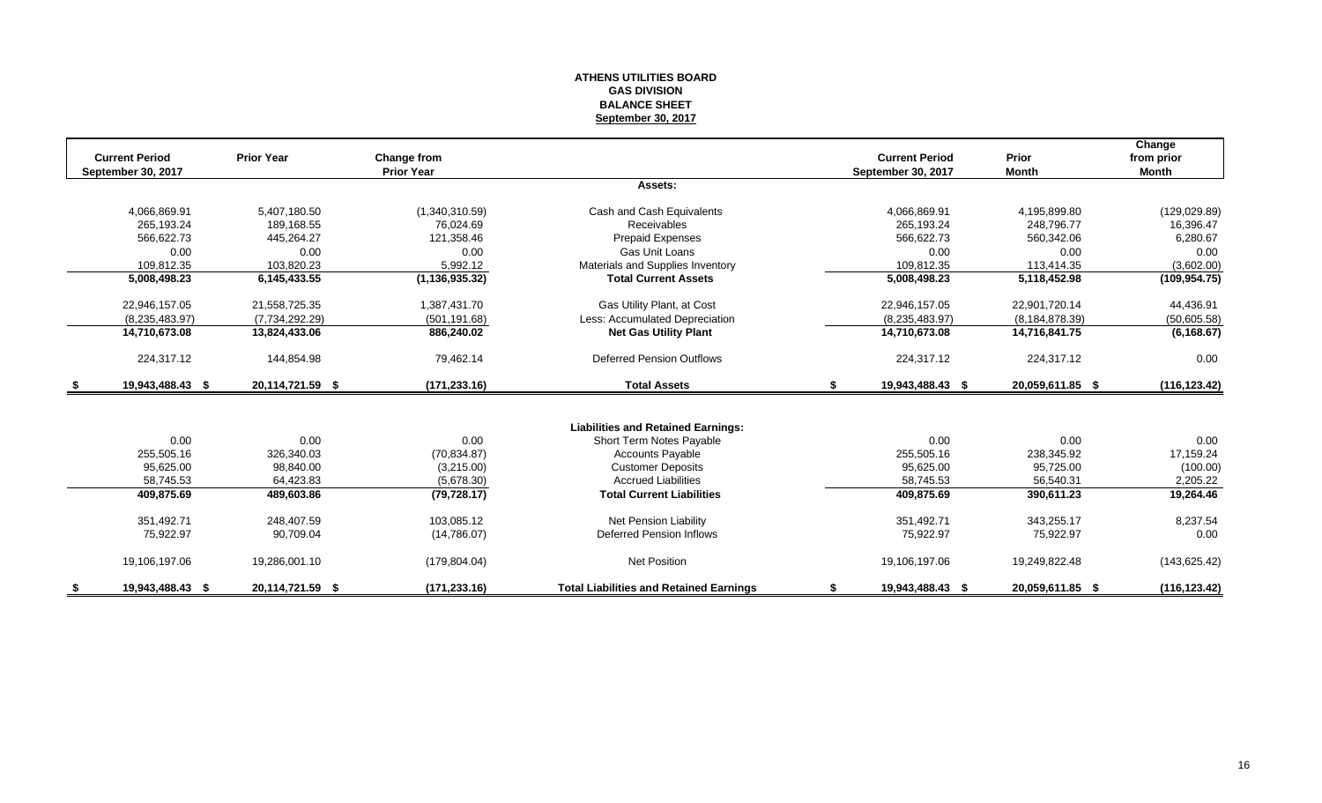#### **ATHENS UTILITIES BOARD GAS DIVISION BALANCE SHEET September 30, 2017**

| <b>Current Period</b> | <b>Prior Year</b> | Change from       |                                                | <b>Current Period</b>  | Prior             | Change<br>from prior |
|-----------------------|-------------------|-------------------|------------------------------------------------|------------------------|-------------------|----------------------|
| September 30, 2017    |                   | <b>Prior Year</b> |                                                | September 30, 2017     | <b>Month</b>      | Month                |
|                       |                   |                   | Assets:                                        |                        |                   |                      |
| 4,066,869.91          | 5,407,180.50      | (1,340,310.59)    | Cash and Cash Equivalents                      | 4,066,869.91           | 4,195,899.80      | (129, 029.89)        |
| 265,193.24            | 189.168.55        | 76.024.69         | <b>Receivables</b>                             | 265,193.24             | 248.796.77        | 16,396.47            |
| 566,622.73            | 445,264.27        | 121.358.46        | Prepaid Expenses                               | 566.622.73             | 560,342.06        | 6,280.67             |
| 0.00                  | 0.00              | 0.00              | Gas Unit Loans                                 | 0.00                   | 0.00              | 0.00                 |
| 109,812.35            | 103,820.23        | 5,992.12          | Materials and Supplies Inventory               | 109,812.35             | 113,414.35        | (3,602.00)           |
| 5,008,498.23          | 6,145,433.55      | (1, 136, 935.32)  | <b>Total Current Assets</b>                    | 5,008,498.23           | 5,118,452.98      | (109, 954.75)        |
| 22,946,157.05         | 21,558,725.35     | 1,387,431.70      | Gas Utility Plant, at Cost                     | 22,946,157.05          | 22,901,720.14     | 44,436.91            |
| (8,235,483.97)        | (7,734,292.29)    | (501, 191.68)     | Less: Accumulated Depreciation                 | (8,235,483.97)         | (8, 184, 878, 39) | (50,605.58)          |
| 14,710,673.08         | 13,824,433.06     | 886,240.02        | <b>Net Gas Utility Plant</b>                   | 14,710,673.08          | 14,716,841.75     | (6, 168.67)          |
| 224,317.12            | 144,854.98        | 79,462.14         | <b>Deferred Pension Outflows</b>               | 224,317.12             | 224,317.12        | 0.00                 |
| 19,943,488.43 \$      | 20,114,721.59 \$  | (171, 233.16)     | <b>Total Assets</b>                            | \$<br>19,943,488.43 \$ | 20,059,611.85 \$  | (116, 123.42)        |
|                       |                   |                   |                                                |                        |                   |                      |
|                       |                   |                   | <b>Liabilities and Retained Earnings:</b>      |                        |                   |                      |
| 0.00                  | 0.00              | 0.00              | Short Term Notes Payable                       | 0.00                   | 0.00              | 0.00                 |
| 255,505.16            | 326,340.03        | (70, 834.87)      | <b>Accounts Payable</b>                        | 255,505.16             | 238,345.92        | 17,159.24            |
| 95,625.00             | 98,840.00         | (3,215.00)        | <b>Customer Deposits</b>                       | 95,625.00              | 95,725.00         | (100.00)             |
| 58,745.53             | 64,423.83         | (5,678.30)        | <b>Accrued Liabilities</b>                     | 58,745.53              | 56.540.31         | 2,205.22             |
| 409,875.69            | 489,603.86        | (79, 728.17)      | <b>Total Current Liabilities</b>               | 409,875.69             | 390,611.23        | 19,264.46            |
| 351,492.71            | 248.407.59        | 103.085.12        | Net Pension Liability                          | 351,492.71             | 343.255.17        | 8,237.54             |
| 75,922.97             | 90,709.04         | (14,786.07)       | Deferred Pension Inflows                       | 75,922.97              | 75,922.97         | 0.00                 |
| 19,106,197.06         | 19,286,001.10     | (179, 804.04)     | Net Position                                   | 19,106,197.06          | 19,249,822.48     | (143, 625.42)        |
| 19,943,488.43 \$      | 20,114,721.59 \$  | (171, 233.16)     | <b>Total Liabilities and Retained Earnings</b> | 19,943,488.43 \$       | 20,059,611.85 \$  | (116, 123.42)        |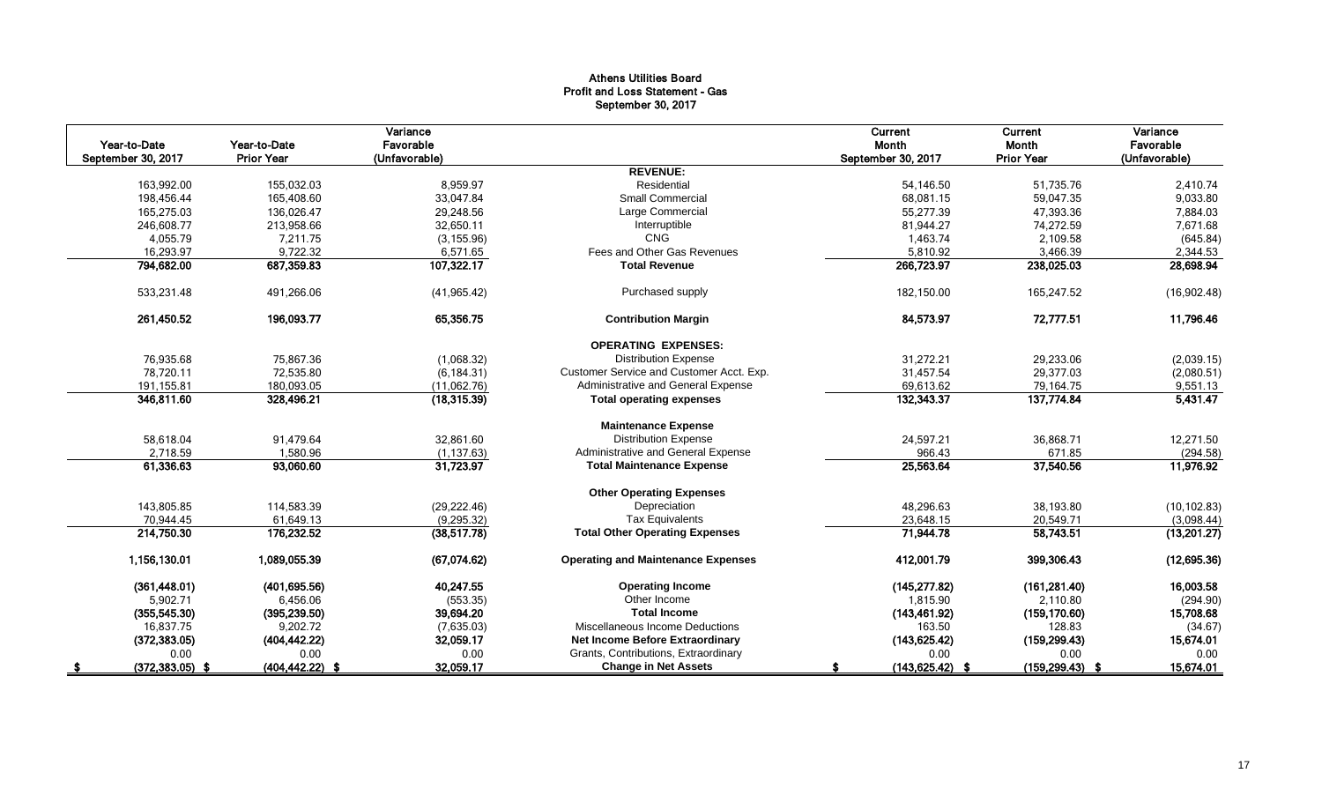#### Athens Utilities Board Profit and Loss Statement - Gas September 30, 2017

| Year-to-Date<br>September 30, 2017 | Year-to-Date<br><b>Prior Year</b> | Variance<br>Favorable<br>(Unfavorable) |                                           | Current<br>Month<br>September 30, 2017 | Current<br>Month<br><b>Prior Year</b> | Variance<br>Favorable<br>(Unfavorable) |
|------------------------------------|-----------------------------------|----------------------------------------|-------------------------------------------|----------------------------------------|---------------------------------------|----------------------------------------|
|                                    |                                   |                                        | <b>REVENUE:</b>                           |                                        |                                       |                                        |
| 163,992.00                         | 155,032.03                        | 8,959.97                               | Residential                               | 54,146.50                              | 51,735.76                             | 2,410.74                               |
| 198,456.44                         | 165,408.60                        | 33,047.84                              | <b>Small Commercial</b>                   | 68,081.15                              | 59,047.35                             | 9,033.80                               |
| 165,275.03                         | 136,026.47                        | 29,248.56                              | Large Commercial                          | 55,277.39                              | 47,393.36                             | 7,884.03                               |
| 246,608.77                         | 213,958.66                        | 32,650.11                              | Interruptible                             | 81,944.27                              | 74,272.59                             | 7,671.68                               |
| 4,055.79                           | 7,211.75                          | (3, 155.96)                            | <b>CNG</b>                                | 1,463.74                               | 2,109.58                              | (645.84)                               |
| 16,293.97                          | 9,722.32                          | 6,571.65                               | Fees and Other Gas Revenues               | 5,810.92                               | 3.466.39                              | 2,344.53                               |
| 794,682.00                         | 687,359.83                        | 107,322.17                             | <b>Total Revenue</b>                      | 266,723.97                             | 238,025.03                            | 28,698.94                              |
| 533,231.48                         | 491,266.06                        | (41, 965.42)                           | Purchased supply                          | 182,150.00                             | 165,247.52                            | (16,902.48)                            |
| 261.450.52                         | 196.093.77                        | 65.356.75                              | <b>Contribution Margin</b>                | 84,573,97                              | 72,777.51                             | 11,796.46                              |
|                                    |                                   |                                        | <b>OPERATING EXPENSES:</b>                |                                        |                                       |                                        |
| 76,935.68                          | 75,867.36                         | (1,068.32)                             | <b>Distribution Expense</b>               | 31,272.21                              | 29,233.06                             | (2,039.15)                             |
| 78,720.11                          | 72,535.80                         | (6, 184.31)                            | Customer Service and Customer Acct. Exp.  | 31,457.54                              | 29,377.03                             | (2,080.51)                             |
| 191, 155.81                        | 180,093.05                        | (11,062.76)                            | Administrative and General Expense        | 69,613.62                              | 79,164.75                             | 9,551.13                               |
| 346,811.60                         | 328,496.21                        | (18, 315.39)                           | <b>Total operating expenses</b>           | 132,343.37                             | 137,774.84                            | 5,431.47                               |
|                                    |                                   |                                        | <b>Maintenance Expense</b>                |                                        |                                       |                                        |
| 58,618.04                          | 91,479.64                         | 32,861.60                              | <b>Distribution Expense</b>               | 24,597.21                              | 36,868.71                             | 12,271.50                              |
| 2,718.59                           | 1,580.96                          | (1, 137.63)                            | Administrative and General Expense        | 966.43                                 | 671.85                                | (294.58)                               |
| 61,336.63                          | 93,060.60                         | 31,723.97                              | <b>Total Maintenance Expense</b>          | 25,563.64                              | 37,540.56                             | 11,976.92                              |
|                                    |                                   |                                        | <b>Other Operating Expenses</b>           |                                        |                                       |                                        |
| 143,805.85                         | 114,583.39                        | (29, 222.46)                           | Depreciation                              | 48,296.63                              | 38,193.80                             | (10, 102.83)                           |
| 70,944.45                          | 61,649.13                         | (9, 295.32)                            | <b>Tax Equivalents</b>                    | 23,648.15                              | 20,549.71                             | (3,098.44)                             |
| 214,750.30                         | 176,232.52                        | (38, 517.78)                           | <b>Total Other Operating Expenses</b>     | 71,944.78                              | 58,743.51                             | (13,201.27)                            |
| 1,156,130.01                       | 1,089,055.39                      | (67,074.62)                            | <b>Operating and Maintenance Expenses</b> | 412,001.79                             | 399,306.43                            | (12,695.36)                            |
| (361, 448.01)                      | (401, 695.56)                     | 40,247.55                              | <b>Operating Income</b>                   | (145, 277.82)                          | (161, 281.40)                         | 16,003.58                              |
| 5,902.71                           | 6,456.06                          | (553.35)                               | Other Income                              | 1,815.90                               | 2,110.80                              | (294.90)                               |
| (355, 545.30)                      | (395, 239.50)                     | 39,694.20                              | <b>Total Income</b>                       | (143, 461.92)                          | (159, 170.60)                         | 15,708.68                              |
| 16,837.75                          | 9,202.72                          | (7,635.03)                             | Miscellaneous Income Deductions           | 163.50                                 | 128.83                                | (34.67)                                |
| (372, 383.05)                      | (404, 442.22)                     | 32,059.17                              | Net Income Before Extraordinary           | (143, 625.42)                          | (159, 299.43)                         | 15,674.01                              |
| 0.00                               | 0.00                              | 0.00                                   | Grants, Contributions, Extraordinary      | 0.00                                   | 0.00                                  | 0.00                                   |
| $(372, 383.05)$ \$                 | $(404, 442.22)$ \$                | 32,059.17                              | <b>Change in Net Assets</b>               | $(143, 625.42)$ \$                     | $(159, 299.43)$ \$                    | 15,674.01                              |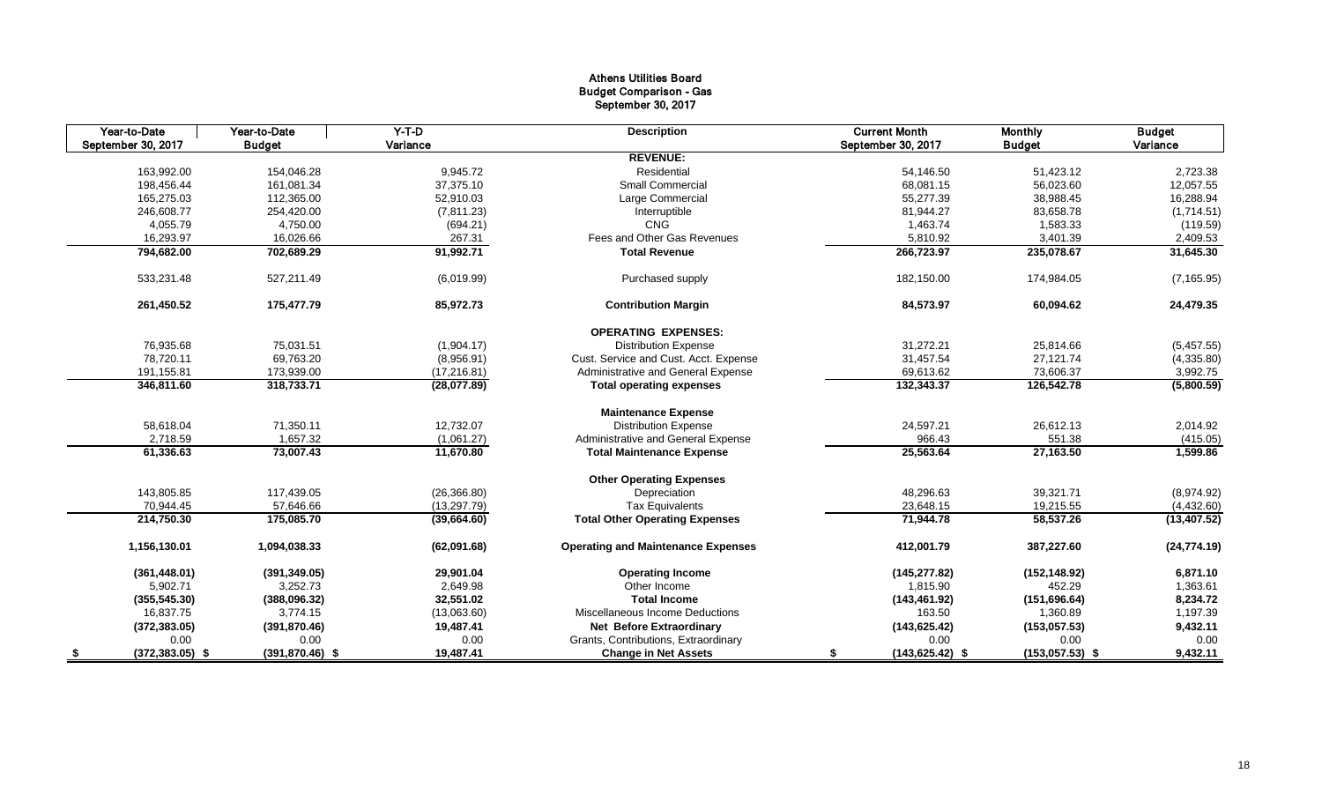#### Athens Utilities Board Budget Comparison - Gas September 30, 2017

| Year-to-Date             | Year-to-Date       | $Y-T-D$      | <b>Description</b>                        | <b>Current Month</b>     | <b>Monthly</b>    | <b>Budget</b> |
|--------------------------|--------------------|--------------|-------------------------------------------|--------------------------|-------------------|---------------|
| September 30, 2017       | <b>Budget</b>      | Variance     |                                           | September 30, 2017       | <b>Budget</b>     | Variance      |
|                          |                    |              | <b>REVENUE:</b>                           |                          |                   |               |
| 163,992.00               | 154,046.28         | 9,945.72     | Residential                               | 54,146.50                | 51,423.12         | 2,723.38      |
| 198,456.44               | 161,081.34         | 37,375.10    | <b>Small Commercial</b>                   | 68,081.15                | 56,023.60         | 12,057.55     |
| 165,275.03               | 112,365.00         | 52,910.03    | Large Commercial                          | 55,277.39                | 38,988.45         | 16,288.94     |
| 246,608.77               | 254,420.00         | (7,811.23)   | Interruptible                             | 81,944.27                | 83,658.78         | (1,714.51)    |
| 4,055.79                 | 4,750.00           | (694.21)     | <b>CNG</b>                                | 1,463.74                 | 1,583.33          | (119.59)      |
| 16,293.97                | 16,026.66          | 267.31       | Fees and Other Gas Revenues               | 5,810.92                 | 3,401.39          | 2,409.53      |
| 794,682.00               | 702,689.29         | 91,992.71    | <b>Total Revenue</b>                      | 266,723.97               | 235,078.67        | 31,645.30     |
| 533,231.48               | 527,211.49         | (6.019.99)   | Purchased supply                          | 182,150.00               | 174,984.05        | (7, 165.95)   |
| 261,450.52               | 175,477.79         | 85,972.73    | <b>Contribution Margin</b>                | 84,573.97                | 60,094.62         | 24,479.35     |
|                          |                    |              | <b>OPERATING EXPENSES:</b>                |                          |                   |               |
| 76,935.68                | 75,031.51          | (1,904.17)   | <b>Distribution Expense</b>               | 31,272.21                | 25,814.66         | (5,457.55)    |
| 78,720.11                | 69,763.20          | (8,956.91)   | Cust. Service and Cust. Acct. Expense     | 31,457.54                | 27,121.74         | (4,335.80)    |
| 191,155.81               | 173,939.00         | (17, 216.81) | Administrative and General Expense        | 69,613.62                | 73,606.37         | 3,992.75      |
| 346,811.60               | 318,733.71         | (28,077.89)  | <b>Total operating expenses</b>           | 132,343.37               | 126,542.78        | (5,800.59)    |
|                          |                    |              | <b>Maintenance Expense</b>                |                          |                   |               |
| 58,618.04                | 71,350.11          | 12,732.07    | <b>Distribution Expense</b>               | 24,597.21                | 26,612.13         | 2,014.92      |
| 2,718.59                 | 1,657.32           | (1,061.27)   | Administrative and General Expense        | 966.43                   | 551.38            | (415.05)      |
| 61,336.63                | 73,007.43          | 11,670.80    | <b>Total Maintenance Expense</b>          | 25,563.64                | 27,163.50         | 1,599.86      |
|                          |                    |              | <b>Other Operating Expenses</b>           |                          |                   |               |
| 143,805.85               | 117,439.05         | (26, 366.80) | Depreciation                              | 48.296.63                | 39,321.71         | (8,974.92)    |
| 70,944.45                | 57,646.66          | (13, 297.79) | <b>Tax Equivalents</b>                    | 23,648.15                | 19,215.55         | (4,432.60)    |
| 214,750.30               | 175,085.70         | (39,664.60)  | <b>Total Other Operating Expenses</b>     | 71,944.78                | 58,537.26         | (13, 407.52)  |
| 1,156,130.01             | 1,094,038.33       | (62,091.68)  | <b>Operating and Maintenance Expenses</b> | 412,001.79               | 387,227.60        | (24, 774.19)  |
| (361, 448.01)            | (391, 349.05)      | 29,901.04    | <b>Operating Income</b>                   | (145, 277.82)            | (152, 148.92)     | 6,871.10      |
| 5,902.71                 | 3,252.73           | 2,649.98     | Other Income                              | 1,815.90                 | 452.29            | 1,363.61      |
| (355, 545.30)            | (388,096.32)       | 32,551.02    | <b>Total Income</b>                       | (143, 461.92)            | (151, 696.64)     | 8,234.72      |
| 16,837.75                | 3,774.15           | (13,063.60)  | Miscellaneous Income Deductions           | 163.50                   | 1,360.89          | 1,197.39      |
| (372, 383.05)            | (391, 870.46)      | 19,487.41    | <b>Net Before Extraordinary</b>           | (143, 625.42)            | (153, 057.53)     | 9,432.11      |
| 0.00                     | 0.00               | 0.00         | Grants, Contributions, Extraordinary      | 0.00                     | 0.00              | 0.00          |
| $(372, 383.05)$ \$<br>-S | $(391, 870.46)$ \$ | 19,487.41    | <b>Change in Net Assets</b>               | $(143, 625.42)$ \$<br>\$ | $(153,057.53)$ \$ | 9,432.11      |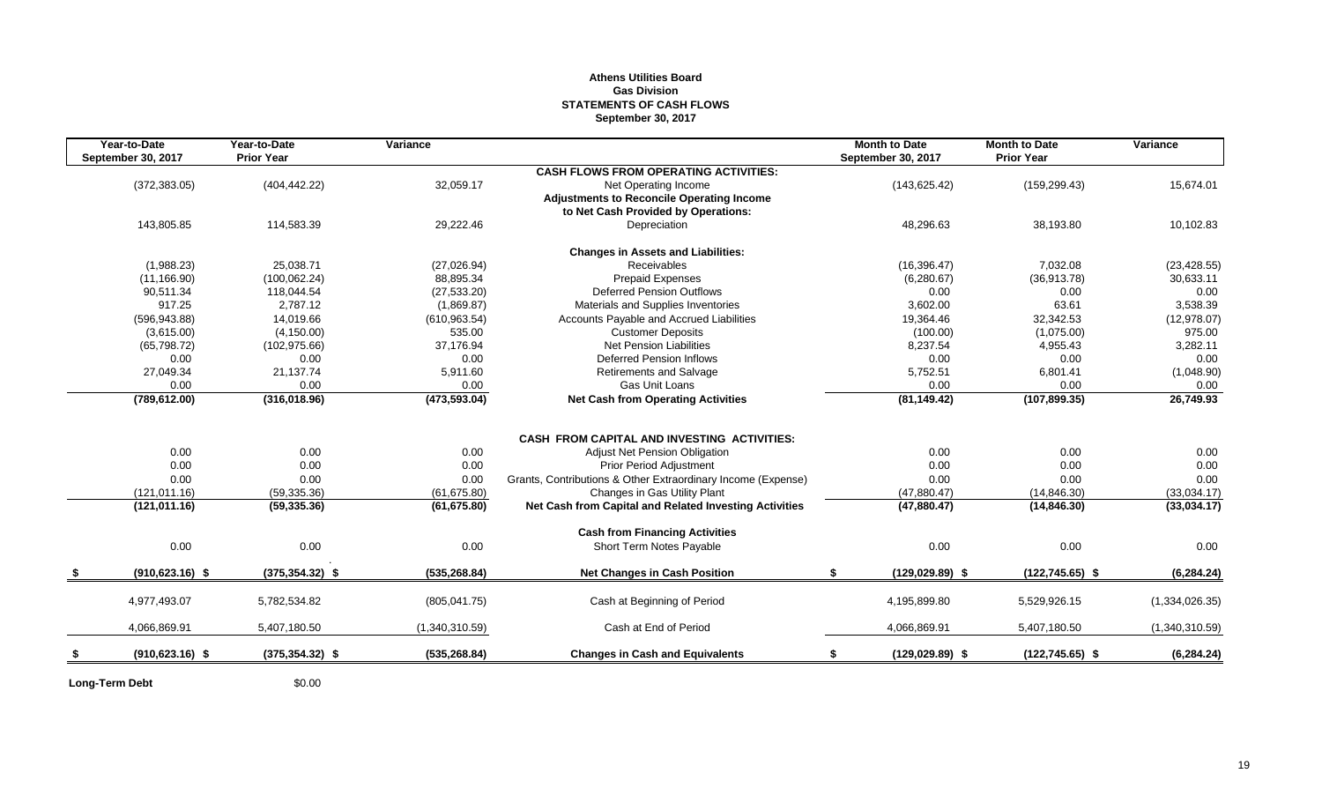#### **Athens Utilities Board Gas Division STATEMENTS OF CASH FLOWS September 30, 2017**

| September 30, 2017<br>(372, 383.05) | <b>Prior Year</b><br>(404, 442.22)                                                           |                                                                                            | <b>CASH FLOWS FROM OPERATING ACTIVITIES:</b>                                           | September 30, 2017                                                                                                                                                                                                                                                                                                                                                                                                                                                                      | <b>Prior Year</b>                                                                       |                                                                                     |
|-------------------------------------|----------------------------------------------------------------------------------------------|--------------------------------------------------------------------------------------------|----------------------------------------------------------------------------------------|-----------------------------------------------------------------------------------------------------------------------------------------------------------------------------------------------------------------------------------------------------------------------------------------------------------------------------------------------------------------------------------------------------------------------------------------------------------------------------------------|-----------------------------------------------------------------------------------------|-------------------------------------------------------------------------------------|
|                                     |                                                                                              |                                                                                            |                                                                                        |                                                                                                                                                                                                                                                                                                                                                                                                                                                                                         |                                                                                         |                                                                                     |
|                                     |                                                                                              | 32,059.17                                                                                  | Net Operating Income                                                                   | (143, 625.42)                                                                                                                                                                                                                                                                                                                                                                                                                                                                           | (159, 299.43)                                                                           | 15,674.01                                                                           |
|                                     |                                                                                              |                                                                                            | <b>Adjustments to Reconcile Operating Income</b>                                       |                                                                                                                                                                                                                                                                                                                                                                                                                                                                                         |                                                                                         |                                                                                     |
|                                     |                                                                                              |                                                                                            | to Net Cash Provided by Operations:                                                    |                                                                                                                                                                                                                                                                                                                                                                                                                                                                                         |                                                                                         |                                                                                     |
| 143,805.85                          | 114,583.39                                                                                   | 29,222.46                                                                                  | Depreciation                                                                           | 48,296.63                                                                                                                                                                                                                                                                                                                                                                                                                                                                               | 38,193.80                                                                               | 10,102.83                                                                           |
|                                     |                                                                                              |                                                                                            |                                                                                        |                                                                                                                                                                                                                                                                                                                                                                                                                                                                                         |                                                                                         |                                                                                     |
| (1,988.23)                          | 25,038.71                                                                                    | (27,026.94)                                                                                | Receivables                                                                            | (16, 396.47)                                                                                                                                                                                                                                                                                                                                                                                                                                                                            | 7,032.08                                                                                | (23, 428.55)                                                                        |
| (11, 166.90)                        | (100, 062.24)                                                                                | 88,895.34                                                                                  | Prepaid Expenses                                                                       | (6,280.67)                                                                                                                                                                                                                                                                                                                                                                                                                                                                              | (36,913.78)                                                                             | 30,633.11                                                                           |
| 90,511.34                           | 118,044.54                                                                                   | (27, 533.20)                                                                               | Deferred Pension Outflows                                                              | 0.00                                                                                                                                                                                                                                                                                                                                                                                                                                                                                    | 0.00                                                                                    | 0.00                                                                                |
| 917.25                              | 2,787.12                                                                                     | (1,869.87)                                                                                 | Materials and Supplies Inventories                                                     | 3,602.00                                                                                                                                                                                                                                                                                                                                                                                                                                                                                | 63.61                                                                                   | 3,538.39                                                                            |
| (596, 943.88)                       | 14,019.66                                                                                    | (610, 963.54)                                                                              | Accounts Payable and Accrued Liabilities                                               | 19,364.46                                                                                                                                                                                                                                                                                                                                                                                                                                                                               | 32,342.53                                                                               | (12, 978.07)                                                                        |
| (3,615.00)                          | (4, 150.00)                                                                                  | 535.00                                                                                     | <b>Customer Deposits</b>                                                               | (100.00)                                                                                                                                                                                                                                                                                                                                                                                                                                                                                | (1,075.00)                                                                              | 975.00                                                                              |
| (65,798.72)                         | (102, 975.66)                                                                                | 37,176.94                                                                                  | <b>Net Pension Liabilities</b>                                                         | 8,237.54                                                                                                                                                                                                                                                                                                                                                                                                                                                                                | 4,955.43                                                                                | 3,282.11                                                                            |
| 0.00                                | 0.00                                                                                         | 0.00                                                                                       |                                                                                        | 0.00                                                                                                                                                                                                                                                                                                                                                                                                                                                                                    | 0.00                                                                                    | 0.00                                                                                |
| 27,049.34                           | 21,137.74                                                                                    | 5,911.60                                                                                   | <b>Retirements and Salvage</b>                                                         | 5,752.51                                                                                                                                                                                                                                                                                                                                                                                                                                                                                | 6,801.41                                                                                | (1,048.90)                                                                          |
|                                     |                                                                                              |                                                                                            |                                                                                        |                                                                                                                                                                                                                                                                                                                                                                                                                                                                                         |                                                                                         | 0.00                                                                                |
|                                     |                                                                                              |                                                                                            |                                                                                        |                                                                                                                                                                                                                                                                                                                                                                                                                                                                                         |                                                                                         | 26,749.93                                                                           |
|                                     |                                                                                              |                                                                                            |                                                                                        |                                                                                                                                                                                                                                                                                                                                                                                                                                                                                         |                                                                                         |                                                                                     |
|                                     |                                                                                              |                                                                                            |                                                                                        |                                                                                                                                                                                                                                                                                                                                                                                                                                                                                         |                                                                                         | 0.00                                                                                |
|                                     |                                                                                              |                                                                                            |                                                                                        |                                                                                                                                                                                                                                                                                                                                                                                                                                                                                         |                                                                                         | 0.00                                                                                |
|                                     |                                                                                              |                                                                                            |                                                                                        |                                                                                                                                                                                                                                                                                                                                                                                                                                                                                         |                                                                                         | 0.00                                                                                |
|                                     |                                                                                              |                                                                                            |                                                                                        |                                                                                                                                                                                                                                                                                                                                                                                                                                                                                         |                                                                                         | (33,034.17)                                                                         |
| (121, 011.16)                       | (59, 335.36)                                                                                 | (61, 675.80)                                                                               | Net Cash from Capital and Related Investing Activities                                 | (47,880.47)                                                                                                                                                                                                                                                                                                                                                                                                                                                                             | (14, 846.30)                                                                            | (33,034.17)                                                                         |
|                                     |                                                                                              |                                                                                            |                                                                                        |                                                                                                                                                                                                                                                                                                                                                                                                                                                                                         |                                                                                         |                                                                                     |
|                                     |                                                                                              |                                                                                            |                                                                                        | 0.00                                                                                                                                                                                                                                                                                                                                                                                                                                                                                    | 0.00                                                                                    | 0.00                                                                                |
|                                     |                                                                                              |                                                                                            |                                                                                        |                                                                                                                                                                                                                                                                                                                                                                                                                                                                                         |                                                                                         |                                                                                     |
|                                     |                                                                                              |                                                                                            |                                                                                        |                                                                                                                                                                                                                                                                                                                                                                                                                                                                                         |                                                                                         | (6, 284.24)                                                                         |
| 4,977,493.07                        | 5,782,534.82                                                                                 | (805, 041.75)                                                                              | Cash at Beginning of Period                                                            | 4.195.899.80                                                                                                                                                                                                                                                                                                                                                                                                                                                                            | 5,529,926.15                                                                            | (1,334,026.35)                                                                      |
| 4.066.869.91                        | 5,407,180.50                                                                                 | (1,340,310.59)                                                                             | Cash at End of Period                                                                  | 4,066,869.91                                                                                                                                                                                                                                                                                                                                                                                                                                                                            | 5,407,180.50                                                                            | (1,340,310.59)                                                                      |
| $(910, 623.16)$ \$                  | $(375, 354.32)$ \$                                                                           | (535, 268.84)                                                                              | <b>Changes in Cash and Equivalents</b>                                                 | $(129.029.89)$ \$<br>\$                                                                                                                                                                                                                                                                                                                                                                                                                                                                 | $(122, 745.65)$ \$                                                                      | (6, 284.24)                                                                         |
|                                     | 0.00<br>(789, 612.00)<br>0.00<br>0.00<br>0.00<br>(121, 011.16)<br>0.00<br>$(910, 623.16)$ \$ | 0.00<br>(316,018.96)<br>0.00<br>0.00<br>0.00<br>(59, 335.36)<br>0.00<br>$(375, 354.32)$ \$ | 0.00<br>(473, 593.04)<br>0.00<br>0.00<br>0.00<br>(61, 675.80)<br>0.00<br>(535, 268.84) | <b>Changes in Assets and Liabilities:</b><br><b>Deferred Pension Inflows</b><br>Gas Unit Loans<br><b>Net Cash from Operating Activities</b><br><b>CASH FROM CAPITAL AND INVESTING ACTIVITIES:</b><br><b>Adjust Net Pension Obligation</b><br><b>Prior Period Adjustment</b><br>Grants, Contributions & Other Extraordinary Income (Expense)<br>Changes in Gas Utility Plant<br><b>Cash from Financing Activities</b><br>Short Term Notes Payable<br><b>Net Changes in Cash Position</b> | 0.00<br>(81, 149.42)<br>0.00<br>0.00<br>0.00<br>(47,880.47)<br>\$<br>$(129, 029.89)$ \$ | 0.00<br>(107, 899.35)<br>0.00<br>0.00<br>0.00<br>(14, 846.30)<br>$(122, 745.65)$ \$ |

**Long-Term Debt** \$0.00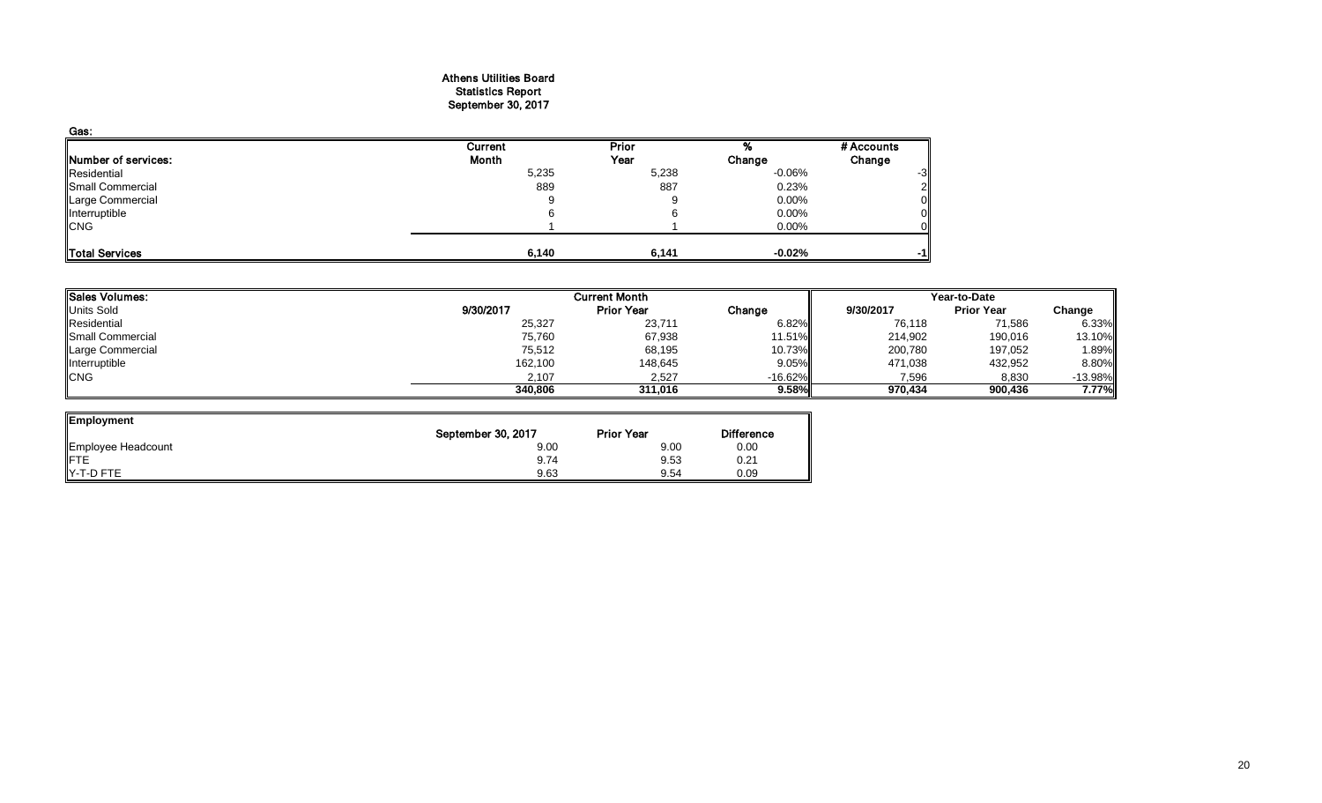#### Athens Utilities Board Statistics Report September 30, 2017

| Gas:                |         |       |           |            |
|---------------------|---------|-------|-----------|------------|
|                     | Current | Prior |           | # Accounts |
| Number of services: | Month   | Year  | Change    | Change     |
| Residential         | 5,235   | 5,238 | $-0.06\%$ | -3         |
| Small Commercial    | 889     | 887   | 0.23%     |            |
| Large Commercial    | 9       |       | $0.00\%$  |            |
| Interruptible       |         |       | 0.00%     |            |
| <b>CNG</b>          |         |       | 0.00%     |            |
| Total Services      | 6,140   | 6,141 | $-0.02\%$ | -1         |

|           | <b>Current Month</b> |           |           | Year-to-Date      |           |  |  |
|-----------|----------------------|-----------|-----------|-------------------|-----------|--|--|
| 9/30/2017 | <b>Prior Year</b>    | Change    | 9/30/2017 | <b>Prior Year</b> | Change    |  |  |
| 25,327    | 23,711               | 6.82%     | 76,118    | 71,586            | 6.33%     |  |  |
| 75,760    | 67,938               | 11.51%    | 214,902   | 190,016           | 13.10%    |  |  |
| 75,512    | 68,195               | 10.73%    | 200,780   | 197,052           | 1.89%     |  |  |
| 162,100   | 148,645              | 9.05%     | 471,038   | 432,952           | 8.80%     |  |  |
| 2,107     | 2,527                | $-16.62%$ | 7,596     | 8,830             | $-13.98%$ |  |  |
| 340,806   | 311.016              | 9.58%     | 970.434   | 900,436           | 7.77%     |  |  |
|           |                      |           |           |                   |           |  |  |

ᆜ

| Employment         |                    |                   |                   |
|--------------------|--------------------|-------------------|-------------------|
|                    | September 30, 2017 | <b>Prior Year</b> | <b>Difference</b> |
| Employee Headcount | 9.00               | 9.00              | 0.00              |
| ∦FTE               | 9.74               | 9.53              | 0.21              |
| Y-T-D FTE          | 9.63               | 9.54              | 0.09              |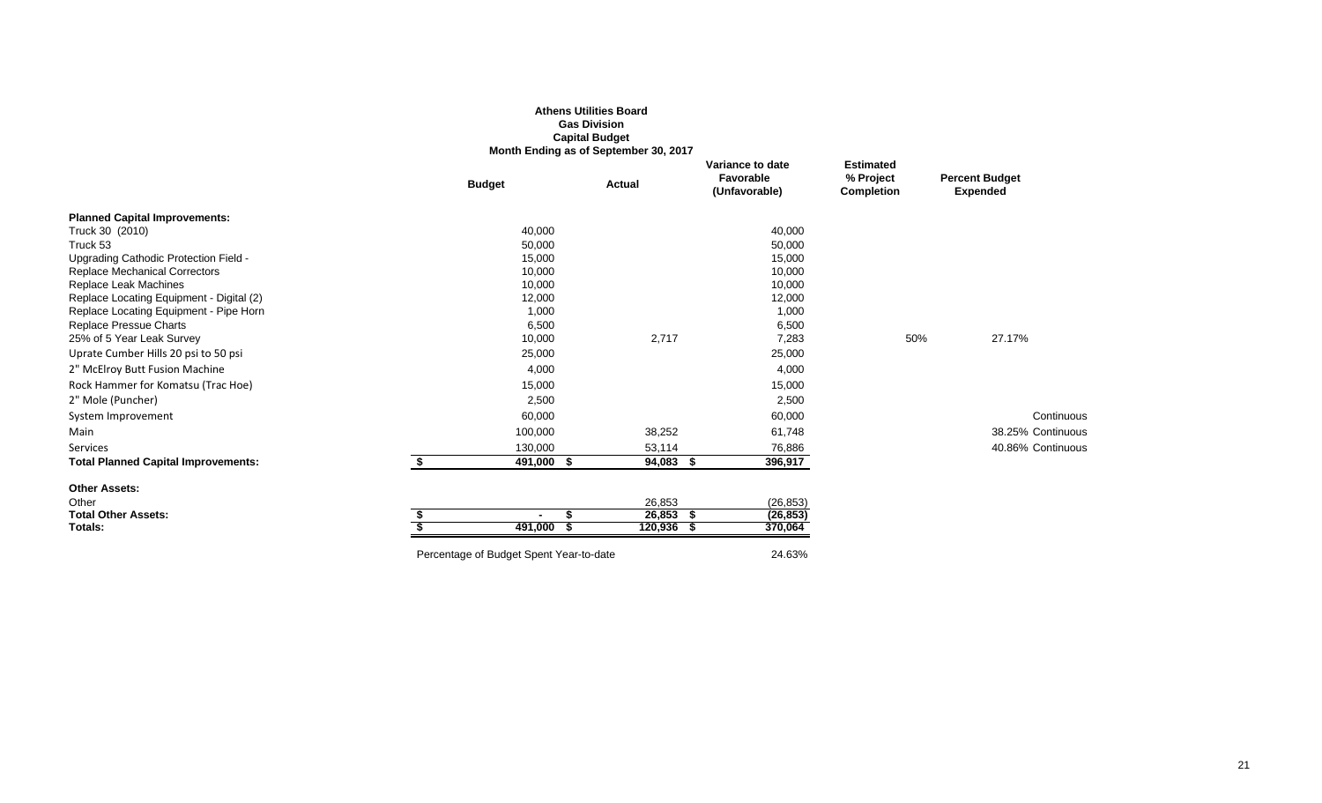|                                                                                    |                                         | <b>Gas Division</b><br><b>Capital Budget</b><br>Month Ending as of September 30, 2017 |                                                |                                                    |                                          |
|------------------------------------------------------------------------------------|-----------------------------------------|---------------------------------------------------------------------------------------|------------------------------------------------|----------------------------------------------------|------------------------------------------|
|                                                                                    | <b>Budget</b>                           | <b>Actual</b>                                                                         | Variance to date<br>Favorable<br>(Unfavorable) | <b>Estimated</b><br>% Project<br><b>Completion</b> | <b>Percent Budget</b><br><b>Expended</b> |
| <b>Planned Capital Improvements:</b>                                               |                                         |                                                                                       |                                                |                                                    |                                          |
| Truck 30 (2010)                                                                    | 40,000                                  |                                                                                       | 40,000                                         |                                                    |                                          |
| Truck 53                                                                           | 50,000                                  |                                                                                       | 50,000                                         |                                                    |                                          |
| Upgrading Cathodic Protection Field -                                              | 15,000                                  |                                                                                       | 15,000                                         |                                                    |                                          |
| <b>Replace Mechanical Correctors</b>                                               | 10,000                                  |                                                                                       | 10,000                                         |                                                    |                                          |
| <b>Replace Leak Machines</b>                                                       | 10,000                                  |                                                                                       | 10,000                                         |                                                    |                                          |
| Replace Locating Equipment - Digital (2)<br>Replace Locating Equipment - Pipe Horn | 12,000<br>1,000                         |                                                                                       | 12,000<br>1,000                                |                                                    |                                          |
| Replace Pressue Charts                                                             | 6,500                                   |                                                                                       | 6,500                                          |                                                    |                                          |
| 25% of 5 Year Leak Survey                                                          | 10,000                                  | 2,717                                                                                 | 7,283                                          | 50%                                                | 27.17%                                   |
| Uprate Cumber Hills 20 psi to 50 psi                                               | 25,000                                  |                                                                                       | 25,000                                         |                                                    |                                          |
| 2" McElroy Butt Fusion Machine                                                     | 4,000                                   |                                                                                       | 4,000                                          |                                                    |                                          |
| Rock Hammer for Komatsu (Trac Hoe)                                                 | 15,000                                  |                                                                                       | 15,000                                         |                                                    |                                          |
| 2" Mole (Puncher)                                                                  | 2,500                                   |                                                                                       | 2,500                                          |                                                    |                                          |
| System Improvement                                                                 | 60,000                                  |                                                                                       | 60,000                                         |                                                    | Continuous                               |
| Main                                                                               | 100,000                                 | 38,252                                                                                | 61,748                                         |                                                    | 38.25% Continuous                        |
| Services                                                                           | 130,000                                 | 53,114                                                                                | 76,886                                         |                                                    | 40.86% Continuous                        |
| <b>Total Planned Capital Improvements:</b>                                         | \$<br>491,000 \$                        | 94,083 \$                                                                             | 396,917                                        |                                                    |                                          |
| <b>Other Assets:</b>                                                               |                                         |                                                                                       |                                                |                                                    |                                          |
| Other                                                                              |                                         | 26,853                                                                                | (26, 853)                                      |                                                    |                                          |
| <b>Total Other Assets:</b>                                                         |                                         | $26,853$ \$<br>\$.                                                                    | (26, 853)                                      |                                                    |                                          |
| Totals:                                                                            | 491,000 \$                              | 120,936 \$                                                                            | 370,064                                        |                                                    |                                          |
|                                                                                    | Percentage of Budget Spent Year-to-date |                                                                                       | 24.63%                                         |                                                    |                                          |

**Athens Utilities Board**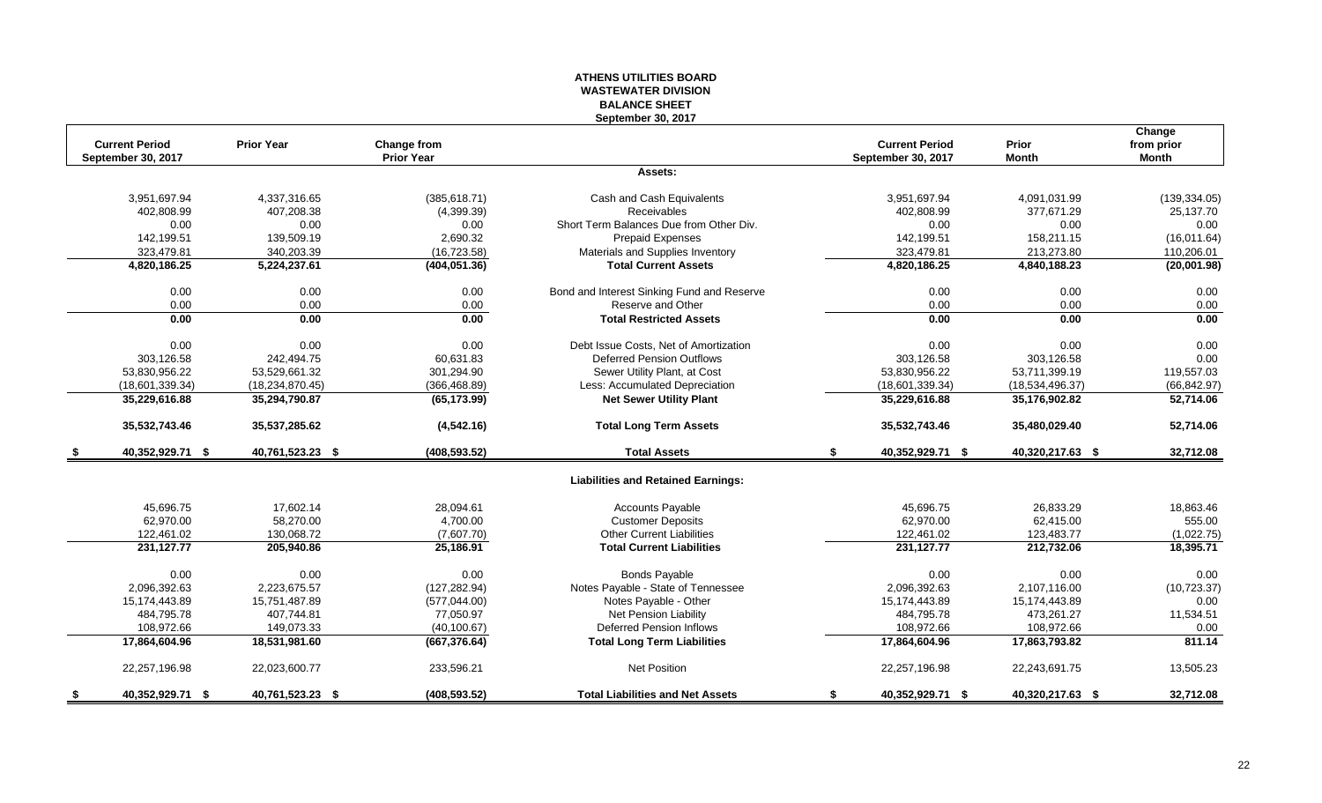#### **ATHENS UTILITIES BOARD WASTEWATER DIVISION BALANCE SHEET September 30, 2017**

|     |                       |                   |                   |                                            |                        |                  | Change        |
|-----|-----------------------|-------------------|-------------------|--------------------------------------------|------------------------|------------------|---------------|
|     | <b>Current Period</b> | <b>Prior Year</b> | Change from       |                                            | <b>Current Period</b>  | Prior            | from prior    |
|     | September 30, 2017    |                   | <b>Prior Year</b> |                                            | September 30, 2017     | <b>Month</b>     | <b>Month</b>  |
|     |                       |                   |                   | Assets:                                    |                        |                  |               |
|     | 3,951,697.94          | 4.337.316.65      | (385, 618.71)     | Cash and Cash Equivalents                  | 3,951,697.94           | 4,091,031.99     | (139, 334.05) |
|     | 402,808.99            | 407,208.38        | (4,399.39)        | Receivables                                | 402,808.99             | 377,671.29       | 25,137.70     |
|     | 0.00                  | 0.00              | 0.00              | Short Term Balances Due from Other Div.    | 0.00                   | 0.00             | 0.00          |
|     | 142,199.51            | 139,509.19        | 2,690.32          | <b>Prepaid Expenses</b>                    | 142,199.51             | 158,211.15       | (16,011.64)   |
|     | 323,479.81            | 340,203.39        | (16, 723.58)      | Materials and Supplies Inventory           | 323,479.81             | 213,273.80       | 110,206.01    |
|     | 4,820,186.25          | 5,224,237.61      | (404, 051.36)     | <b>Total Current Assets</b>                | 4,820,186.25           | 4,840,188.23     | (20,001.98)   |
|     | 0.00                  | 0.00              | 0.00              | Bond and Interest Sinking Fund and Reserve | 0.00                   | 0.00             | 0.00          |
|     | 0.00                  | 0.00              | 0.00              | Reserve and Other                          | 0.00                   | 0.00             | 0.00          |
|     | 0.00                  | 0.00              | 0.00              | <b>Total Restricted Assets</b>             | 0.00                   | 0.00             | 0.00          |
|     |                       |                   |                   |                                            |                        |                  |               |
|     | 0.00                  | 0.00              | 0.00              | Debt Issue Costs, Net of Amortization      | 0.00                   | 0.00             | 0.00          |
|     | 303,126.58            | 242,494.75        | 60,631.83         | <b>Deferred Pension Outflows</b>           | 303,126.58             | 303,126.58       | 0.00          |
|     | 53,830,956.22         | 53,529,661.32     | 301,294.90        | Sewer Utility Plant, at Cost               | 53,830,956.22          | 53,711,399.19    | 119,557.03    |
|     | (18,601,339.34)       | (18, 234, 870.45) | (366, 468.89)     | Less: Accumulated Depreciation             | (18,601,339.34)        | (18,534,496.37)  | (66, 842.97)  |
|     | 35,229,616.88         | 35,294,790.87     | (65, 173.99)      | <b>Net Sewer Utility Plant</b>             | 35,229,616.88          | 35,176,902.82    | 52,714.06     |
|     | 35,532,743.46         | 35,537,285.62     | (4,542.16)        | <b>Total Long Term Assets</b>              | 35,532,743.46          | 35,480,029.40    | 52,714.06     |
|     | 40,352,929.71 \$      | 40,761,523.23 \$  | (408, 593.52)     | <b>Total Assets</b>                        | 40,352,929.71 \$<br>\$ | 40,320,217.63 \$ | 32,712.08     |
|     |                       |                   |                   | <b>Liabilities and Retained Earnings:</b>  |                        |                  |               |
|     | 45,696.75             | 17,602.14         | 28,094.61         | <b>Accounts Payable</b>                    | 45,696.75              | 26,833.29        | 18,863.46     |
|     | 62,970.00             | 58,270.00         | 4,700.00          | <b>Customer Deposits</b>                   | 62,970.00              | 62,415.00        | 555.00        |
|     | 122,461.02            | 130,068.72        | (7,607.70)        | <b>Other Current Liabilities</b>           | 122,461.02             | 123,483.77       | (1,022.75)    |
|     | 231, 127. 77          | 205,940.86        | 25,186.91         | <b>Total Current Liabilities</b>           | 231,127.77             | 212,732.06       | 18,395.71     |
|     | 0.00                  | 0.00              | 0.00              | <b>Bonds Payable</b>                       | 0.00                   | 0.00             | 0.00          |
|     | 2,096,392.63          | 2,223,675.57      | (127, 282.94)     | Notes Payable - State of Tennessee         | 2,096,392.63           | 2,107,116.00     | (10, 723.37)  |
|     | 15,174,443.89         | 15,751,487.89     | (577, 044.00)     | Notes Payable - Other                      | 15,174,443.89          | 15,174,443.89    | 0.00          |
|     | 484,795.78            | 407.744.81        | 77,050.97         | <b>Net Pension Liability</b>               | 484,795.78             | 473.261.27       | 11,534.51     |
|     | 108,972.66            | 149,073.33        | (40, 100.67)      | Deferred Pension Inflows                   | 108,972.66             | 108,972.66       | 0.00          |
|     | 17,864,604.96         | 18,531,981.60     | (667, 376.64)     | <b>Total Long Term Liabilities</b>         | 17,864,604.96          | 17,863,793.82    | 811.14        |
|     |                       |                   |                   |                                            |                        |                  |               |
|     | 22,257,196.98         | 22,023,600.77     | 233,596.21        | <b>Net Position</b>                        | 22,257,196.98          | 22,243,691.75    | 13,505.23     |
| -\$ | 40,352,929.71 \$      | 40,761,523.23 \$  | (408, 593.52)     | <b>Total Liabilities and Net Assets</b>    | 40,352,929.71 \$<br>\$ | 40,320,217.63 \$ | 32,712.08     |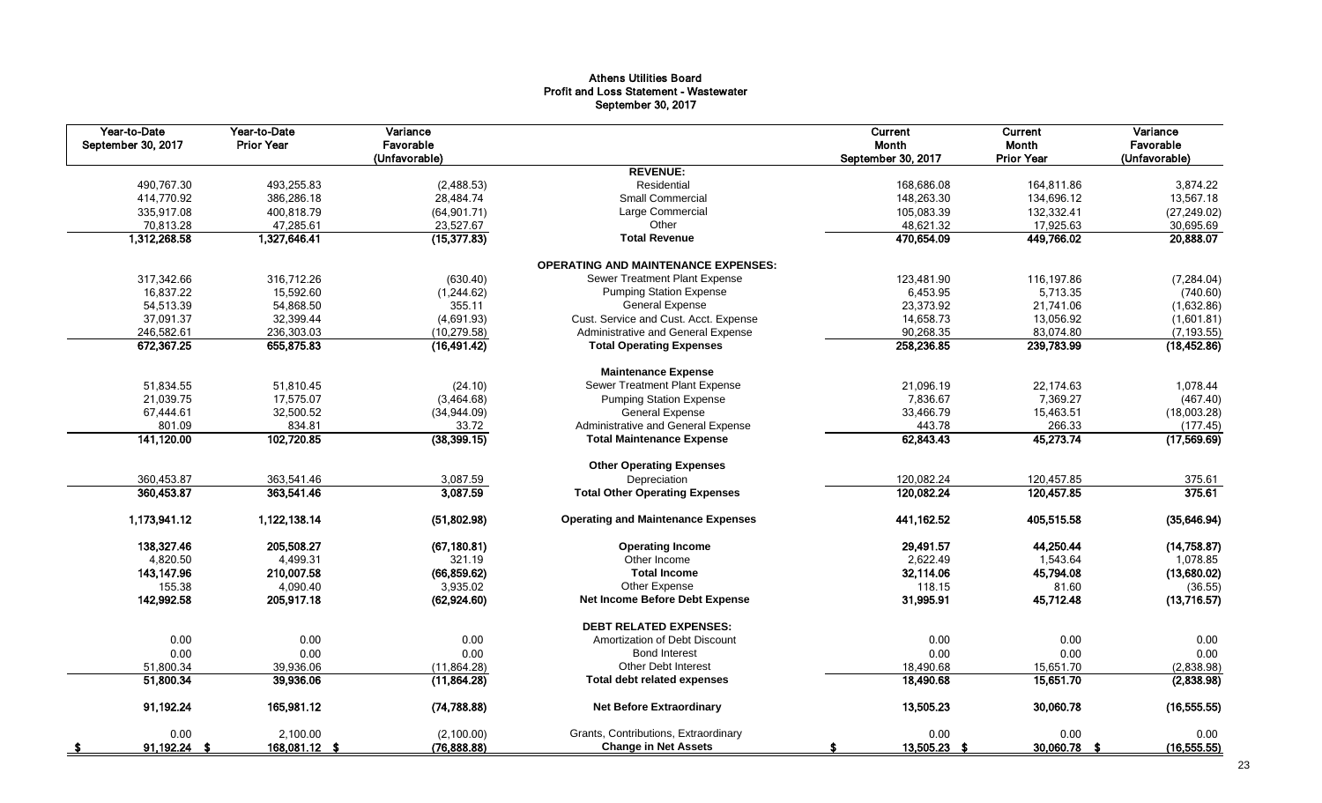#### Athens Utilities Board Profit and Loss Statement - Wastewater September 30, 2017

| Year-to-Date<br>September 30, 2017 | Year-to-Date<br><b>Prior Year</b> | Variance<br>Favorable<br>(Unfavorable) |                                            | Current<br>Month<br>September 30, 2017 | Current<br>Month<br><b>Prior Year</b> | Variance<br>Favorable<br>(Unfavorable) |
|------------------------------------|-----------------------------------|----------------------------------------|--------------------------------------------|----------------------------------------|---------------------------------------|----------------------------------------|
|                                    |                                   |                                        | <b>REVENUE:</b>                            |                                        |                                       |                                        |
| 490,767.30                         | 493,255.83                        | (2,488.53)                             | Residential                                | 168,686.08                             | 164,811.86                            | 3,874.22                               |
| 414,770.92                         | 386,286.18                        | 28,484.74                              | <b>Small Commercial</b>                    | 148,263.30                             | 134,696.12                            | 13,567.18                              |
| 335,917.08                         | 400,818.79                        | (64, 901.71)                           | Large Commercial                           | 105,083.39                             | 132,332.41                            | (27, 249.02)                           |
| 70,813.28                          | 47,285.61                         | 23,527.67                              | Other                                      | 48,621.32                              | 17,925.63                             | 30,695.69                              |
| 1,312,268.58                       | 1,327,646.41                      | (15, 377.83)                           | <b>Total Revenue</b>                       | 470,654.09                             | 449,766.02                            | 20,888.07                              |
|                                    |                                   |                                        | <b>OPERATING AND MAINTENANCE EXPENSES:</b> |                                        |                                       |                                        |
| 317,342.66                         | 316,712.26                        | (630.40)                               | Sewer Treatment Plant Expense              | 123,481.90                             | 116,197.86                            | (7, 284.04)                            |
| 16,837.22                          | 15,592.60                         | (1,244.62)                             | <b>Pumping Station Expense</b>             | 6,453.95                               | 5,713.35                              | (740.60)                               |
| 54,513.39                          | 54,868.50                         | 355.11                                 | <b>General Expense</b>                     | 23,373.92                              | 21,741.06                             | (1,632.86)                             |
| 37,091.37                          | 32,399.44                         | (4,691.93)                             | Cust. Service and Cust. Acct. Expense      | 14,658.73                              | 13,056.92                             | (1,601.81)                             |
| 246,582.61                         | 236,303.03                        | (10, 279.58)                           | Administrative and General Expense         | 90,268.35                              | 83,074.80                             | (7, 193.55)                            |
| 672,367.25                         | 655,875.83                        | (16, 491.42)                           | <b>Total Operating Expenses</b>            | 258,236.85                             | 239,783.99                            | (18, 452.86)                           |
|                                    |                                   |                                        | <b>Maintenance Expense</b>                 |                                        |                                       |                                        |
| 51.834.55                          | 51,810.45                         | (24.10)                                | Sewer Treatment Plant Expense              | 21.096.19                              | 22.174.63                             | 1,078.44                               |
| 21,039.75                          | 17,575.07                         | (3,464.68)                             | <b>Pumping Station Expense</b>             | 7,836.67                               | 7,369.27                              | (467.40)                               |
| 67,444.61                          | 32,500.52                         | (34,944.09)                            | <b>General Expense</b>                     | 33,466.79                              | 15,463.51                             | (18,003.28)                            |
| 801.09                             | 834.81                            | 33.72                                  | Administrative and General Expense         | 443.78                                 | 266.33                                | (177.45)                               |
| 141,120.00                         | 102,720.85                        | (38, 399.15)                           | <b>Total Maintenance Expense</b>           | 62,843.43                              | 45,273.74                             | (17,569.69)                            |
|                                    |                                   |                                        | <b>Other Operating Expenses</b>            |                                        |                                       |                                        |
| 360,453.87                         | 363,541.46                        | 3,087.59                               | Depreciation                               | 120,082.24                             | 120,457.85                            | 375.61                                 |
| 360,453.87                         | 363,541.46                        | 3,087.59                               | <b>Total Other Operating Expenses</b>      | 120,082.24                             | 120,457.85                            | 375.61                                 |
| 1,173,941.12                       | 1,122,138.14                      | (51,802.98)                            | <b>Operating and Maintenance Expenses</b>  | 441,162.52                             | 405,515.58                            | (35, 646.94)                           |
| 138,327.46                         | 205.508.27                        | (67, 180.81)                           | <b>Operating Income</b>                    | 29,491.57                              | 44,250.44                             | (14, 758.87)                           |
| 4,820.50                           | 4,499.31                          | 321.19                                 | Other Income                               | 2,622.49                               | 1,543.64                              | 1,078.85                               |
| 143, 147.96                        | 210,007.58                        | (66, 859.62)                           | <b>Total Income</b>                        | 32,114.06                              | 45,794.08                             | (13,680.02)                            |
| 155.38                             | 4,090.40                          | 3,935.02                               | Other Expense                              | 118.15                                 | 81.60                                 | (36.55)                                |
| 142,992.58                         | 205,917.18                        | (62, 924.60)                           | Net Income Before Debt Expense             | 31,995.91                              | 45,712.48                             | (13,716.57)                            |
|                                    |                                   |                                        | <b>DEBT RELATED EXPENSES:</b>              |                                        |                                       |                                        |
| 0.00                               | 0.00                              | 0.00                                   | Amortization of Debt Discount              | 0.00                                   | 0.00                                  | 0.00                                   |
| 0.00                               | 0.00                              | 0.00                                   | <b>Bond Interest</b>                       | 0.00                                   | 0.00                                  | 0.00                                   |
| 51,800.34                          | 39,936.06                         | (11,864.28)                            | Other Debt Interest                        | 18,490.68                              | 15,651.70                             | (2,838.98)                             |
| 51,800.34                          | 39,936.06                         | (11, 864.28)                           | <b>Total debt related expenses</b>         | 18,490.68                              | 15,651.70                             | (2,838.98)                             |
| 91,192.24                          | 165,981.12                        | (74, 788.88)                           | <b>Net Before Extraordinary</b>            | 13,505.23                              | 30,060.78                             | (16, 555.55)                           |
| 0.00                               | 2.100.00                          | (2,100.00)                             | Grants, Contributions, Extraordinary       | 0.00                                   | 0.00                                  | 0.00                                   |
| 91,192.24 \$                       | 168,081.12 \$                     | (76, 888.88)                           | <b>Change in Net Assets</b>                | 13,505.23 \$<br>£.                     | 30,060.78 \$                          | (16, 555.55)                           |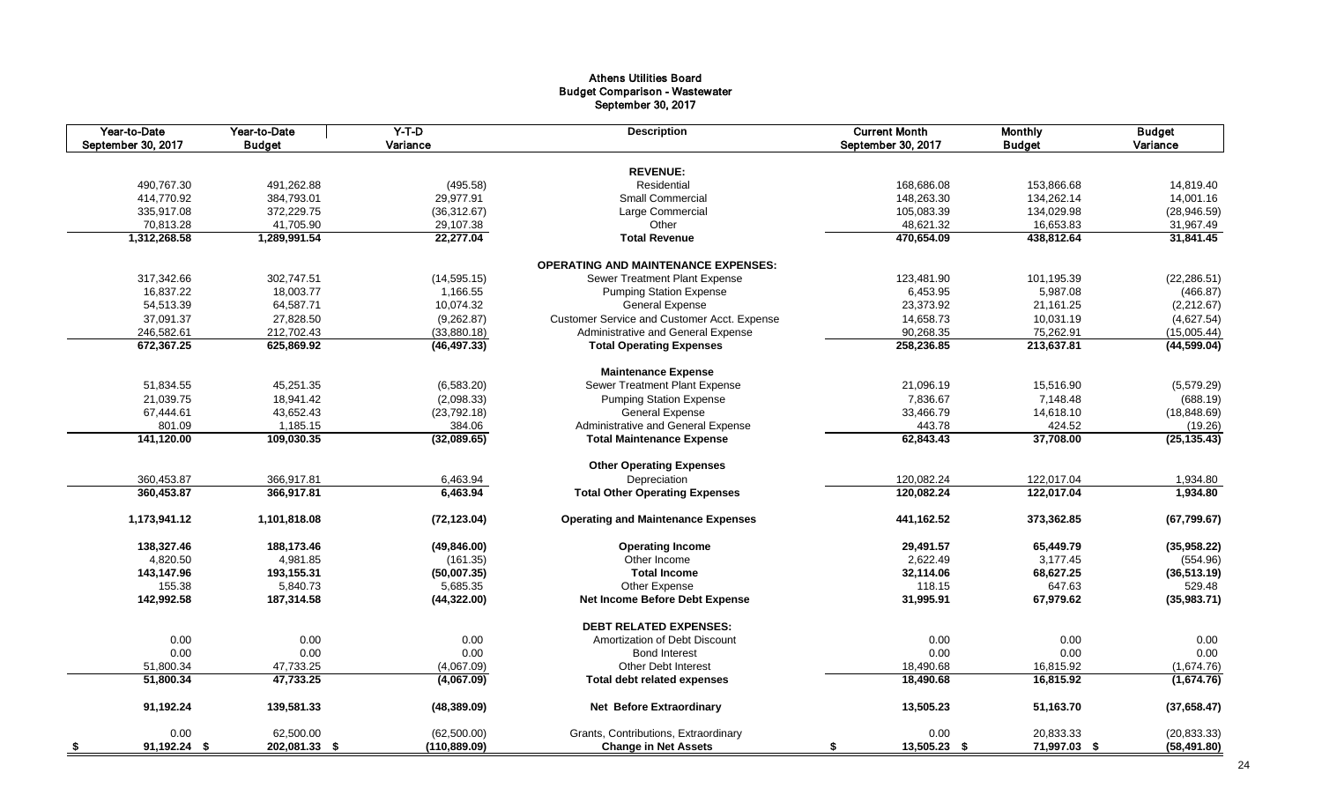#### Athens Utilities Board Budget Comparison - Wastewater September 30, 2017

| Year-to-Date<br>September 30, 2017 | Year-to-Date<br><b>Budget</b> | $Y-T-D$<br>Variance | <b>Description</b>                          | <b>Current Month</b><br>September 30, 2017 | <b>Monthly</b><br><b>Budget</b> | <b>Budget</b><br>Variance |
|------------------------------------|-------------------------------|---------------------|---------------------------------------------|--------------------------------------------|---------------------------------|---------------------------|
|                                    |                               |                     |                                             |                                            |                                 |                           |
|                                    |                               |                     | <b>REVENUE:</b>                             |                                            |                                 |                           |
| 490,767.30                         | 491,262.88                    | (495.58)            | Residential                                 | 168,686.08                                 | 153,866.68                      | 14,819.40                 |
| 414,770.92                         | 384,793.01                    | 29,977.91           | <b>Small Commercial</b>                     | 148,263.30                                 | 134,262.14                      | 14,001.16                 |
| 335,917.08                         | 372,229.75                    | (36, 312.67)        | Large Commercial                            | 105,083.39                                 | 134,029.98                      | (28, 946.59)              |
| 70,813.28                          | 41,705.90                     | 29,107.38           | Other                                       | 48,621.32                                  | 16,653.83                       | 31,967.49                 |
| 1,312,268.58                       | 1,289,991.54                  | 22,277.04           | <b>Total Revenue</b>                        | 470,654.09                                 | 438,812.64                      | 31,841.45                 |
|                                    |                               |                     | <b>OPERATING AND MAINTENANCE EXPENSES:</b>  |                                            |                                 |                           |
| 317,342.66                         | 302,747.51                    | (14, 595.15)        | Sewer Treatment Plant Expense               | 123,481.90                                 | 101,195.39                      | (22, 286.51)              |
| 16,837.22                          | 18,003.77                     | 1,166.55            | <b>Pumping Station Expense</b>              | 6,453.95                                   | 5,987.08                        | (466.87)                  |
| 54,513.39                          | 64,587.71                     | 10,074.32           | <b>General Expense</b>                      | 23,373.92                                  | 21,161.25                       | (2,212.67)                |
| 37,091.37                          | 27,828.50                     | (9,262.87)          | Customer Service and Customer Acct. Expense | 14,658.73                                  | 10,031.19                       | (4,627.54)                |
| 246,582.61                         | 212,702.43                    | (33,880.18)         | Administrative and General Expense          | 90,268.35                                  | 75,262.91                       | (15,005.44)               |
| 672,367.25                         | 625,869.92                    | (46, 497.33)        | <b>Total Operating Expenses</b>             | 258,236.85                                 | 213,637.81                      | (44, 599.04)              |
|                                    |                               |                     | <b>Maintenance Expense</b>                  |                                            |                                 |                           |
| 51,834.55                          | 45,251.35                     | (6,583.20)          | Sewer Treatment Plant Expense               | 21,096.19                                  | 15,516.90                       | (5,579.29)                |
| 21,039.75                          | 18,941.42                     | (2,098.33)          | <b>Pumping Station Expense</b>              | 7,836.67                                   | 7,148.48                        | (688.19)                  |
| 67,444.61                          | 43,652.43                     | (23, 792.18)        | <b>General Expense</b>                      | 33,466.79                                  | 14,618.10                       | (18, 848.69)              |
| 801.09                             | 1,185.15                      | 384.06              | Administrative and General Expense          | 443.78                                     | 424.52                          | (19.26)                   |
| 141,120.00                         | 109,030.35                    | (32,089.65)         | <b>Total Maintenance Expense</b>            | 62,843.43                                  | 37,708.00                       | (25, 135.43)              |
|                                    |                               |                     |                                             |                                            |                                 |                           |
|                                    |                               |                     | <b>Other Operating Expenses</b>             |                                            |                                 |                           |
| 360,453.87                         | 366,917.81                    | 6,463.94            | Depreciation                                | 120,082.24                                 | 122,017.04                      | 1,934.80                  |
| 360,453.87                         | 366,917.81                    | 6,463.94            | <b>Total Other Operating Expenses</b>       | 120,082.24                                 | 122,017.04                      | 1,934.80                  |
| 1,173,941.12                       | 1,101,818.08                  | (72, 123.04)        | <b>Operating and Maintenance Expenses</b>   | 441,162.52                                 | 373,362.85                      | (67, 799.67)              |
| 138,327.46                         | 188,173.46                    | (49, 846.00)        | <b>Operating Income</b>                     | 29,491.57                                  | 65,449.79                       | (35,958.22)               |
| 4,820.50                           | 4,981.85                      | (161.35)            | Other Income                                | 2,622.49                                   | 3,177.45                        | (554.96)                  |
| 143,147.96                         | 193,155.31                    | (50,007.35)         | <b>Total Income</b>                         | 32,114.06                                  | 68,627.25                       | (36,513.19)               |
| 155.38                             | 5,840.73                      | 5,685.35            | Other Expense                               | 118.15                                     | 647.63                          | 529.48                    |
| 142,992.58                         | 187,314.58                    | (44,322.00)         | Net Income Before Debt Expense              | 31,995.91                                  | 67,979.62                       | (35,983.71)               |
|                                    |                               |                     | <b>DEBT RELATED EXPENSES:</b>               |                                            |                                 |                           |
| 0.00                               | 0.00                          | 0.00                | Amortization of Debt Discount               | 0.00                                       | 0.00                            | 0.00                      |
| 0.00                               | 0.00                          | 0.00                | <b>Bond Interest</b>                        | 0.00                                       | 0.00                            | 0.00                      |
| 51,800.34                          | 47,733.25                     | (4,067.09)          | <b>Other Debt Interest</b>                  | 18,490.68                                  | 16,815.92                       | (1,674.76)                |
| 51,800.34                          | 47,733.25                     | (4,067.09)          | <b>Total debt related expenses</b>          | 18,490.68                                  | 16,815.92                       | (1,674.76)                |
| 91,192.24                          | 139,581.33                    | (48, 389.09)        | <b>Net Before Extraordinary</b>             | 13,505.23                                  | 51,163.70                       | (37,658.47)               |
|                                    |                               |                     |                                             |                                            |                                 |                           |
| 0.00                               | 62,500.00                     | (62,500.00)         | Grants, Contributions, Extraordinary        | 0.00                                       | 20,833.33                       | (20, 833.33)              |
| 91.192.24 \$<br>- \$               | 202,081.33 \$                 | (110, 889.09)       | <b>Change in Net Assets</b>                 | 13,505.23 \$<br>- 56                       | 71,997.03 \$                    | (58,491.80)               |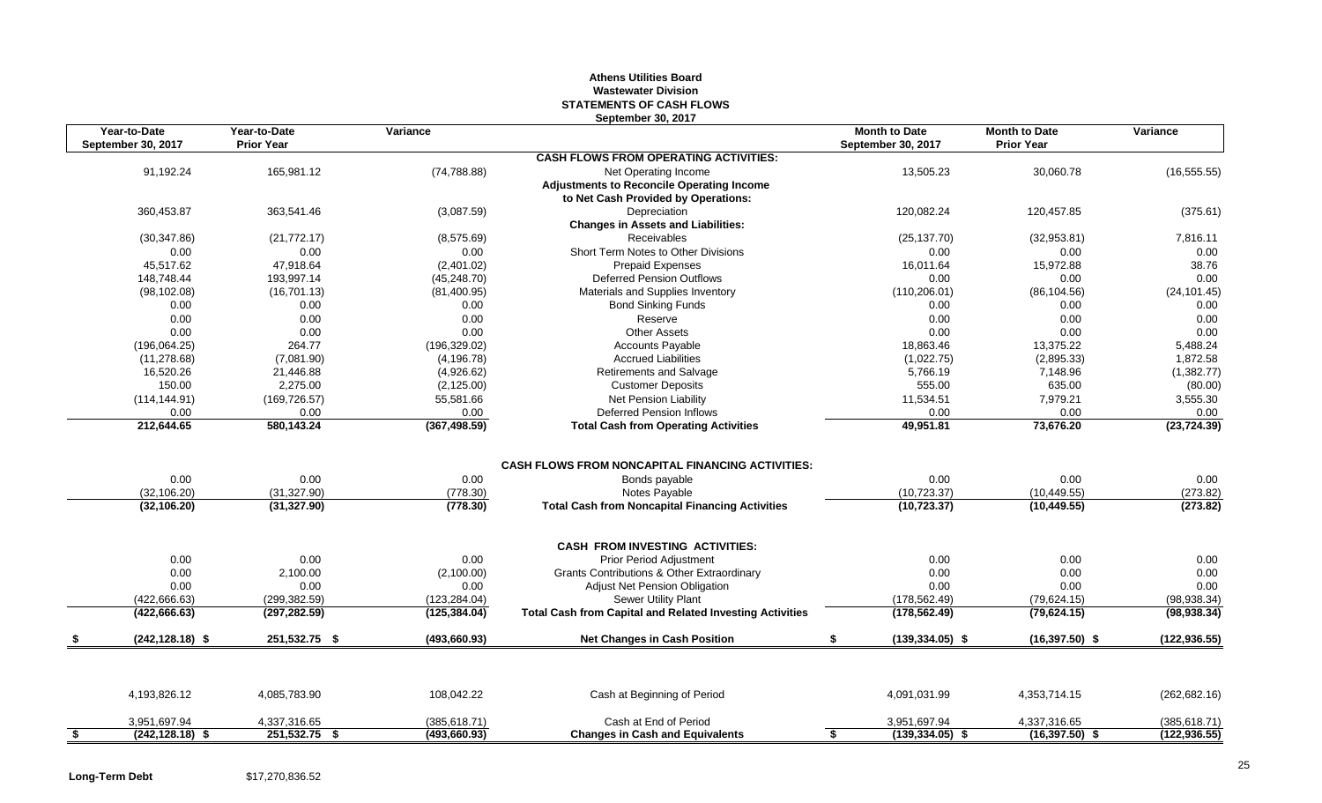#### **Athens Utilities Board Wastewater Division STATEMENTS OF CASH FLOWS September 30, 2017**

| Year-to-Date<br>September 30, 2017 | Year-to-Date<br><b>Prior Year</b> | Variance              | OUPWIING OU, LUTH                                                              | <b>Month to Date</b><br>September 30, 2017 | <b>Month to Date</b><br><b>Prior Year</b> | Variance             |
|------------------------------------|-----------------------------------|-----------------------|--------------------------------------------------------------------------------|--------------------------------------------|-------------------------------------------|----------------------|
|                                    |                                   |                       | <b>CASH FLOWS FROM OPERATING ACTIVITIES:</b>                                   |                                            |                                           |                      |
| 91,192.24                          | 165,981.12                        | (74, 788.88)          | Net Operating Income<br><b>Adjustments to Reconcile Operating Income</b>       | 13,505.23                                  | 30,060.78                                 | (16, 555.55)         |
|                                    |                                   |                       | to Net Cash Provided by Operations:                                            |                                            |                                           |                      |
| 360,453.87                         | 363,541.46                        | (3,087.59)            | Depreciation<br><b>Changes in Assets and Liabilities:</b>                      | 120,082.24                                 | 120,457.85                                | (375.61)             |
| (30, 347.86)                       | (21, 772.17)                      | (8,575.69)            | Receivables                                                                    | (25, 137.70)                               | (32,953.81)                               | 7,816.11             |
| 0.00                               | 0.00                              | 0.00                  | Short Term Notes to Other Divisions                                            | 0.00                                       | 0.00                                      | 0.00                 |
| 45,517.62                          | 47,918.64                         | (2,401.02)            | <b>Prepaid Expenses</b>                                                        | 16,011.64                                  | 15,972.88                                 | 38.76                |
| 148,748.44                         | 193,997.14                        | (45, 248.70)          | <b>Deferred Pension Outflows</b>                                               | 0.00                                       | 0.00                                      | 0.00                 |
| (98, 102.08)                       | (16,701.13)                       | (81,400.95)           | Materials and Supplies Inventory                                               | (110, 206.01)                              | (86, 104.56)                              | (24, 101.45)         |
| 0.00                               | 0.00                              | 0.00                  | <b>Bond Sinking Funds</b>                                                      | 0.00                                       | 0.00                                      | 0.00                 |
| 0.00                               | 0.00                              | 0.00                  | Reserve                                                                        | 0.00                                       | 0.00                                      | 0.00                 |
| 0.00                               | 0.00                              | 0.00                  | <b>Other Assets</b>                                                            | 0.00                                       | 0.00                                      | 0.00                 |
| (196,064.25)                       | 264.77                            | (196, 329.02)         | <b>Accounts Payable</b>                                                        | 18,863.46                                  | 13,375.22                                 | 5,488.24             |
| (11, 278.68)                       | (7,081.90)                        | (4, 196.78)           | <b>Accrued Liabilities</b>                                                     | (1,022.75)                                 | (2,895.33)                                | 1,872.58             |
| 16,520.26                          | 21,446.88                         | (4,926.62)            | <b>Retirements and Salvage</b>                                                 | 5,766.19                                   | 7,148.96                                  | (1,382.77)           |
| 150.00                             | 2,275.00                          | (2, 125.00)           | <b>Customer Deposits</b>                                                       | 555.00                                     | 635.00                                    | (80.00)              |
| (114, 144.91)                      | (169, 726.57)                     | 55,581.66             | Net Pension Liability                                                          | 11,534.51                                  | 7,979.21                                  | 3,555.30             |
| 0.00<br>212,644.65                 | 0.00<br>580,143.24                | 0.00<br>(367, 498.59) | <b>Deferred Pension Inflows</b><br><b>Total Cash from Operating Activities</b> | 0.00<br>49,951.81                          | 0.00<br>73,676.20                         | 0.00<br>(23, 724.39) |
|                                    |                                   |                       |                                                                                |                                            |                                           |                      |
|                                    |                                   |                       | <b>CASH FLOWS FROM NONCAPITAL FINANCING ACTIVITIES:</b>                        |                                            |                                           |                      |
| 0.00                               | 0.00                              | 0.00                  | Bonds payable                                                                  | 0.00                                       | 0.00                                      | 0.00                 |
| (32, 106.20)                       | (31, 327.90)                      | (778.30)              | Notes Payable                                                                  | (10, 723.37)                               | (10, 449.55)                              | (273.82)             |
| (32, 106.20)                       | (31, 327.90)                      | (778.30)              | <b>Total Cash from Noncapital Financing Activities</b>                         | (10, 723.37)                               | (10, 449.55)                              | (273.82)             |
|                                    |                                   |                       | <b>CASH FROM INVESTING ACTIVITIES:</b>                                         |                                            |                                           |                      |
| 0.00                               | 0.00                              | 0.00                  | Prior Period Adjustment                                                        | 0.00                                       | 0.00                                      | 0.00                 |
| 0.00                               | 2,100.00                          | (2,100.00)            | Grants Contributions & Other Extraordinary                                     | 0.00                                       | 0.00                                      | 0.00                 |
| 0.00                               | 0.00                              | 0.00                  | <b>Adjust Net Pension Obligation</b>                                           | 0.00                                       | 0.00                                      | 0.00                 |
| (422,666.63)                       | (299,382.59)                      | (123, 284.04)         | Sewer Utility Plant                                                            | (178, 562.49)                              | (79, 624.15)                              | (98, 938.34)         |
| (422, 666.63)                      | (297, 282.59)                     | (125, 384.04)         | <b>Total Cash from Capital and Related Investing Activities</b>                | (178, 562.49)                              | (79, 624.15)                              | (98, 938.34)         |
| $(242, 128.18)$ \$                 | 251,532.75 \$                     | (493, 660.93)         | <b>Net Changes in Cash Position</b>                                            | \$<br>$(139, 334.05)$ \$                   | $(16,397.50)$ \$                          | (122, 936.55)        |
|                                    |                                   |                       |                                                                                |                                            |                                           |                      |
| 4,193,826.12                       | 4,085,783.90                      | 108,042.22            | Cash at Beginning of Period                                                    | 4,091,031.99                               | 4,353,714.15                              | (262, 682.16)        |
| 3,951,697.94                       | 4,337,316.65                      | (385, 618.71)         | Cash at End of Period                                                          | 3,951,697.94                               | 4,337,316.65                              | (385, 618.71)        |
|                                    |                                   |                       |                                                                                |                                            |                                           |                      |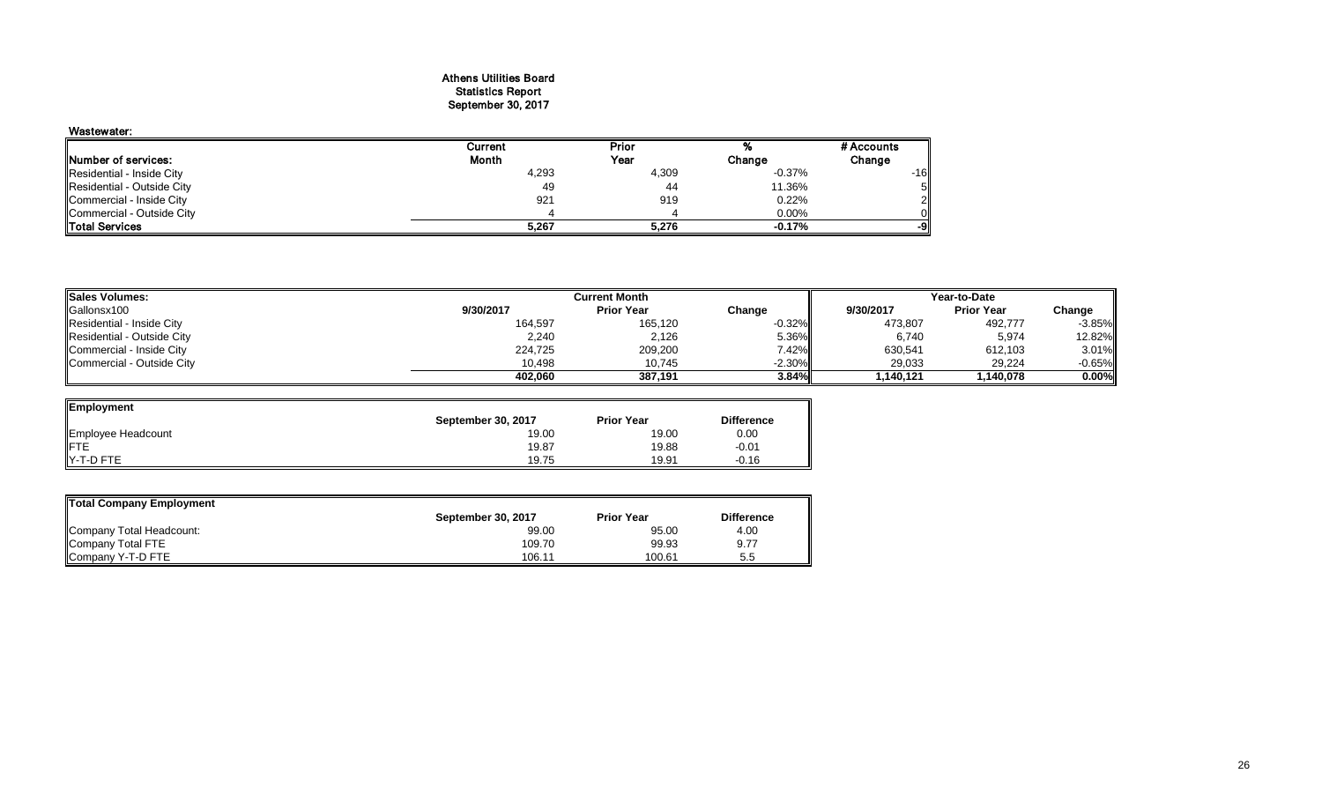#### Athens Utilities Board Statistics Report September 30, 2017

| Wastewater:                |         |       |          |            |
|----------------------------|---------|-------|----------|------------|
|                            | Current | Prior |          | # Accounts |
| Number of services:        | Month   | Year  | Change   | Change     |
| Residential - Inside City  | 4,293   | 4,309 | $-0.37%$ | $-16$      |
| Residential - Outside City | 49      | 44    | 11.36%   |            |
| Commercial - Inside City   | 921     | 919   | 0.22%    |            |
| Commercial - Outside City  |         |       | 0.00%    |            |
| <b>ITotal Services</b>     | 5,267   | 5.276 | $-0.17%$ | -91        |

| <b>Sales Volumes:</b>      | Current Month |                   |           | Year-to-Date |                   |          |
|----------------------------|---------------|-------------------|-----------|--------------|-------------------|----------|
| Gallonsx100                | 9/30/2017     | <b>Prior Year</b> | Change    | 9/30/2017    | <b>Prior Year</b> | Change   |
| Residential - Inside City  | 164,597       | 165,120           | $-0.32\%$ | 473,807      | 492,777           | $-3.85%$ |
| Residential - Outside City | 2,240         | 2,126             | 5.36%     | 6,740        | 5,974             | 12.82%   |
| Commercial - Inside City   | 224.725       | 209,200           | 7.42%     | 630,541      | 612,103           | 3.01%    |
| Commercial - Outside City  | 10.498        | 10,745            | $-2.30\%$ | 29,033       | 29,224            | $-0.65%$ |
|                            | 402.060       | 387.191           | 3.84%     | 1.140.121    | 1.140.078         | 0.00%    |

| Employment         |                    |                   |                   |
|--------------------|--------------------|-------------------|-------------------|
|                    | September 30, 2017 | <b>Prior Year</b> | <b>Difference</b> |
| Employee Headcount | 19.00              | 19.00             | 0.00              |
| <b>IFTE</b>        | 19.87              | 19.88             | $-0.01$           |
| Y-T-D FTE          | 19.75              | 19.91             | $-0.16$           |

| Total Company Employment |                    |                   |                   |
|--------------------------|--------------------|-------------------|-------------------|
|                          | September 30, 2017 | <b>Prior Year</b> | <b>Difference</b> |
| Company Total Headcount: | 99.00              | 95.00             | 4.00              |
| Company Total FTE        | 109.70             | 99.93             | 9.77              |
| Company Y-T-D FTE        | 106.11             | 100.61            | 5.5               |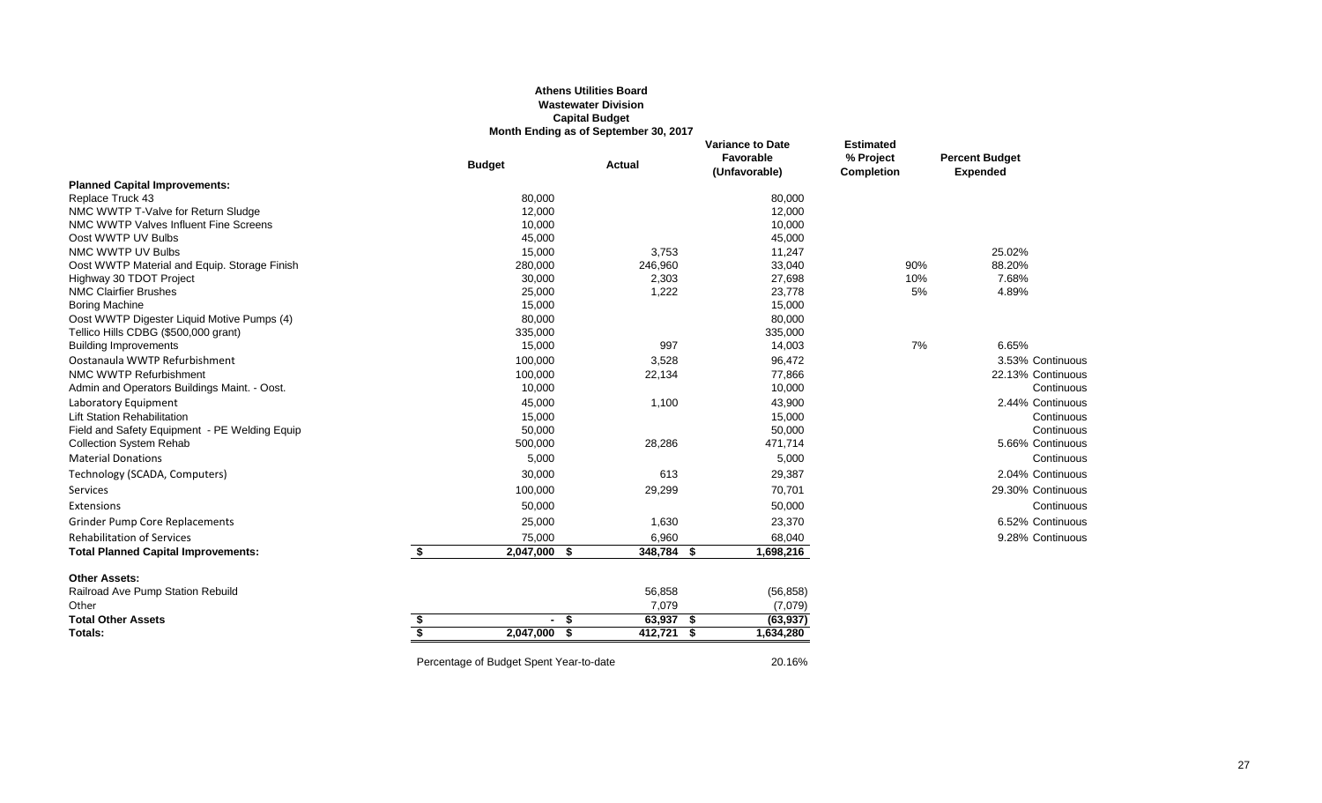#### **Athens Utilities Board Wastewater Division Capital Budget Month Ending as of September 30, 2017**

|                                                                                    |                         | <b>Budget</b>                           | <b>Actual</b>       | <b>Variance to Date</b><br>Favorable<br>(Unfavorable) | <b>Estimated</b><br>% Project<br><b>Completion</b> | <b>Percent Budget</b><br><b>Expended</b> |
|------------------------------------------------------------------------------------|-------------------------|-----------------------------------------|---------------------|-------------------------------------------------------|----------------------------------------------------|------------------------------------------|
| <b>Planned Capital Improvements:</b>                                               |                         |                                         |                     |                                                       |                                                    |                                          |
| Replace Truck 43                                                                   |                         | 80,000                                  |                     | 80,000                                                |                                                    |                                          |
| NMC WWTP T-Valve for Return Sludge                                                 |                         | 12,000                                  |                     | 12,000                                                |                                                    |                                          |
| NMC WWTP Valves Influent Fine Screens                                              |                         | 10,000                                  |                     | 10,000                                                |                                                    |                                          |
| Oost WWTP UV Bulbs                                                                 |                         | 45,000                                  |                     | 45,000                                                |                                                    |                                          |
| NMC WWTP UV Bulbs                                                                  |                         | 15,000                                  | 3,753               | 11,247                                                |                                                    | 25.02%                                   |
| Oost WWTP Material and Equip. Storage Finish                                       |                         | 280,000                                 | 246,960             | 33,040                                                | 90%                                                | 88.20%                                   |
| Highway 30 TDOT Project                                                            |                         | 30,000                                  | 2,303               | 27,698                                                | 10%                                                | 7.68%                                    |
| <b>NMC Clairfier Brushes</b>                                                       |                         | 25,000                                  | 1,222               | 23,778                                                | 5%                                                 | 4.89%                                    |
| <b>Boring Machine</b>                                                              |                         | 15,000                                  |                     | 15,000                                                |                                                    |                                          |
| Oost WWTP Digester Liquid Motive Pumps (4)<br>Tellico Hills CDBG (\$500,000 grant) |                         | 80,000<br>335,000                       |                     | 80,000<br>335,000                                     |                                                    |                                          |
| <b>Building Improvements</b>                                                       |                         | 15,000                                  | 997                 | 14,003                                                | 7%                                                 | 6.65%                                    |
| Oostanaula WWTP Refurbishment                                                      |                         | 100,000                                 | 3,528               | 96,472                                                |                                                    | 3.53% Continuous                         |
| NMC WWTP Refurbishment                                                             |                         | 100,000                                 | 22,134              | 77,866                                                |                                                    | 22.13% Continuous                        |
| Admin and Operators Buildings Maint. - Oost.                                       |                         | 10,000                                  |                     | 10,000                                                |                                                    | Continuous                               |
| Laboratory Equipment                                                               |                         | 45,000                                  | 1,100               | 43,900                                                |                                                    | 2.44% Continuous                         |
| <b>Lift Station Rehabilitation</b>                                                 |                         | 15,000                                  |                     | 15,000                                                |                                                    | Continuous                               |
| Field and Safety Equipment - PE Welding Equip                                      |                         | 50,000                                  |                     | 50,000                                                |                                                    | Continuous                               |
| <b>Collection System Rehab</b>                                                     |                         | 500,000                                 | 28,286              | 471,714                                               |                                                    | 5.66% Continuous                         |
| <b>Material Donations</b>                                                          |                         | 5,000                                   |                     | 5,000                                                 |                                                    | Continuous                               |
| Technology (SCADA, Computers)                                                      |                         | 30,000                                  | 613                 | 29,387                                                |                                                    | 2.04% Continuous                         |
| Services                                                                           |                         | 100,000                                 | 29,299              | 70,701                                                |                                                    | 29.30% Continuous                        |
| Extensions                                                                         |                         | 50,000                                  |                     | 50,000                                                |                                                    | Continuous                               |
| <b>Grinder Pump Core Replacements</b>                                              |                         | 25,000                                  | 1,630               | 23,370                                                |                                                    | 6.52% Continuous                         |
| <b>Rehabilitation of Services</b>                                                  |                         | 75,000                                  | 6,960               | 68,040                                                |                                                    | 9.28% Continuous                         |
| <b>Total Planned Capital Improvements:</b>                                         | \$                      | 2,047,000                               | 348,784<br>- \$     | 1,698,216<br>- \$                                     |                                                    |                                          |
| <b>Other Assets:</b>                                                               |                         |                                         |                     |                                                       |                                                    |                                          |
| Railroad Ave Pump Station Rebuild                                                  |                         |                                         | 56,858              | (56, 858)                                             |                                                    |                                          |
| Other                                                                              |                         |                                         | 7,079               | (7,079)                                               |                                                    |                                          |
| <b>Total Other Assets</b>                                                          | \$                      |                                         | $63,937$ \$<br>$-5$ | (63, 937)                                             |                                                    |                                          |
| Totals:                                                                            | $\overline{\mathbf{s}}$ | $2,047,000$ \$                          | $412,721$ \$        | 1,634,280                                             |                                                    |                                          |
|                                                                                    |                         | Percentage of Budget Spent Year-to-date |                     | 20.16%                                                |                                                    |                                          |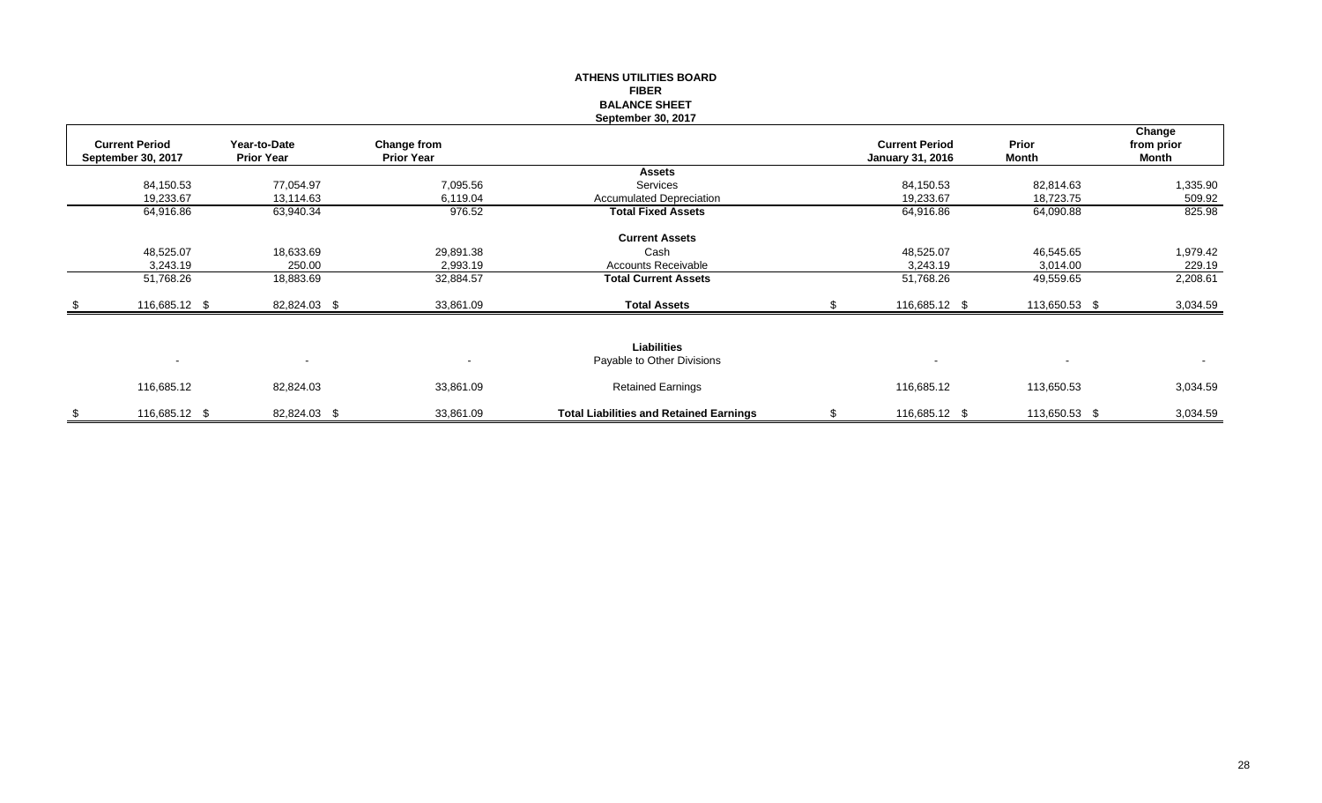|                                             |                                   |                                  | <b>FIBER</b><br><b>BALANCE SHEET</b><br>September 30, 2017 |                                                  |                          |                               |
|---------------------------------------------|-----------------------------------|----------------------------------|------------------------------------------------------------|--------------------------------------------------|--------------------------|-------------------------------|
| <b>Current Period</b><br>September 30, 2017 | Year-to-Date<br><b>Prior Year</b> | Change from<br><b>Prior Year</b> |                                                            | <b>Current Period</b><br><b>January 31, 2016</b> | Prior<br><b>Month</b>    | Change<br>from prior<br>Month |
|                                             |                                   |                                  | <b>Assets</b>                                              |                                                  |                          |                               |
| 84,150.53                                   | 77,054.97                         | 7,095.56                         | Services                                                   | 84,150.53                                        | 82,814.63                | 1,335.90                      |
| 19,233.67                                   | 13,114.63                         | 6,119.04                         | <b>Accumulated Depreciation</b>                            | 19,233.67                                        | 18,723.75                | 509.92                        |
| 64,916.86                                   | 63,940.34                         | 976.52                           | <b>Total Fixed Assets</b>                                  | 64,916.86                                        | 64,090.88                | 825.98                        |
|                                             |                                   |                                  | <b>Current Assets</b>                                      |                                                  |                          |                               |
| 48,525.07                                   | 18,633.69                         | 29,891.38                        | Cash                                                       | 48,525.07                                        | 46,545.65                | 1,979.42                      |
| 3,243.19                                    | 250.00                            | 2,993.19                         | <b>Accounts Receivable</b>                                 | 3,243.19                                         | 3,014.00                 | 229.19                        |
| 51,768.26                                   | 18,883.69                         | 32,884.57                        | <b>Total Current Assets</b>                                | 51,768.26                                        | 49,559.65                | 2,208.61                      |
| 116,685.12 \$                               | 82,824.03 \$                      | 33,861.09                        | <b>Total Assets</b>                                        | 116,685.12 \$                                    | 113,650.53 \$            | 3,034.59                      |
|                                             |                                   |                                  | <b>Liabilities</b>                                         |                                                  |                          |                               |
|                                             |                                   |                                  |                                                            |                                                  |                          |                               |
| $\sim$                                      | $\blacksquare$                    | $\blacksquare$                   | Payable to Other Divisions                                 | $\overline{\phantom{a}}$                         | $\overline{\phantom{a}}$ | $\blacksquare$                |
| 116,685.12                                  | 82,824.03                         | 33,861.09                        | <b>Retained Earnings</b>                                   | 116,685.12                                       | 113,650.53               | 3,034.59                      |
| \$<br>116,685.12 \$                         | 82,824.03 \$                      | 33,861.09                        | <b>Total Liabilities and Retained Earnings</b>             | 116,685.12 \$                                    | 113,650.53 \$            | 3,034.59                      |

**ATHENS UTILITIES BOARD**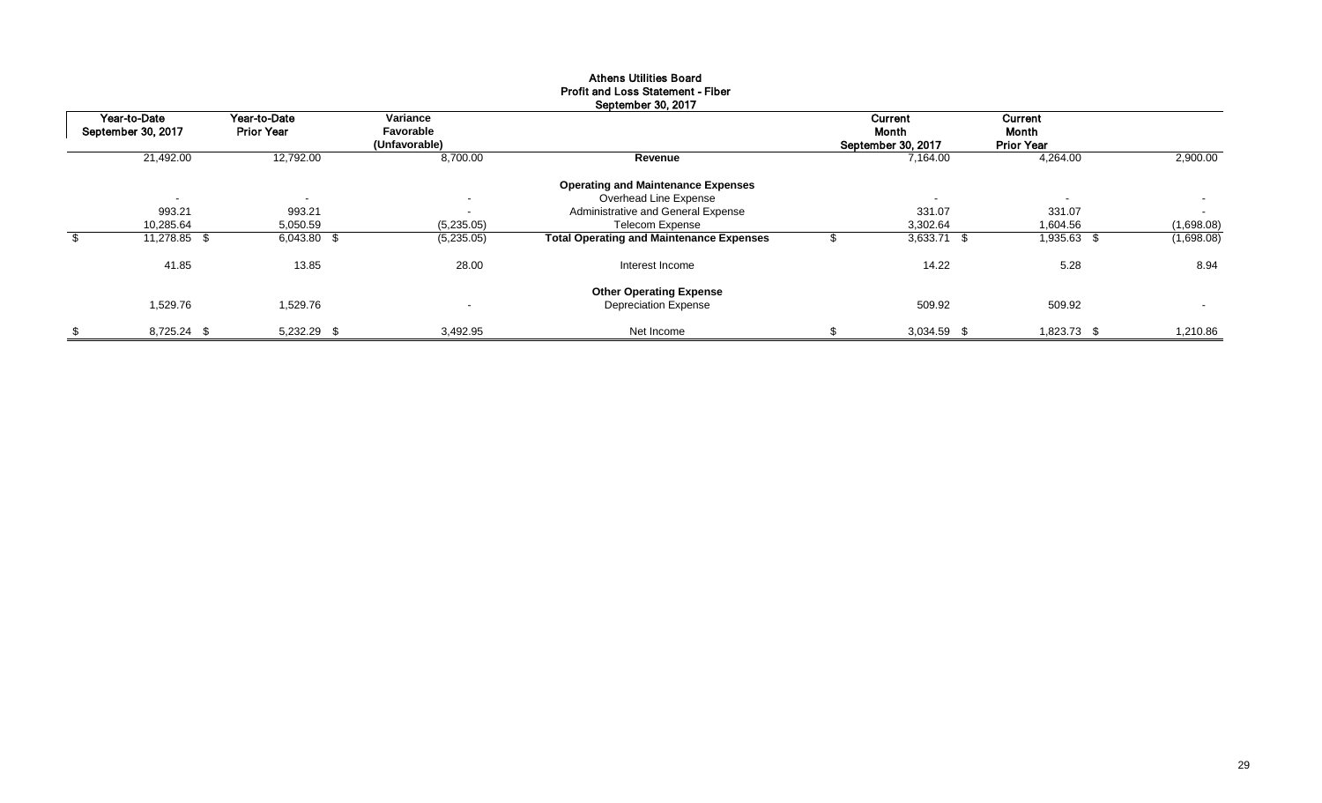|                    | September 30, 2017 |                          |               |                                                 |              |                          |                   |                          |  |  |  |  |  |
|--------------------|--------------------|--------------------------|---------------|-------------------------------------------------|--------------|--------------------------|-------------------|--------------------------|--|--|--|--|--|
|                    | Year-to-Date       | Year-to-Date             | Variance      |                                                 |              | Current                  | Current           |                          |  |  |  |  |  |
| September 30, 2017 |                    | <b>Prior Year</b>        | Favorable     |                                                 | <b>Month</b> |                          | Month             |                          |  |  |  |  |  |
|                    |                    |                          | (Unfavorable) |                                                 |              | September 30, 2017       | <b>Prior Year</b> |                          |  |  |  |  |  |
|                    | 21,492.00          | 12,792.00                | 8,700.00      | Revenue                                         |              | 7,164.00                 | 4,264.00          | 2,900.00                 |  |  |  |  |  |
|                    |                    |                          |               | <b>Operating and Maintenance Expenses</b>       |              |                          |                   |                          |  |  |  |  |  |
|                    | $\sim$             | $\overline{\phantom{a}}$ | $\sim$        | Overhead Line Expense                           |              | $\overline{\phantom{a}}$ | $\sim$            | $\sim$                   |  |  |  |  |  |
|                    | 993.21             | 993.21                   | $\sim$        | Administrative and General Expense              |              | 331.07                   | 331.07            | $\sim$                   |  |  |  |  |  |
|                    | 10,285.64          | 5,050.59                 | (5,235.05)    | <b>Telecom Expense</b>                          |              | 3,302.64                 | 1,604.56          | (1,698.08)               |  |  |  |  |  |
|                    | 11,278.85 \$       | 6,043.80 \$              | (5,235.05)    | <b>Total Operating and Maintenance Expenses</b> |              | $3,633.71$ \$            | 1,935.63 \$       | (1,698.08)               |  |  |  |  |  |
|                    | 41.85              | 13.85                    | 28.00         | Interest Income                                 |              | 14.22                    | 5.28              | 8.94                     |  |  |  |  |  |
|                    |                    |                          |               | <b>Other Operating Expense</b>                  |              |                          |                   |                          |  |  |  |  |  |
|                    | 1,529.76           | 1,529.76                 | $\sim$        | <b>Depreciation Expense</b>                     |              | 509.92                   | 509.92            | $\overline{\phantom{0}}$ |  |  |  |  |  |
| \$                 | 8,725.24 \$        | 5,232.29 \$              | 3,492.95      | Net Income                                      |              | 3,034.59 \$              | 1,823.73 \$       | 1,210.86                 |  |  |  |  |  |

## Athens Utilities Board Profit and Loss Statement - Fiber